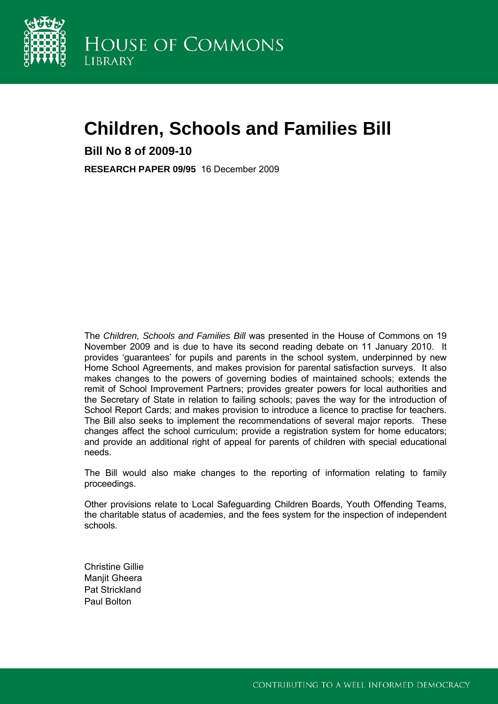

# **Children, Schools and Families Bill**

**Bill No 8 of 2009-10** 

**RESEARCH PAPER 09/95** 16 December 2009

The *Children, Schools and Families Bill* was presented in the House of Commons on 19 November 2009 and is due to have its second reading debate on 11 January 2010. It provides 'guarantees' for pupils and parents in the school system, underpinned by new Home School Agreements, and makes provision for parental satisfaction surveys. It also makes changes to the powers of governing bodies of maintained schools; extends the remit of School Improvement Partners; provides greater powers for local authorities and the Secretary of State in relation to failing schools; paves the way for the introduction of School Report Cards; and makes provision to introduce a licence to practise for teachers. The Bill also seeks to implement the recommendations of several major reports. These changes affect the school curriculum; provide a registration system for home educators; and provide an additional right of appeal for parents of children with special educational needs.

The Bill would also make changes to the reporting of information relating to family proceedings.

Other provisions relate to Local Safeguarding Children Boards, Youth Offending Teams, the charitable status of academies, and the fees system for the inspection of independent schools.

Christine Gillie Manjit Gheera Pat Strickland Paul Bolton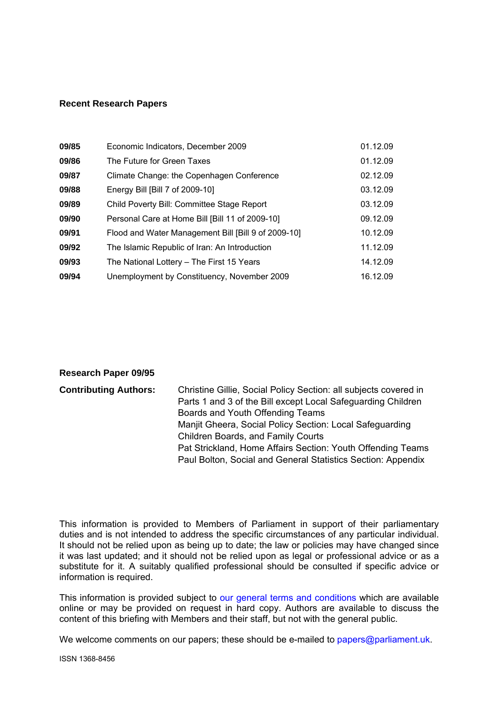#### **Recent Research Papers**

| 09/85 | Economic Indicators, December 2009                  | 01.12.09 |
|-------|-----------------------------------------------------|----------|
| 09/86 | The Future for Green Taxes                          | 01.12.09 |
| 09/87 | Climate Change: the Copenhagen Conference           | 02.12.09 |
| 09/88 | Energy Bill [Bill 7 of 2009-10]                     | 03.12.09 |
| 09/89 | Child Poverty Bill: Committee Stage Report          | 03.12.09 |
| 09/90 | Personal Care at Home Bill [Bill 11 of 2009-10]     | 09.12.09 |
| 09/91 | Flood and Water Management Bill [Bill 9 of 2009-10] | 10.12.09 |
| 09/92 | The Islamic Republic of Iran: An Introduction       | 11.12.09 |
| 09/93 | The National Lottery - The First 15 Years           | 14.12.09 |
| 09/94 | Unemployment by Constituency, November 2009         | 16.12.09 |

#### **Research Paper 09/95**

| <b>Contributing Authors:</b> | Christine Gillie, Social Policy Section: all subjects covered in |
|------------------------------|------------------------------------------------------------------|
|                              | Parts 1 and 3 of the Bill except Local Safeguarding Children     |
|                              | Boards and Youth Offending Teams                                 |
|                              | Manjit Gheera, Social Policy Section: Local Safeguarding         |
|                              | <b>Children Boards, and Family Courts</b>                        |
|                              | Pat Strickland, Home Affairs Section: Youth Offending Teams      |
|                              | Paul Bolton, Social and General Statistics Section: Appendix     |

This information is provided to Members of Parliament in support of their parliamentary duties and is not intended to address the specific circumstances of any particular individual. It should not be relied upon as being up to date; the law or policies may have changed since it was last updated; and it should not be relied upon as legal or professional advice or as a substitute for it. A suitably qualified professional should be consulted if specific advice or information is required.

This information is provided subject to [our general terms and conditions](http://www.parliament.uk/site_information/parliamentary_copyright.cfm) which are available online or may be provided on request in hard copy. Authors are available to discuss the content of this briefing with Members and their staff, but not with the general public.

We welcome comments on our papers; these should be e-mailed to [papers@parliament.uk.](mailto:papers@parliament.uk)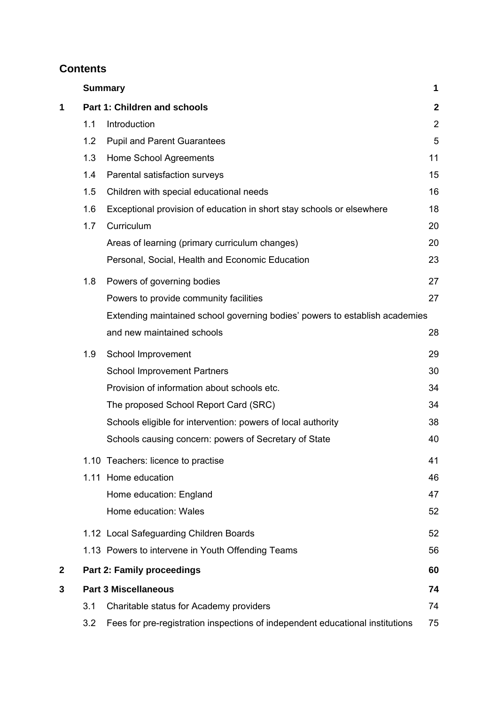# **Contents**

|              |     | <b>Summary</b>                                                                | 1              |
|--------------|-----|-------------------------------------------------------------------------------|----------------|
| 1            |     | Part 1: Children and schools                                                  | $\mathbf{2}$   |
|              | 1.1 | Introduction                                                                  | $\overline{2}$ |
|              | 1.2 | <b>Pupil and Parent Guarantees</b>                                            | 5              |
|              | 1.3 | Home School Agreements                                                        | 11             |
|              | 1.4 | Parental satisfaction surveys                                                 | 15             |
|              | 1.5 | Children with special educational needs                                       | 16             |
|              | 1.6 | Exceptional provision of education in short stay schools or elsewhere         | 18             |
|              | 1.7 | Curriculum                                                                    | 20             |
|              |     | Areas of learning (primary curriculum changes)                                | 20             |
|              |     | Personal, Social, Health and Economic Education                               | 23             |
|              | 1.8 | Powers of governing bodies                                                    | 27             |
|              |     | Powers to provide community facilities                                        | 27             |
|              |     | Extending maintained school governing bodies' powers to establish academies   |                |
|              |     | and new maintained schools                                                    | 28             |
|              | 1.9 | School Improvement                                                            | 29             |
|              |     | <b>School Improvement Partners</b>                                            | 30             |
|              |     | Provision of information about schools etc.                                   | 34             |
|              |     | The proposed School Report Card (SRC)                                         | 34             |
|              |     | Schools eligible for intervention: powers of local authority                  | 38             |
|              |     | Schools causing concern: powers of Secretary of State                         | 40             |
|              |     | 1.10 Teachers: licence to practise                                            | 41             |
|              |     | 1.11 Home education                                                           | 46             |
|              |     | Home education: England                                                       | 47             |
|              |     | Home education: Wales                                                         | 52             |
|              |     | 1.12 Local Safeguarding Children Boards                                       | 52             |
|              |     | 1.13 Powers to intervene in Youth Offending Teams                             | 56             |
| $\mathbf{2}$ |     | <b>Part 2: Family proceedings</b>                                             | 60             |
| 3            |     | <b>Part 3 Miscellaneous</b>                                                   | 74             |
|              | 3.1 | Charitable status for Academy providers                                       | 74             |
|              | 3.2 | Fees for pre-registration inspections of independent educational institutions | 75             |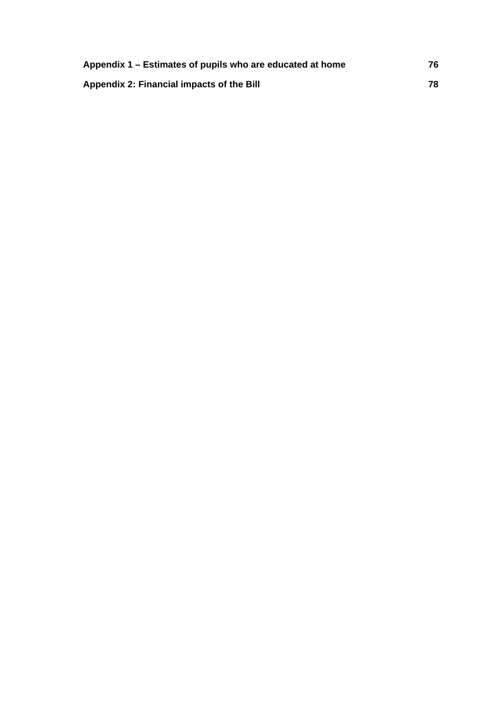| Appendix 1 – Estimates of pupils who are educated at home | 76 |
|-----------------------------------------------------------|----|
| Appendix 2: Financial impacts of the Bill                 | 78 |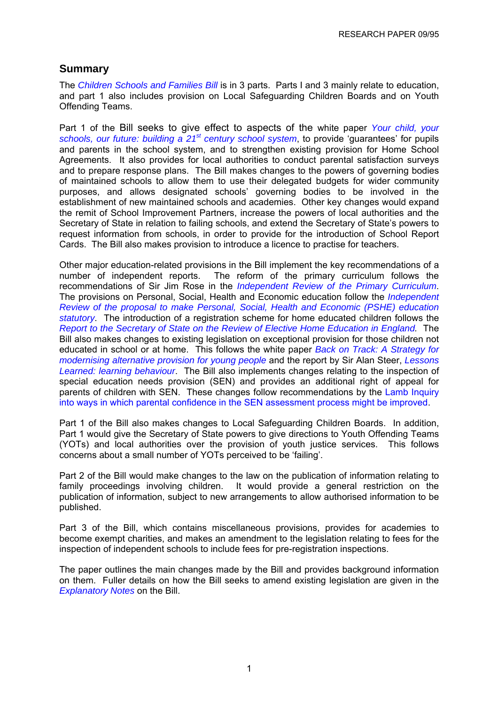# <span id="page-4-0"></span>**Summary**

The *[Children Schools and Families Bill](http://www.publications.parliament.uk/pa/cm200910/cmbills/008/10008.i-iii.html)* is in 3 parts. Parts I and 3 mainly relate to education, and part 1 also includes provision on Local Safeguarding Children Boards and on Youth Offending Teams.

Part 1 of the Bill seeks to give effect to aspects of the white paper *[Your child, your](http://publications.dcsf.gov.uk/default.aspx?PageFunction=productdetails&PageMode=publications&ProductId=Cm+7588)  [schools, our future: building a 21st century school system](http://publications.dcsf.gov.uk/default.aspx?PageFunction=productdetails&PageMode=publications&ProductId=Cm+7588)*, to provide 'guarantees' for pupils and parents in the school system, and to strengthen existing provision for Home School Agreements. It also provides for local authorities to conduct parental satisfaction surveys and to prepare response plans. The Bill makes changes to the powers of governing bodies of maintained schools to allow them to use their delegated budgets for wider community purposes, and allows designated schools' governing bodies to be involved in the establishment of new maintained schools and academies. Other key changes would expand the remit of School Improvement Partners, increase the powers of local authorities and the Secretary of State in relation to failing schools, and extend the Secretary of State's powers to request information from schools, in order to provide for the introduction of School Report Cards. The Bill also makes provision to introduce a licence to practise for teachers.

Other major education-related provisions in the Bill implement the key recommendations of a number of independent reports. The reform of the primary curriculum follows the recommendations of Sir Jim Rose in the *[Independent Review of the Primary Curriculum](http://publications.teachernet.gov.uk/eOrderingDownload/Primary_curriculum-report.pdf)*. The provisions on Personal, Social, Health and Economic education follow the *[Independent](http://publications.dcsf.gov.uk/eOrderingDownload/FINAL%20Macdonald%20PSHE%20Review.pdf)  [Review of the proposal to make Personal, Social, Health and Economic \(PSHE\) education](http://publications.dcsf.gov.uk/eOrderingDownload/FINAL%20Macdonald%20PSHE%20Review.pdf)  [statutory](http://publications.dcsf.gov.uk/eOrderingDownload/FINAL%20Macdonald%20PSHE%20Review.pdf)*. The introduction of a registration scheme for home educated children follows the *[Report to the Secretary of State on the Review of Elective Home Education in England.](http://www.freedomforchildrentogrow.org/8318-DCSF-HomeEdReviewBMK.PDF)* The Bill also makes changes to existing legislation on exceptional provision for those children not educated in school or at home. This follows the white paper *[Back on Track: A Strategy for](http://publications.dcsf.gov.uk/default.aspx?PageFunction=productdetails&PageMode=publications&ProductId=CM%25207410)  [modernising alternative provision for young people](http://publications.dcsf.gov.uk/default.aspx?PageFunction=productdetails&PageMode=publications&ProductId=CM%25207410)* and the report by Sir Alan Steer, *[Lessons](http://publications.dcsf.gov.uk/default.aspx?PageFunction=productdetails&PageMode=publications&ProductId=DCSF-00453-2009)  [Learned: learning behaviour](http://publications.dcsf.gov.uk/default.aspx?PageFunction=productdetails&PageMode=publications&ProductId=DCSF-00453-2009)*. The Bill also implements changes relating to the inspection of special education needs provision (SEN) and provides an additional right of appeal for parents of children with SEN. These changes follow recommendations by the [Lamb Inquiry](http://www.dcsf.gov.uk/lambinquiry/)  [into ways in which parental confidence in the SEN assessment process might be improved](http://www.dcsf.gov.uk/lambinquiry/).

Part 1 of the Bill also makes changes to Local Safeguarding Children Boards. In addition, Part 1 would give the Secretary of State powers to give directions to Youth Offending Teams (YOTs) and local authorities over the provision of youth justice services. This follows concerns about a small number of YOTs perceived to be 'failing'.

Part 2 of the Bill would make changes to the law on the publication of information relating to family proceedings involving children. It would provide a general restriction on the publication of information, subject to new arrangements to allow authorised information to be published.

Part 3 of the Bill, which contains miscellaneous provisions, provides for academies to become exempt charities, and makes an amendment to the legislation relating to fees for the inspection of independent schools to include fees for pre-registration inspections.

The paper outlines the main changes made by the Bill and provides background information on them. Fuller details on how the Bill seeks to amend existing legislation are given in the *[Explanatory Notes](http://www.publications.parliament.uk/pa/cm200910/cmbills/008/en/10008x--.htm#end)* on the Bill.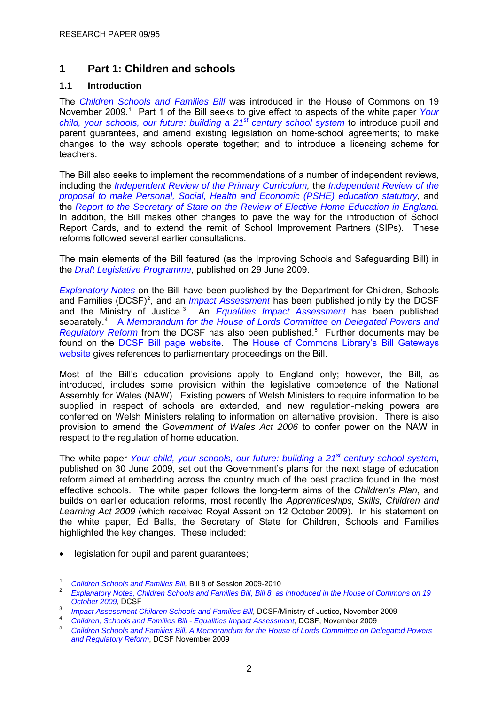# <span id="page-5-0"></span>**1 Part 1: Children and schools**

# **1.1 Introduction**

The *[Children Schools and Families Bill](http://www.publications.parliament.uk/pa/cm200910/cmbills/008/10008.i-iii.html)* was introduced in the House of Commons on 19 November 2009.<sup>[1](#page-5-0)</sup> Part 1 of the Bill seeks to give effect to aspects of the white paper Your *[child, your schools, our future: building a 21](http://publications.dcsf.gov.uk/default.aspx?PageFunction=productdetails&PageMode=publications&ProductId=Cm+7588)[st century school system](http://publications.dcsf.gov.uk/default.aspx?PageFunction=productdetails&PageMode=publications&ProductId=Cm+7588)* to introduce pupil and parent guarantees, and amend existing legislation on home-school agreements; to make changes to the way schools operate together; and to introduce a licensing scheme for teachers.

The Bill also seeks to implement the recommendations of a number of independent reviews, including the *[Independent Review of the Primary Curriculum,](http://publications.teachernet.gov.uk/eOrderingDownload/Primary_curriculum-report.pdf)* the *[Independent Review of the](http://publications.dcsf.gov.uk/eOrderingDownload/FINAL%20Macdonald%20PSHE%20Review.pdf)  [proposal to make Personal, Social, Health and Economic \(PSHE\) education statutory,](http://publications.dcsf.gov.uk/eOrderingDownload/FINAL%20Macdonald%20PSHE%20Review.pdf)* and the *[Report to the Secretary of State on the Review of Elective Home Education in England](http://www.freedomforchildrentogrow.org/8318-DCSF-HomeEdReviewBMK.PDF).* In addition, the Bill makes other changes to pave the way for the introduction of School Report Cards, and to extend the remit of School Improvement Partners (SIPs). These reforms followed several earlier consultations.

The main elements of the Bill featured (as the Improving Schools and Safeguarding Bill) in the *[Draft Legislative Programme](http://www.commonsleader.gov.uk/output/Page2831.asp)*, published on 29 June 2009.

*[Explanatory Notes](http://www.publications.parliament.uk/pa/cm200910/cmbills/008/en/10008x--.htm#end)* on the Bill have been published by the Department for Children, Schools and Families (DCSF)<sup>[2](#page-5-0)</sup>, and an *[Impact Assessment](http://publications.dcsf.gov.uk/eOrderingDownload/CSF-Bill_Impact-Assessment.pdf)* has been published jointly by the DCSF and the Ministry of Justice.<sup>[3](#page-5-0)</sup> An *[Equalities Impact Assessment](http://publications.dcsf.gov.uk/eOrderingDownload/CSF-Bill_Equalities-Impact-Assessment.pdf)* has been published separately.<sup>[4](#page-5-0)</sup> A Memorandum for the House of Lords Committee on Delegated Powers and [Regulatory Reform](http://publications.dcsf.gov.uk/eOrderingDownload/CSF-Bill_Memorandum.pdf) from the DCSF has also been published.<sup>[5](#page-5-0)</sup> Further documents may be found on the [DCSF Bill page website](http://www.dcsf.gov.uk/childrenschoolsandfamiliesbill/). The [House of Commons Library's Bill Gateways](http://webapplications.parliament.uk/BillGateways/)  [website](http://webapplications.parliament.uk/BillGateways/) gives references to parliamentary proceedings on the Bill.

Most of the Bill's education provisions apply to England only; however, the Bill, as introduced, includes some provision within the legislative competence of the National Assembly for Wales (NAW). Existing powers of Welsh Ministers to require information to be supplied in respect of schools are extended, and new regulation-making powers are conferred on Welsh Ministers relating to information on alternative provision. There is also provision to amend the *Government of Wales Act 2006* to confer power on the NAW in respect to the regulation of home education.

The white paper *[Your child, your schools, our future: building a 21](http://publications.dcsf.gov.uk/default.aspx?PageFunction=productdetails&PageMode=publications&ProductId=Cm+7588)[st century school system](http://publications.dcsf.gov.uk/default.aspx?PageFunction=productdetails&PageMode=publications&ProductId=Cm+7588)*, published on 30 June 2009, set out the Government's plans for the next stage of education reform aimed at embedding across the country much of the best practice found in the most effective schools. The white paper follows the long-term aims of the *Children's Plan*, and builds on earlier education reforms, most recently the *Apprenticeships, Skills, Children and Learning Act 2009* (which received Royal Assent on 12 October 2009). In his statement on the white paper, Ed Balls, the Secretary of State for Children, Schools and Families highlighted the key changes. These included:

legislation for pupil and parent quarantees:

<sup>1</sup> <sup>1</sup> Children Schools and Families Bill, Bill 8 of Session 2009-2010

*[Explanatory Notes, Children Schools and Families Bill, Bill 8, as introduced in the House of Commons on 19](http://www.publications.parliament.uk/pa/cm200910/cmbills/008/en/10008x--.htm#end)  October 2009*[,](http://www.publications.parliament.uk/pa/cm200910/cmbills/008/en/10008x--.htm#end) DCSF

<sup>&</sup>lt;sup>3</sup> Impact Assessment Children Schools and Families Bill, DCSF/Ministry of Justice, November 2009

<sup>&</sup>lt;sup>4</sup> Children[,](http://publications.dcsf.gov.uk/default.aspx?PageFunction=productdetails&PageMode=publications&ProductId=DCSF-01098-2009) Schools and Families Bill - Equalities Impact Assessment, DCSF, November 2009

*[Children Schools and Families Bill](http://www.publications.parliament.uk/pa/cm200910/cmbills/008/10008.i-iii.html), [A Memorandum for the House of Lords Committee on Delegated Powers](http://publications.dcsf.gov.uk/eOrderingDownload/CSF-Bill_Memorandum.pdf)  [and Regulatory Reform](http://publications.dcsf.gov.uk/eOrderingDownload/CSF-Bill_Memorandum.pdf)*, DCSF November 2009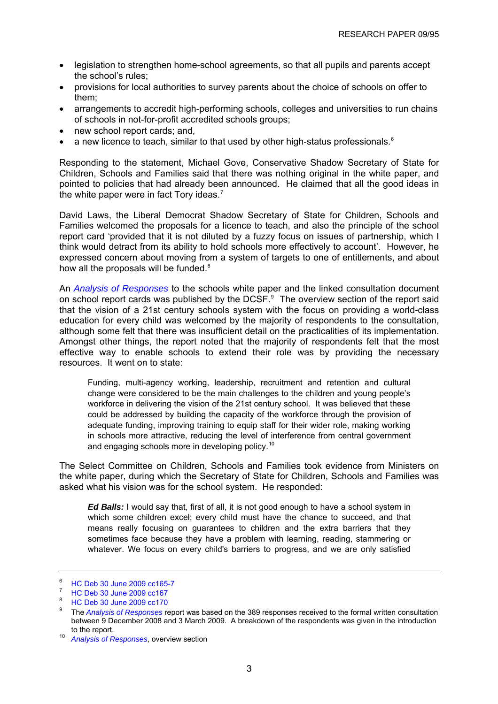- <span id="page-6-0"></span>• legislation to strengthen home-school agreements, so that all pupils and parents accept the school's rules;
- provisions for local authorities to survey parents about the choice of schools on offer to them;
- arrangements to accredit high-performing schools, colleges and universities to run chains of schools in not-for-profit accredited schools groups;
- new school report cards; and,
- a new licence to teach, similar to that used by other high-status professionals.<sup>[6](#page-6-0)</sup>

Responding to the statement, Michael Gove, Conservative Shadow Secretary of State for Children, Schools and Families said that there was nothing original in the white paper, and pointed to policies that had already been announced. He claimed that all the good ideas in the white paper were in fact Tory ideas.<sup>[7](#page-6-0)</sup>

David Laws, the Liberal Democrat Shadow Secretary of State for Children, Schools and Families welcomed the proposals for a licence to teach, and also the principle of the school report card 'provided that it is not diluted by a fuzzy focus on issues of partnership, which I think would detract from its ability to hold schools more effectively to account'. However, he expressed concern about moving from a system of targets to one of entitlements, and about how all the proposals will be funded.<sup>[8](#page-6-0)</sup>

An *[Analysis of Responses](http://www.dcsf.gov.uk/consultations/index.cfm?action=conResults&external=no&consultationId=1584&menu=1)* to the schools white paper and the linked consultation document on school report cards was published by the DCSF. $9$  The overview section of the report said that the vision of a 21st century schools system with the focus on providing a world-class education for every child was welcomed by the majority of respondents to the consultation, although some felt that there was insufficient detail on the practicalities of its implementation. Amongst other things, the report noted that the majority of respondents felt that the most effective way to enable schools to extend their role was by providing the necessary resources. It went on to state:

Funding, multi-agency working, leadership, recruitment and retention and cultural change were considered to be the main challenges to the children and young people's workforce in delivering the vision of the 21st century school. It was believed that these could be addressed by building the capacity of the workforce through the provision of adequate funding, improving training to equip staff for their wider role, making working in schools more attractive, reducing the level of interference from central government and engaging schools more in developing policy.<sup>[10](#page-6-0)</sup>

The Select Committee on Children, Schools and Families took evidence from Ministers on the white paper, during which the Secretary of State for Children, Schools and Families was asked what his vision was for the school system. He responded:

*Ed Balls:* I would say that, first of all, it is not good enough to have a school system in which some children excel; every child must have the chance to succeed, and that means really focusing on guarantees to children and the extra barriers that they sometimes face because they have a problem with learning, reading, stammering or whatever. We focus on every child's barriers to progress, and we are only satisfied

<sup>6</sup> [HC Deb 30 June 2009 cc165-7](http://www.publications.parliament.uk/pa/cm200809/cmhansrd/cm090630/debtext/90630-0004.htm#09063049000003)

<sup>7</sup> HC Deb 30 June 2009 cc167

[HC Deb 30 June 2009 cc170](http://www.publications.parliament.uk/pa/cm200809/cmhansrd/cm090630/debtext/90630-0004.htm#09063049000003)

<sup>9</sup> The *[Analysis of Responses](http://www.dcsf.gov.uk/consultations/index.cfm?action=conResults&external=no&consultationId=1584&menu=1)* report was based on the 389 responses received to the formal written consultation between 9 December 2008 and 3 March 2009. A breakdown of the respondents was given in the introduction to the report. 10 *[Analysis of Responses](http://www.dcsf.gov.uk/consultations/index.cfm?action=conResults&external=no&consultationId=1584&menu=1)*, overview section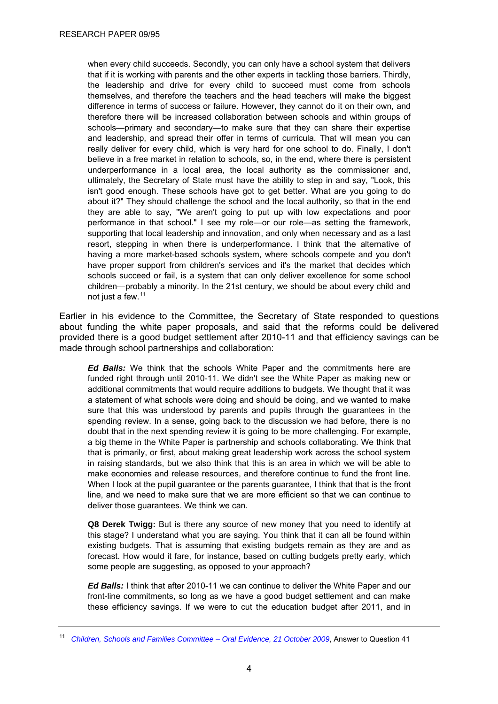<span id="page-7-0"></span>when every child succeeds. Secondly, you can only have a school system that delivers that if it is working with parents and the other experts in tackling those barriers. Thirdly, the leadership and drive for every child to succeed must come from schools themselves, and therefore the teachers and the head teachers will make the biggest difference in terms of success or failure. However, they cannot do it on their own, and therefore there will be increased collaboration between schools and within groups of schools—primary and secondary—to make sure that they can share their expertise and leadership, and spread their offer in terms of curricula. That will mean you can really deliver for every child, which is very hard for one school to do. Finally, I don't believe in a free market in relation to schools, so, in the end, where there is persistent underperformance in a local area, the local authority as the commissioner and, ultimately, the Secretary of State must have the ability to step in and say, "Look, this isn't good enough. These schools have got to get better. What are you going to do about it?" They should challenge the school and the local authority, so that in the end they are able to say, "We aren't going to put up with low expectations and poor performance in that school." I see my role—or our role—as setting the framework, supporting that local leadership and innovation, and only when necessary and as a last resort, stepping in when there is underperformance. I think that the alternative of having a more market-based schools system, where schools compete and you don't have proper support from children's services and it's the market that decides which schools succeed or fail, is a system that can only deliver excellence for some school children—probably a minority. In the 21st century, we should be about every child and not just a few.<sup>[11](#page-7-0)</sup>

Earlier in his evidence to the Committee, the Secretary of State responded to questions about funding the white paper proposals, and said that the reforms could be delivered provided there is a good budget settlement after 2010-11 and that efficiency savings can be made through school partnerships and collaboration:

*Ed Balls:* We think that the schools White Paper and the commitments here are funded right through until 2010-11. We didn't see the White Paper as making new or additional commitments that would require additions to budgets. We thought that it was a statement of what schools were doing and should be doing, and we wanted to make sure that this was understood by parents and pupils through the guarantees in the spending review. In a sense, going back to the discussion we had before, there is no doubt that in the next spending review it is going to be more challenging. For example, a big theme in the White Paper is partnership and schools collaborating. We think that that is primarily, or first, about making great leadership work across the school system in raising standards, but we also think that this is an area in which we will be able to make economies and release resources, and therefore continue to fund the front line. When I look at the pupil guarantee or the parents guarantee, I think that that is the front line, and we need to make sure that we are more efficient so that we can continue to deliver those guarantees. We think we can.

**Q8 Derek Twigg:** But is there any source of new money that you need to identify at this stage? I understand what you are saying. You think that it can all be found within existing budgets. That is assuming that existing budgets remain as they are and as forecast. How would it fare, for instance, based on cutting budgets pretty early, which some people are suggesting, as opposed to your approach?

*Ed Balls:* I think that after 2010-11 we can continue to deliver the White Paper and our front-line commitments, so long as we have a good budget settlement and can make these efficiency savings. If we were to cut the education budget after 2011, and in

<sup>11</sup> *[Children, Schools and Families Committee – Oral Evidence, 21 October 2009](http://www.publications.parliament.uk/pa/cm200809/cmselect/cmchilsch/116/09102104.htm)*, Answer to Question 41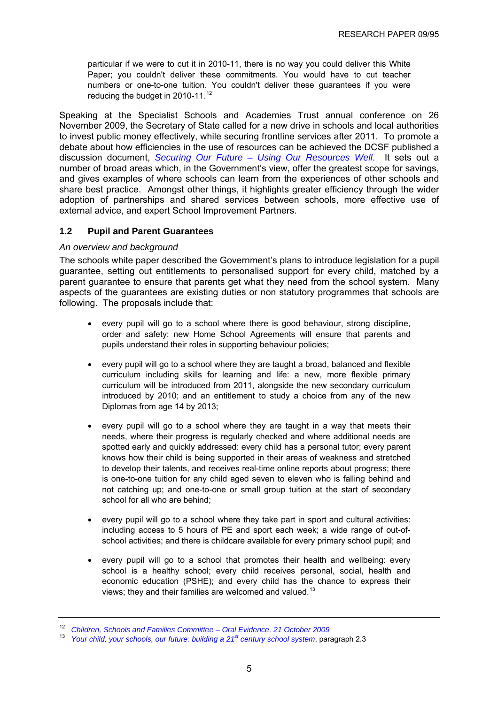<span id="page-8-0"></span>particular if we were to cut it in 2010-11, there is no way you could deliver this White Paper; you couldn't deliver these commitments. You would have to cut teacher numbers or one-to-one tuition. You couldn't deliver these guarantees if you were reducing the budget in 2010-11.<sup>[12](#page-8-0)</sup>

Speaking at the Specialist Schools and Academies Trust annual conference on 26 November 2009, the Secretary of State called for a new drive in schools and local authorities to invest public money effectively, while securing frontline services after 2011. To promote a debate about how efficiencies in the use of resources can be achieved the DCSF published a discussion document, *[Securing Our Future – Using Our Resources Well](http://publications.dcsf.gov.uk/eOrderingDownload/Securing-our-future.pdf)*. It sets out a number of broad areas which, in the Government's view, offer the greatest scope for savings, and gives examples of where schools can learn from the experiences of other schools and share best practice. Amongst other things, it highlights greater efficiency through the wider adoption of partnerships and shared services between schools, more effective use of external advice, and expert School Improvement Partners.

# **1.2 Pupil and Parent Guarantees**

#### *An overview and background*

The schools white paper described the Government's plans to introduce legislation for a pupil guarantee, setting out entitlements to personalised support for every child, matched by a parent guarantee to ensure that parents get what they need from the school system. Many aspects of the guarantees are existing duties or non statutory programmes that schools are following. The proposals include that:

- every pupil will go to a school where there is good behaviour, strong discipline, order and safety: new Home School Agreements will ensure that parents and pupils understand their roles in supporting behaviour policies;
- every pupil will go to a school where they are taught a broad, balanced and flexible curriculum including skills for learning and life: a new, more flexible primary curriculum will be introduced from 2011, alongside the new secondary curriculum introduced by 2010; and an entitlement to study a choice from any of the new Diplomas from age 14 by 2013;
- every pupil will go to a school where they are taught in a way that meets their needs, where their progress is regularly checked and where additional needs are spotted early and quickly addressed: every child has a personal tutor; every parent knows how their child is being supported in their areas of weakness and stretched to develop their talents, and receives real-time online reports about progress; there is one-to-one tuition for any child aged seven to eleven who is falling behind and not catching up; and one-to-one or small group tuition at the start of secondary school for all who are behind:
- every pupil will go to a school where they take part in sport and cultural activities: including access to 5 hours of PE and sport each week; a wide range of out-ofschool activities; and there is childcare available for every primary school pupil; and
- every pupil will go to a school that promotes their health and wellbeing: every school is a healthy school; every child receives personal, social, health and economic education (PSHE); and every child has the chance to express their views; they and their families are welcomed and valued.<sup>[13](#page-8-0)</sup>

<sup>12</sup> *[Children, Schools and Families Committee – Oral Evidence, 21 October 2009](http://www.publications.parliament.uk/pa/cm200809/cmselect/cmchilsch/116/09102102.htm)*

<sup>13</sup> *[Your child, your schools, our future: building a 21st century school system](http://publications.dcsf.gov.uk/default.aspx?PageFunction=productdetails&PageMode=publications&ProductId=Cm+7588)*, paragraph 2.3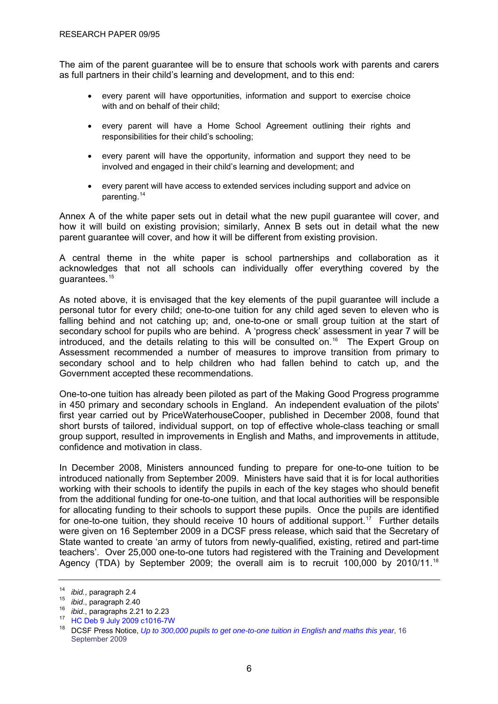<span id="page-9-0"></span>The aim of the parent guarantee will be to ensure that schools work with parents and carers as full partners in their child's learning and development, and to this end:

- every parent will have opportunities, information and support to exercise choice with and on behalf of their child:
- every parent will have a Home School Agreement outlining their rights and responsibilities for their child's schooling;
- every parent will have the opportunity, information and support they need to be involved and engaged in their child's learning and development; and
- every parent will have access to extended services including support and advice on parenting.[14](#page-9-0)

Annex A of the white paper sets out in detail what the new pupil guarantee will cover, and how it will build on existing provision; similarly, Annex B sets out in detail what the new parent guarantee will cover, and how it will be different from existing provision.

A central theme in the white paper is school partnerships and collaboration as it acknowledges that not all schools can individually offer everything covered by the guarantees.[15](#page-9-0)

As noted above, it is envisaged that the key elements of the pupil guarantee will include a personal tutor for every child; one-to-one tuition for any child aged seven to eleven who is falling behind and not catching up; and, one-to-one or small group tuition at the start of secondary school for pupils who are behind. A 'progress check' assessment in year 7 will be introduced, and the details relating to this will be consulted on.<sup>[16](#page-9-0)</sup> The Expert Group on Assessment recommended a number of measures to improve transition from primary to secondary school and to help children who had fallen behind to catch up, and the Government accepted these recommendations.

One-to-one tuition has already been piloted as part of the Making Good Progress programme in 450 primary and secondary schools in England. An independent evaluation of the pilots' first year carried out by PriceWaterhouseCooper, published in December 2008, found that short bursts of tailored, individual support, on top of effective whole-class teaching or small group support, resulted in improvements in English and Maths, and improvements in attitude, confidence and motivation in class.

In December 2008, Ministers announced funding to prepare for one-to-one tuition to be introduced nationally from September 2009. Ministers have said that it is for local authorities working with their schools to identify the pupils in each of the key stages who should benefit from the additional funding for one-to-one tuition, and that local authorities will be responsible for allocating funding to their schools to support these pupils. Once the pupils are identified for one-to-one tuition, they should receive 10 hours of additional support.<sup>[17](#page-9-0)</sup> Further details were given on 16 September 2009 in a DCSF press release, which said that the Secretary of State wanted to create 'an army of tutors from newly-qualified, existing, retired and part-time teachers'. Over 25,000 one-to-one tutors had registered with the Training and Development Agency (TDA) by September 2009; the overall aim is to recruit 100,000 by 2010/11.<sup>[18](#page-9-0)</sup>

<sup>14</sup> *ibid.*, paragraph 2.4<br><sup>15</sup> *ibid.*, paragraph 2.40<br><sup>16</sup> *ibid.*, paragraphs 2.21 to 2.23<br><sup>17</sup> [HC Deb 9 July 2009 c1016-7W](http://www.parliament.the-stationery-office.co.uk/pa/cm200809/cmhansrd/cm090709/text/90709w0023.htm)

<sup>&</sup>lt;sup>18</sup> DCSF Press Notice, *[Up to 300,000 pupils to get one-to-one tuition in English and maths this year](http://www.dcsf.gov.uk/pns/DisplayPN.cgi?pn_id=2009_0163)*, 16 September 2009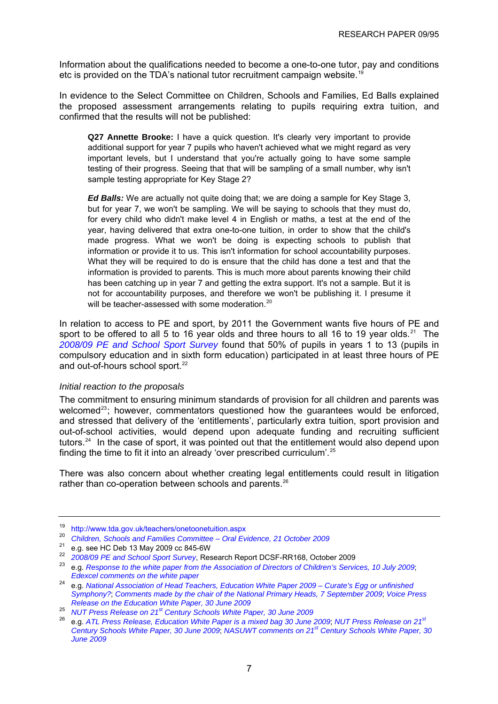<span id="page-10-0"></span>Information about the qualifications needed to become a one-to-one tutor, pay and conditions etc is provided on the TDA's national tutor recruitment campaign website.<sup>[19](#page-10-0)</sup>

In evidence to the Select Committee on Children, Schools and Families, Ed Balls explained the proposed assessment arrangements relating to pupils requiring extra tuition, and confirmed that the results will not be published:

**Q27 Annette Brooke:** I have a quick question. It's clearly very important to provide additional support for year 7 pupils who haven't achieved what we might regard as very important levels, but I understand that you're actually going to have some sample testing of their progress. Seeing that that will be sampling of a small number, why isn't sample testing appropriate for Key Stage 2?

*Ed Balls:* We are actually not quite doing that; we are doing a sample for Key Stage 3, but for year 7, we won't be sampling. We will be saying to schools that they must do, for every child who didn't make level 4 in English or maths, a test at the end of the year, having delivered that extra one-to-one tuition, in order to show that the child's made progress. What we won't be doing is expecting schools to publish that information or provide it to us. This isn't information for school accountability purposes. What they will be required to do is ensure that the child has done a test and that the information is provided to parents. This is much more about parents knowing their child has been catching up in year 7 and getting the extra support. It's not a sample. But it is not for accountability purposes, and therefore we won't be publishing it. I presume it will be teacher-assessed with some moderation.<sup>[20](#page-10-0)</sup>

In relation to access to PE and sport, by 2011 the Government wants five hours of PE and sport to be offered to all 5 to 16 year olds and three hours to all 16 to 19 year olds.<sup>[21](#page-10-0)</sup> The *[2008/09 PE and School Sport Survey](http://www.teachernet.gov.uk/docbank/index.cfm?id=14380)* found that 50% of pupils in years 1 to 13 (pupils in compulsory education and in sixth form education) participated in at least three hours of PE and out-of-hours school sport.<sup>[22](#page-10-0)</sup>

#### *Initial reaction to the proposals*

The commitment to ensuring minimum standards of provision for all children and parents was welcomed $^{23}$  $^{23}$  $^{23}$ ; however, commentators questioned how the guarantees would be enforced, and stressed that delivery of the 'entitlements', particularly extra tuition, sport provision and out-of-school activities, would depend upon adequate funding and recruiting sufficient tutors.[24](#page-10-0) In the case of sport, it was pointed out that the entitlement would also depend upon finding the time to fit it into an already 'over prescribed curriculum'.[25](#page-10-0)

There was also concern about whether creating legal entitlements could result in litigation rather than co-operation between schools and parents.<sup>[26](#page-10-0)</sup>

<sup>19</sup> <http://www.tda.gov.uk/teachers/onetoonetuition.aspx>

<sup>20</sup> *[Children, Schools and Families Committee – Oral Evidence, 21 October 2009](http://www.publications.parliament.uk/pa/cm200809/cmselect/cmchilsch/116/09102102.htm)*

<sup>&</sup>lt;sup>21</sup> e.g. see HC Deb 13 May 2009 cc 845-6W<br><sup>22</sup> 2008/09 PE and School Sport Survey, Research Report DCSF-RR168, October 2009

<sup>&</sup>lt;sup>23</sup> e.g. [Response to the white paper from the Association of Directors of Children's Services, 10 July 2009](http://www.adcs.org.uk/Downloads/Consultation%20responses/060709-ADCS-response-to-WP-Yr-child-yr-school-our-future.pdf); *[Edexcel comments on the white paper](http://www.edexcel.com/Policies/Documents/Schools%20white%20paper%20June%2009.pdf)*

<sup>24</sup> e.g. *[National Association of Head Teachers, Education White Paper 2009 – Curate's Egg or unfinished](http://www.naht.org.uk/welcome/resources/key-topics/government-policy/education-white-paper-2009/)  [Symphony?](http://www.naht.org.uk/welcome/resources/key-topics/government-policy/education-white-paper-2009/)*; *[Comments made by the chair of the National Primary Heads, 7 September 2009](http://www.primaryheads.org.uk/)*; *[Voice Press](http://www.voicetheunion.org.uk/index.cfm/page/_sections.contentdetail.cfm/navid/11/parentid/0/id/1570)  [Release on the Education White Paper, 30 June 2009](http://www.voicetheunion.org.uk/index.cfm/page/_sections.contentdetail.cfm/navid/11/parentid/0/id/1570)*

<sup>25</sup> *[NUT Press Release on 21st Century Schools White Paper, 30 June 2009](http://www.teachers.org.uk/story.php?id=4770)*

<sup>26</sup> e.g. *[ATL Press Release, Education White Paper is a mixed bag 30 June 2009](http://www.atl.org.uk/media-office/media-archive/Education-White-Paper-is-a-mixed-bag.asp)*; *[NUT Press Release on 21st](http://www.teachers.org.uk/story.php?id=4770) [Century Schools White Paper, 30 June 2009](http://www.teachers.org.uk/story.php?id=4770)*; *[NASUWT comments on 21st Century Schools White Paper, 30](http://www.nasuwt.org.uk/Whatsnew/NASUWTNews/PressReleases/NASUWTCommentsOn21stCenturySchoolsWhitePaper/NASUWT_004468)  [June 2009](http://www.nasuwt.org.uk/Whatsnew/NASUWTNews/PressReleases/NASUWTCommentsOn21stCenturySchoolsWhitePaper/NASUWT_004468)*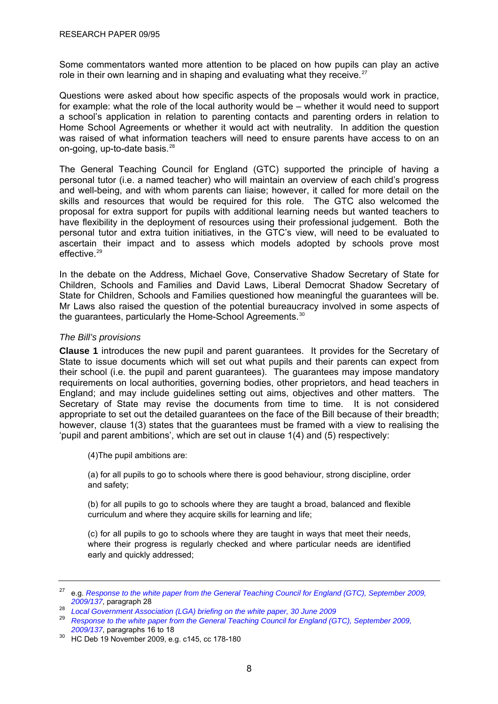<span id="page-11-0"></span>Some commentators wanted more attention to be placed on how pupils can play an active role in their own learning and in shaping and evaluating what they receive.<sup>[27](#page-11-0)</sup>

Questions were asked about how specific aspects of the proposals would work in practice, for example: what the role of the local authority would be – whether it would need to support a school's application in relation to parenting contacts and parenting orders in relation to Home School Agreements or whether it would act with neutrality. In addition the question was raised of what information teachers will need to ensure parents have access to on an on-going, up-to-date basis.<sup>[28](#page-11-0)</sup>

The General Teaching Council for England (GTC) supported the principle of having a personal tutor (i.e. a named teacher) who will maintain an overview of each child's progress and well-being, and with whom parents can liaise; however, it called for more detail on the skills and resources that would be required for this role. The GTC also welcomed the proposal for extra support for pupils with additional learning needs but wanted teachers to have flexibility in the deployment of resources using their professional judgement. Both the personal tutor and extra tuition initiatives, in the GTC's view, will need to be evaluated to ascertain their impact and to assess which models adopted by schools prove most effective.<sup>[29](#page-11-0)</sup>

In the debate on the Address, Michael Gove, Conservative Shadow Secretary of State for Children, Schools and Families and David Laws, Liberal Democrat Shadow Secretary of State for Children, Schools and Families questioned how meaningful the guarantees will be. Mr Laws also raised the question of the potential bureaucracy involved in some aspects of the quarantees, particularly the Home-School Agreements.<sup>[30](#page-11-0)</sup>

# *The Bill's provisions*

**Clause 1** introduces the new pupil and parent guarantees. It provides for the Secretary of State to issue documents which will set out what pupils and their parents can expect from their school (i.e. the pupil and parent guarantees). The guarantees may impose mandatory requirements on local authorities, governing bodies, other proprietors, and head teachers in England; and may include guidelines setting out aims, objectives and other matters. The Secretary of State may revise the documents from time to time. It is not considered appropriate to set out the detailed guarantees on the face of the Bill because of their breadth; however, clause 1(3) states that the guarantees must be framed with a view to realising the 'pupil and parent ambitions', which are set out in clause 1(4) and (5) respectively:

(4)The pupil ambitions are:

(a) for all pupils to go to schools where there is good behaviour, strong discipline, order and safety;

(b) for all pupils to go to schools where they are taught a broad, balanced and flexible curriculum and where they acquire skills for learning and life;

(c) for all pupils to go to schools where they are taught in ways that meet their needs, where their progress is regularly checked and where particular needs are identified early and quickly addressed;

<sup>27</sup> e.g. *[Response to the white paper from the General Teaching Council for England \(GTC\), September 2009,](http://www.gtce.org.uk/documents/publicationpdfs/dcsf_c21schools0909.pdf)* 

<sup>&</sup>lt;sup>28</sup> *Local Government Association (LGA) briefing on the white paper[,](http://www.gtce.org.uk/documents/publicationpdfs/dcsf_c21schools0909.pdf) 30 June 2009* 

<sup>29</sup> *[Response to the white paper from the General Teaching Council for England \(GTC\), September 2009,](http://www.gtce.org.uk/documents/publicationpdfs/dcsf_c21schools0909.pdf)* 

<sup>&</sup>lt;sup>30</sup> HC Deb 19 November 2009[,](http://www.gtce.org.uk/documents/publicationpdfs/dcsf_c21schools0909.pdf) e.g. c145, cc 178-180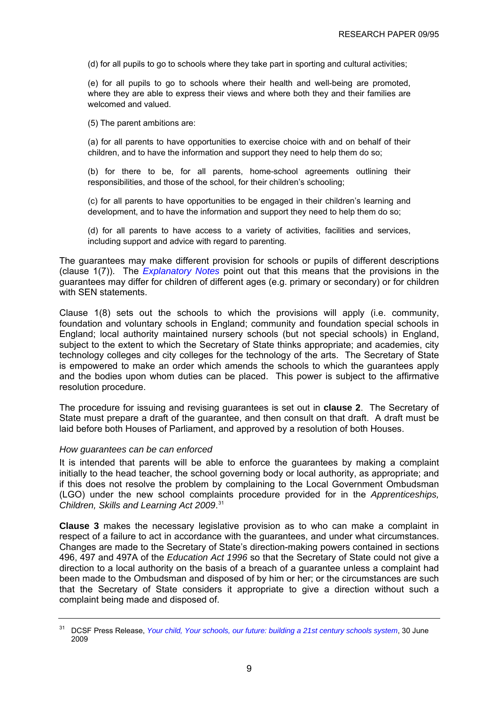<span id="page-12-0"></span>(d) for all pupils to go to schools where they take part in sporting and cultural activities;

(e) for all pupils to go to schools where their health and well-being are promoted, where they are able to express their views and where both they and their families are welcomed and valued.

(5) The parent ambitions are:

(a) for all parents to have opportunities to exercise choice with and on behalf of their children, and to have the information and support they need to help them do so;

(b) for there to be, for all parents, home-school agreements outlining their responsibilities, and those of the school, for their children's schooling;

(c) for all parents to have opportunities to be engaged in their children's learning and development, and to have the information and support they need to help them do so;

(d) for all parents to have access to a variety of activities, facilities and services, including support and advice with regard to parenting.

The guarantees may make different provision for schools or pupils of different descriptions (clause 1(7)). The *[Explanatory Notes](http://www.publications.parliament.uk/pa/cm200910/cmbills/008/en/10008x--.htm#end)* point out that this means that the provisions in the guarantees may differ for children of different ages (e.g. primary or secondary) or for children with SEN statements.

Clause 1(8) sets out the schools to which the provisions will apply (i.e. community, foundation and voluntary schools in England; community and foundation special schools in England; local authority maintained nursery schools (but not special schools) in England, subject to the extent to which the Secretary of State thinks appropriate; and academies, city technology colleges and city colleges for the technology of the arts. The Secretary of State is empowered to make an order which amends the schools to which the guarantees apply and the bodies upon whom duties can be placed. This power is subject to the affirmative resolution procedure.

The procedure for issuing and revising guarantees is set out in **clause 2**. The Secretary of State must prepare a draft of the guarantee, and then consult on that draft. A draft must be laid before both Houses of Parliament, and approved by a resolution of both Houses.

#### *How guarantees can be can enforced*

It is intended that parents will be able to enforce the guarantees by making a complaint initially to the head teacher, the school governing body or local authority, as appropriate; and if this does not resolve the problem by complaining to the Local Government Ombudsman (LGO) under the new school complaints procedure provided for in the *Apprenticeships, Children, Skills and Learning Act 2009*. [31](#page-12-0)

**Clause 3** makes the necessary legislative provision as to who can make a complaint in respect of a failure to act in accordance with the guarantees, and under what circumstances. Changes are made to the Secretary of State's direction-making powers contained in sections 496, 497 and 497A of the *Education Act 1996* so that the Secretary of State could not give a direction to a local authority on the basis of a breach of a guarantee unless a complaint had been made to the Ombudsman and disposed of by him or her; or the circumstances are such that the Secretary of State considers it appropriate to give a direction without such a complaint being made and disposed of.

<sup>31</sup> DCSF Press Release, *[Your child, Your schools, our future: building a 21st century schools system](http://www.dcsf.gov.uk/pns/DisplayPN.cgi?pn_id=2009_0116)*, 30 June 2009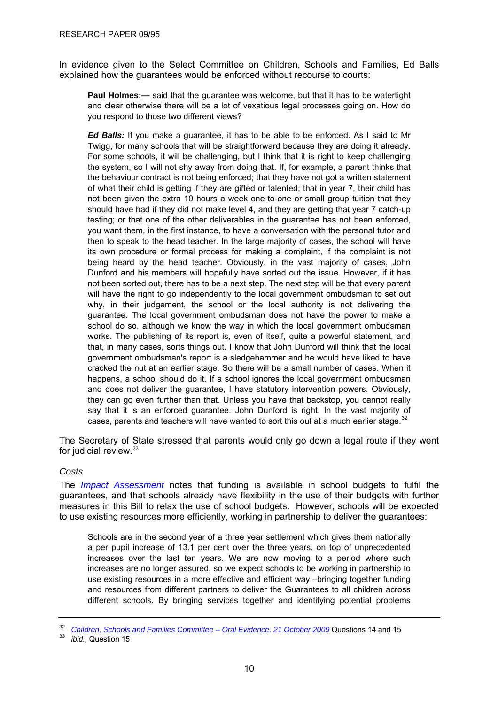<span id="page-13-0"></span>In evidence given to the Select Committee on Children, Schools and Families, Ed Balls explained how the guarantees would be enforced without recourse to courts:

**Paul Holmes:—** said that the guarantee was welcome, but that it has to be watertight and clear otherwise there will be a lot of vexatious legal processes going on. How do you respond to those two different views?

*Ed Balls:* If you make a guarantee, it has to be able to be enforced. As I said to Mr Twigg, for many schools that will be straightforward because they are doing it already. For some schools, it will be challenging, but I think that it is right to keep challenging the system, so I will not shy away from doing that. If, for example, a parent thinks that the behaviour contract is not being enforced; that they have not got a written statement of what their child is getting if they are gifted or talented; that in year 7, their child has not been given the extra 10 hours a week one-to-one or small group tuition that they should have had if they did not make level 4, and they are getting that year 7 catch-up testing; or that one of the other deliverables in the guarantee has not been enforced, you want them, in the first instance, to have a conversation with the personal tutor and then to speak to the head teacher. In the large majority of cases, the school will have its own procedure or formal process for making a complaint, if the complaint is not being heard by the head teacher. Obviously, in the vast majority of cases, John Dunford and his members will hopefully have sorted out the issue. However, if it has not been sorted out, there has to be a next step. The next step will be that every parent will have the right to go independently to the local government ombudsman to set out why, in their judgement, the school or the local authority is not delivering the guarantee. The local government ombudsman does not have the power to make a school do so, although we know the way in which the local government ombudsman works. The publishing of its report is, even of itself, quite a powerful statement, and that, in many cases, sorts things out. I know that John Dunford will think that the local government ombudsman's report is a sledgehammer and he would have liked to have cracked the nut at an earlier stage. So there will be a small number of cases. When it happens, a school should do it. If a school ignores the local government ombudsman and does not deliver the guarantee, I have statutory intervention powers. Obviously, they can go even further than that. Unless you have that backstop, you cannot really say that it is an enforced guarantee. John Dunford is right. In the vast majority of cases, parents and teachers will have wanted to sort this out at a much earlier stage. $32$ 

The Secretary of State stressed that parents would only go down a legal route if they went for judicial review.<sup>[33](#page-13-0)</sup>

#### *Costs*

The *[Impact Assessment](http://publications.dcsf.gov.uk/eOrderingDownload/CSF-Bill_Impact-Assessment.pdf)* notes that funding is available in school budgets to fulfil the guarantees, and that schools already have flexibility in the use of their budgets with further measures in this Bill to relax the use of school budgets. However, schools will be expected to use existing resources more efficiently, working in partnership to deliver the guarantees:

Schools are in the second year of a three year settlement which gives them nationally a per pupil increase of 13.1 per cent over the three years, on top of unprecedented increases over the last ten years. We are now moving to a period where such increases are no longer assured, so we expect schools to be working in partnership to use existing resources in a more effective and efficient way –bringing together funding and resources from different partners to deliver the Guarantees to all children across different schools. By bringing services together and identifying potential problems

<sup>&</sup>lt;sup>32</sup> Children, Schools and Families Committee – Oral Evidence, 21 October 2009 Questions 14 and 15<br><sup>33</sup> *ibid.*, Question 15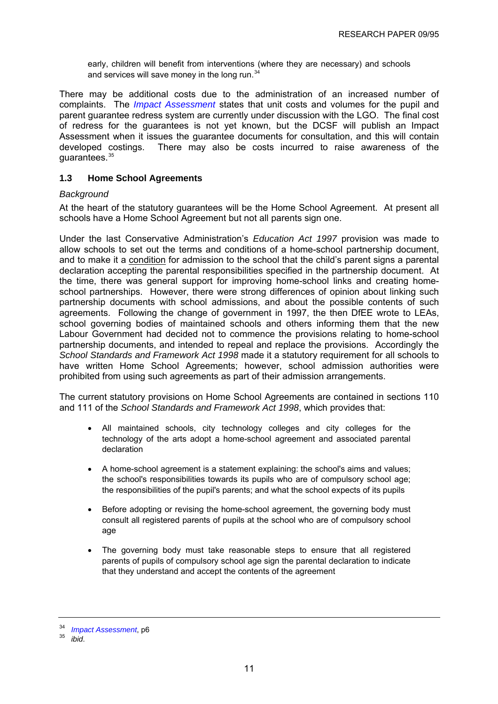<span id="page-14-0"></span>early, children will benefit from interventions (where they are necessary) and schools and services will save money in the long run.<sup>[34](#page-14-0)</sup>

There may be additional costs due to the administration of an increased number of complaints. The *[Impact Assessment](http://publications.dcsf.gov.uk/eOrderingDownload/CSF-Bill_Impact-Assessment.pdf)* states that unit costs and volumes for the pupil and parent guarantee redress system are currently under discussion with the LGO. The final cost of redress for the guarantees is not yet known, but the DCSF will publish an Impact Assessment when it issues the guarantee documents for consultation, and this will contain developed costings. There may also be costs incurred to raise awareness of the quarantees. $35$ 

# **1.3 Home School Agreements**

#### *Background*

At the heart of the statutory guarantees will be the Home School Agreement. At present all schools have a Home School Agreement but not all parents sign one.

Under the last Conservative Administration's *Education Act 1997* provision was made to allow schools to set out the terms and conditions of a home-school partnership document, and to make it a condition for admission to the school that the child's parent signs a parental declaration accepting the parental responsibilities specified in the partnership document. At the time, there was general support for improving home-school links and creating homeschool partnerships. However, there were strong differences of opinion about linking such partnership documents with school admissions, and about the possible contents of such agreements. Following the change of government in 1997, the then DfEE wrote to LEAs, school governing bodies of maintained schools and others informing them that the new Labour Government had decided not to commence the provisions relating to home-school partnership documents, and intended to repeal and replace the provisions. Accordingly the *School Standards and Framework Act 1998* made it a statutory requirement for all schools to have written Home School Agreements; however, school admission authorities were prohibited from using such agreements as part of their admission arrangements.

The current statutory provisions on Home School Agreements are contained in sections 110 and 111 of the *School Standards and Framework Act 1998*, which provides that:

- All maintained schools, city technology colleges and city colleges for the technology of the arts adopt a home-school agreement and associated parental declaration
- A home-school agreement is a statement explaining: the school's aims and values; the school's responsibilities towards its pupils who are of compulsory school age; the responsibilities of the pupil's parents; and what the school expects of its pupils
- Before adopting or revising the home-school agreement, the governing body must consult all registered parents of pupils at the school who are of compulsory school age
- The governing body must take reasonable steps to ensure that all registered parents of pupils of compulsory school age sign the parental declaration to indicate that they understand and accept the contents of the agreement

<sup>34</sup>*Impact Assessment*[,](http://publications.dcsf.gov.uk/eOrderingDownload/CSF-Bill_Impact-Assessment.pdf) p6 35 *ibid*.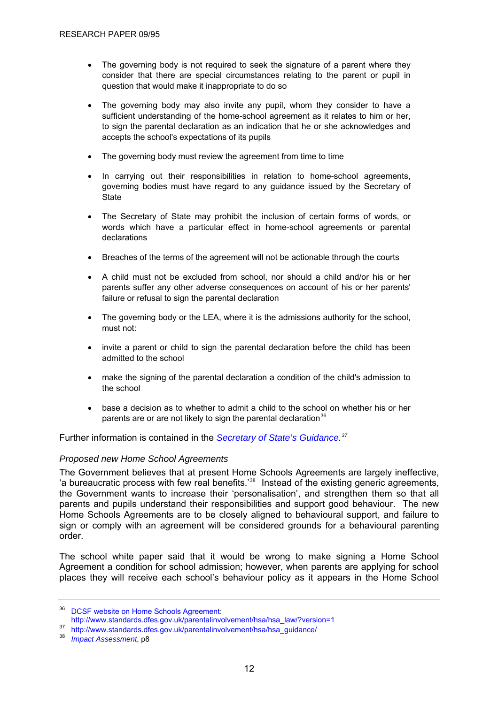- <span id="page-15-0"></span>• The governing body is not required to seek the signature of a parent where they consider that there are special circumstances relating to the parent or pupil in question that would make it inappropriate to do so
- The governing body may also invite any pupil, whom they consider to have a sufficient understanding of the home-school agreement as it relates to him or her, to sign the parental declaration as an indication that he or she acknowledges and accepts the school's expectations of its pupils
- The governing body must review the agreement from time to time
- In carrying out their responsibilities in relation to home-school agreements, governing bodies must have regard to any [guidance](http://www.standards.dfes.gov.uk/parentalinvolvement/hsa/hsa_guidance/) issued by the Secretary of **State**
- The Secretary of State may prohibit the inclusion of certain forms of words, or words which have a particular effect in home-school agreements or parental declarations
- Breaches of the terms of the agreement will not be actionable through the courts
- A child must not be excluded from school, nor should a child and/or his or her parents suffer any other adverse consequences on account of his or her parents' failure or refusal to sign the parental declaration
- The governing body or the LEA, where it is the admissions authority for the school, must not:
- invite a parent or child to sign the parental declaration before the child has been admitted to the school
- make the signing of the parental declaration a condition of the child's admission to the school
- base a decision as to whether to admit a child to the school on whether his or her parents are or are not likely to sign the parental declaration  $36$

Further information is contained in the *[Secretary of State's Guidance.](http://www.standards.dfes.gov.uk/parentalinvolvement/hsa/hsa_guidance/hsa_guidance_should/) [37](#page-15-0)*

# *Proposed new Home School Agreements*

The Government believes that at present Home Schools Agreements are largely ineffective, 'a bureaucratic process with few real benefits.'[38](#page-15-0) Instead of the existing generic agreements, the Government wants to increase their 'personalisation', and strengthen them so that all parents and pupils understand their responsibilities and support good behaviour. The new Home Schools Agreements are to be closely aligned to behavioural support, and failure to sign or comply with an agreement will be considered grounds for a behavioural parenting order.

The school white paper said that it would be wrong to make signing a Home School Agreement a condition for school admission; however, when parents are applying for school places they will receive each school's behaviour policy as it appears in the Home School

<sup>&</sup>lt;sup>36</sup> [DCSF website on Home Schools Agreement:](http://www.standards.dfes.gov.uk/parentalinvolvement/hsa/hsa_law/?version=1)

[http://www.standards.dfes.gov.uk/parentalinvolvement/hsa/hsa\\_law/?version=1](http://www.standards.dfes.gov.uk/parentalinvolvement/hsa/hsa_law/?version=1)

<sup>37</sup> [http://www.standards.dfes.gov.uk/parentalinvolvement/hsa/hsa\\_guidance/](http://www.standards.dfes.gov.uk/parentalinvolvement/hsa/hsa_guidance/)

<sup>38</sup> *[Impact Assessment](http://publications.dcsf.gov.uk/eOrderingDownload/CSF-Bill_Impact-Assessment.pdf)*, p8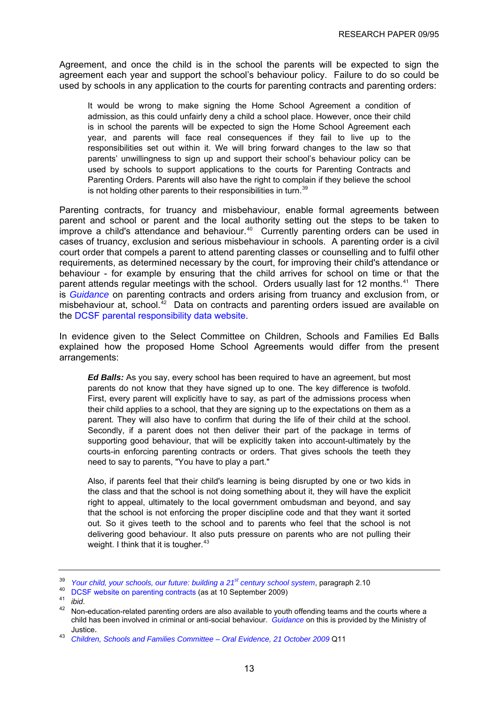<span id="page-16-0"></span>Agreement, and once the child is in the school the parents will be expected to sign the agreement each year and support the school's behaviour policy. Failure to do so could be used by schools in any application to the courts for parenting contracts and parenting orders:

It would be wrong to make signing the Home School Agreement a condition of admission, as this could unfairly deny a child a school place. However, once their child is in school the parents will be expected to sign the Home School Agreement each year, and parents will face real consequences if they fail to live up to the responsibilities set out within it. We will bring forward changes to the law so that parents' unwillingness to sign up and support their school's behaviour policy can be used by schools to support applications to the courts for Parenting Contracts and Parenting Orders. Parents will also have the right to complain if they believe the school is not holding other parents to their responsibilities in turn. $39$ 

Parenting contracts, for truancy and misbehaviour, enable formal agreements between parent and school or parent and the local authority setting out the steps to be taken to improve a child's attendance and behaviour. $40$  Currently parenting orders can be used in cases of truancy, exclusion and serious misbehaviour in schools. A parenting order is a civil court order that compels a parent to attend parenting classes or counselling and to fulfil other requirements, as determined necessary by the court, for improving their child's attendance or behaviour - for example by ensuring that the child arrives for school on time or that the parent attends regular meetings with the school. Orders usually last for 12 months.<sup>[41](#page-16-0)</sup> There is *[Guidance](http://publications.teachernet.gov.uk/default.aspx?PageFunction=productdetails&PageMode=publications&ProductId=DFES-00530-2007&)* on parenting contracts and orders arising from truancy and exclusion from, or misbehaviour at, school. $42$  Data on contracts and parenting orders issued are available on the [DCSF parental responsibility data website](http://www.teachernet.gov.uk/wholeschool/behaviour/pcspospns/prdata/).

In evidence given to the Select Committee on Children, Schools and Families Ed Balls explained how the proposed Home School Agreements would differ from the present arrangements:

*Ed Balls:* As you say, every school has been required to have an agreement, but most parents do not know that they have signed up to one. The key difference is twofold. First, every parent will explicitly have to say, as part of the admissions process when their child applies to a school, that they are signing up to the expectations on them as a parent. They will also have to confirm that during the life of their child at the school. Secondly, if a parent does not then deliver their part of the package in terms of supporting good behaviour, that will be explicitly taken into account-ultimately by the courts-in enforcing parenting contracts or orders. That gives schools the teeth they need to say to parents, "You have to play a part."

Also, if parents feel that their child's learning is being disrupted by one or two kids in the class and that the school is not doing something about it, they will have the explicit right to appeal, ultimately to the local government ombudsman and beyond, and say that the school is not enforcing the proper discipline code and that they want it sorted out. So it gives teeth to the school and to parents who feel that the school is not delivering good behaviour. It also puts pressure on parents who are not pulling their weight. I think that it is tougher.  $43$ 

<sup>&</sup>lt;sup>39</sup>*Your child, your schools, our future: building a 21<sup>st</sup> century school system, paragraph 2.10*<br><sup>40</sup> [DCSF website on parenting contracts](http://www.teachernet.gov.uk/wholeschool/behaviour/pcspospns/pcs/) (as at 10 September 2009)<br>*ibid.*<br><sup>42</sup> *ibid.* 

Non-education-related parenting orders are also available to youth offending teams and the courts where a child has been involved in criminal or anti-social behaviour. *[Guidance](http://publications.teachernet.gov.uk/default.aspx?PageFunction=productdetails&PageMode=publications&ProductId=PARENTING-CONTRACTS&)* on this is provided by the Ministry of Justice.

<sup>43</sup> *[Children, Schools and Families Committee – Oral Evidence, 21 October 2009](http://www.publications.parliament.uk/pa/cm200809/cmselect/cmchilsch/116/09102102.htm)* Q11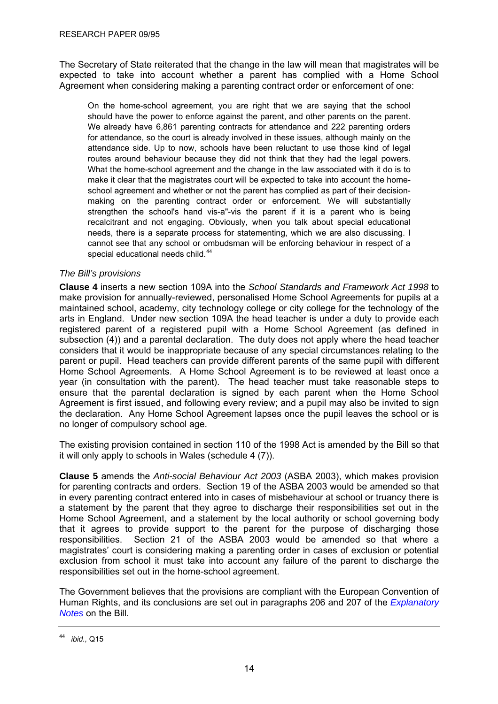<span id="page-17-0"></span>The Secretary of State reiterated that the change in the law will mean that magistrates will be expected to take into account whether a parent has complied with a Home School Agreement when considering making a parenting contract order or enforcement of one:

On the home-school agreement, you are right that we are saying that the school should have the power to enforce against the parent, and other parents on the parent. We already have 6,861 parenting contracts for attendance and 222 parenting orders for attendance, so the court is already involved in these issues, although mainly on the attendance side. Up to now, schools have been reluctant to use those kind of legal routes around behaviour because they did not think that they had the legal powers. What the home-school agreement and the change in the law associated with it do is to make it clear that the magistrates court will be expected to take into account the homeschool agreement and whether or not the parent has complied as part of their decisionmaking on the parenting contract order or enforcement. We will substantially strengthen the school's hand vis-a"-vis the parent if it is a parent who is being recalcitrant and not engaging. Obviously, when you talk about special educational needs, there is a separate process for statementing, which we are also discussing. I cannot see that any school or ombudsman will be enforcing behaviour in respect of a special educational needs child.<sup>[44](#page-17-0)</sup>

# *The Bill's provisions*

**Clause 4** inserts a new section 109A into the *School Standards and Framework Act 1998* to make provision for annually-reviewed, personalised Home School Agreements for pupils at a maintained school, academy, city technology college or city college for the technology of the arts in England. Under new section 109A the head teacher is under a duty to provide each registered parent of a registered pupil with a Home School Agreement (as defined in subsection (4)) and a parental declaration. The duty does not apply where the head teacher considers that it would be inappropriate because of any special circumstances relating to the parent or pupil. Head teachers can provide different parents of the same pupil with different Home School Agreements. A Home School Agreement is to be reviewed at least once a year (in consultation with the parent). The head teacher must take reasonable steps to ensure that the parental declaration is signed by each parent when the Home School Agreement is first issued, and following every review; and a pupil may also be invited to sign the declaration. Any Home School Agreement lapses once the pupil leaves the school or is no longer of compulsory school age.

The existing provision contained in section 110 of the 1998 Act is amended by the Bill so that it will only apply to schools in Wales (schedule 4 (7)).

**Clause 5** amends the *Anti-social Behaviour Act 2003* (ASBA 2003), which makes provision for parenting contracts and orders. Section 19 of the ASBA 2003 would be amended so that in every parenting contract entered into in cases of misbehaviour at school or truancy there is a statement by the parent that they agree to discharge their responsibilities set out in the Home School Agreement, and a statement by the local authority or school governing body that it agrees to provide support to the parent for the purpose of discharging those responsibilities. Section 21 of the ASBA 2003 would be amended so that where a magistrates' court is considering making a parenting order in cases of exclusion or potential exclusion from school it must take into account any failure of the parent to discharge the responsibilities set out in the home-school agreement.

The Government believes that the provisions are compliant with the European Convention of Human Rights, and its conclusions are set out in paragraphs 206 and 207 of the *[Explanatory](http://www.publications.parliament.uk/pa/cm200910/cmbills/008/en/10008x--.htm#end)  [Notes](http://www.publications.parliament.uk/pa/cm200910/cmbills/008/en/10008x--.htm#end)* on the Bill.

<sup>44</sup> *ibid.,* Q15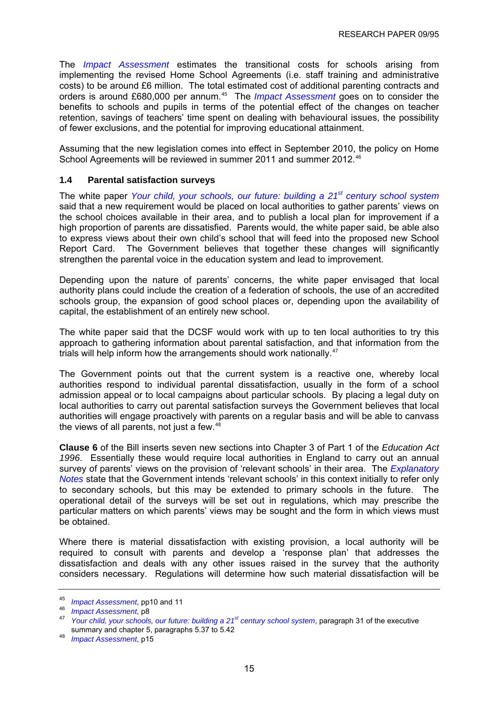<span id="page-18-0"></span>The *[Impact Assessment](http://publications.dcsf.gov.uk/eOrderingDownload/CSF-Bill_Impact-Assessment.pdf)* estimates the transitional costs for schools arising from implementing the revised Home School Agreements (i.e. staff training and administrative costs) to be around £6 million. The total estimated cost of additional parenting contracts and orders is around £680,000 per annum.<sup>[45](#page-18-0)</sup> The *[Impact Assessment](http://publications.dcsf.gov.uk/eOrderingDownload/CSF-Bill_Impact-Assessment.pdf)* goes on to consider the benefits to schools and pupils in terms of the potential effect of the changes on teacher retention, savings of teachers' time spent on dealing with behavioural issues, the possibility of fewer exclusions, and the potential for improving educational attainment.

Assuming that the new legislation comes into effect in September 2010, the policy on Home School Agreements will be reviewed in summer 2011 and summer 2012.<sup>[46](#page-18-0)</sup>

#### **1.4 Parental satisfaction surveys**

The white paper *[Your child, your schools, our future: building a 21st century school system](http://publications.dcsf.gov.uk/default.aspx?PageFunction=productdetails&PageMode=publications&ProductId=Cm+7588)* said that a new requirement would be placed on local authorities to gather parents' views on the school choices available in their area, and to publish a local plan for improvement if a high proportion of parents are dissatisfied. Parents would, the white paper said, be able also to express views about their own child's school that will feed into the proposed new School Report Card. The Government believes that together these changes will significantly strengthen the parental voice in the education system and lead to improvement.

Depending upon the nature of parents' concerns, the white paper envisaged that local authority plans could include the creation of a federation of schools, the use of an accredited schools group, the expansion of good school places or, depending upon the availability of capital, the establishment of an entirely new school.

The white paper said that the DCSF would work with up to ten local authorities to try this approach to gathering information about parental satisfaction, and that information from the trials will help inform how the arrangements should work nationally.<sup>[47](#page-18-0)</sup>

The Government points out that the current system is a reactive one, whereby local authorities respond to individual parental dissatisfaction, usually in the form of a school admission appeal or to local campaigns about particular schools. By placing a legal duty on local authorities to carry out parental satisfaction surveys the Government believes that local authorities will engage proactively with parents on a regular basis and will be able to canvass the views of all parents, not just a few.<sup>[48](#page-18-0)</sup>

**Clause 6** of the Bill inserts seven new sections into Chapter 3 of Part 1 of the *Education Act 1996*. Essentially these would require local authorities in England to carry out an annual survey of parents' views on the provision of 'relevant schools' in their area. The *[Explanatory](http://www.publications.parliament.uk/pa/cm200910/cmbills/008/en/10008x--.htm#end)  [Notes](http://www.publications.parliament.uk/pa/cm200910/cmbills/008/en/10008x--.htm#end)* state that the Government intends 'relevant schools' in this context initially to refer only to secondary schools, but this may be extended to primary schools in the future. The operational detail of the surveys will be set out in regulations, which may prescribe the particular matters on which parents' views may be sought and the form in which views must be obtained.

Where there is material dissatisfaction with existing provision, a local authority will be required to consult with parents and develop a 'response plan' that addresses the dissatisfaction and deals with any other issues raised in the survey that the authority considers necessary. Regulations will determine how such material dissatisfaction will be

<sup>45</sup>*Impact Assessment*[,](http://publications.dcsf.gov.uk/eOrderingDownload/CSF-Bill_Impact-Assessment.pdf) pp10 and 11 46 *Impact Assessment*, p8 47 *[Your child, your schools, our future: building a 21st century school system](http://publications.dcsf.gov.uk/default.aspx?PageFunction=productdetails&PageMode=publications&ProductId=Cm+7588)*, paragraph 31 of the executive summary and chapter 5, paragraphs 5.37 to 5.42<br>*Impact Assessment*, p15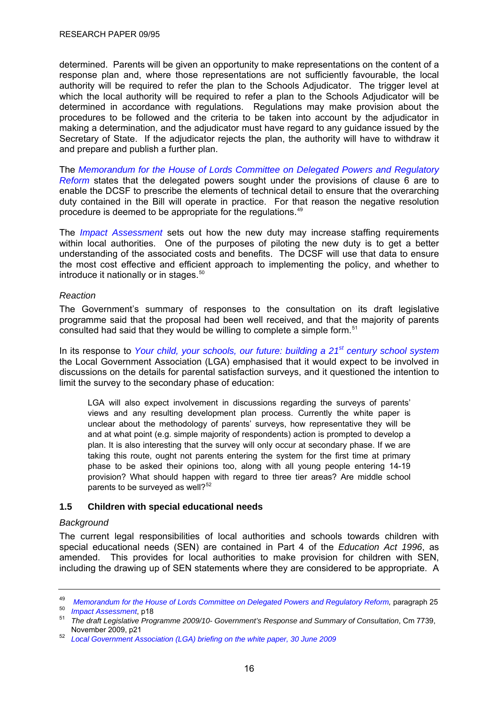<span id="page-19-0"></span>determined. Parents will be given an opportunity to make representations on the content of a response plan and, where those representations are not sufficiently favourable, the local authority will be required to refer the plan to the Schools Adjudicator. The trigger level at which the local authority will be required to refer a plan to the Schools Adjudicator will be determined in accordance with regulations. Regulations may make provision about the procedures to be followed and the criteria to be taken into account by the adjudicator in making a determination, and the adjudicator must have regard to any guidance issued by the Secretary of State. If the adjudicator rejects the plan, the authority will have to withdraw it and prepare and publish a further plan.

The *[Memorandum for the House of Lords Committee on Delegated Powers and Regulatory](http://publications.dcsf.gov.uk/eOrderingDownload/CSF-Bill_Memorandum.pdf)  [Reform](http://publications.dcsf.gov.uk/eOrderingDownload/CSF-Bill_Memorandum.pdf)* states that the delegated powers sought under the provisions of clause 6 are to enable the DCSF to prescribe the elements of technical detail to ensure that the overarching duty contained in the Bill will operate in practice. For that reason the negative resolution procedure is deemed to be appropriate for the regulations.[49](#page-19-0)

The *[Impact Assessment](http://publications.dcsf.gov.uk/eOrderingDownload/CSF-Bill_Impact-Assessment.pdf)* sets out how the new duty may increase staffing requirements within local authorities. One of the purposes of piloting the new duty is to get a better understanding of the associated costs and benefits. The DCSF will use that data to ensure the most cost effective and efficient approach to implementing the policy, and whether to introduce it nationally or in stages.<sup>[50](#page-19-0)</sup>

#### *Reaction*

The Government's summary of responses to the consultation on its draft legislative programme said that the proposal had been well received, and that the majority of parents consulted had said that they would be willing to complete a simple form.<sup>[51](#page-19-0)</sup>

In its response to *[Your child, your schools, our future: building a 21](http://publications.dcsf.gov.uk/default.aspx?PageFunction=productdetails&PageMode=publications&ProductId=Cm+7588)[st century school system](http://publications.dcsf.gov.uk/default.aspx?PageFunction=productdetails&PageMode=publications&ProductId=Cm+7588)* the Local Government Association (LGA) emphasised that it would expect to be involved in discussions on the details for parental satisfaction surveys, and it questioned the intention to limit the survey to the secondary phase of education:

LGA will also expect involvement in discussions regarding the surveys of parents' views and any resulting development plan process. Currently the white paper is unclear about the methodology of parents' surveys, how representative they will be and at what point (e.g. simple majority of respondents) action is prompted to develop a plan. It is also interesting that the survey will only occur at secondary phase. If we are taking this route, ought not parents entering the system for the first time at primary phase to be asked their opinions too, along with all young people entering 14-19 provision? What should happen with regard to three tier areas? Are middle school parents to be surveyed as well? $52$ 

# **1.5 Children with special educational needs**

#### *Background*

The current legal responsibilities of local authorities and schools towards children with special educational needs (SEN) are contained in Part 4 of the *Education Act 1996*, as amended. This provides for local authorities to make provision for children with SEN, including the drawing up of SEN statements where they are considered to be appropriate. A

<sup>&</sup>lt;sup>49</sup> Memorandum for the House of Lords Committee on Delegated Powers and Regulatory Reform, paragraph 25<br><sup>50</sup> Impact Assessment, p18<br><sup>51</sup> The draft Legislative Programme 2009/10- Government's Response and Summary of Consul

[Local Government Association \(LGA\) briefing on the white paper, 30 June 2009](http://www.lga.gov.uk/lga/aio/2438583)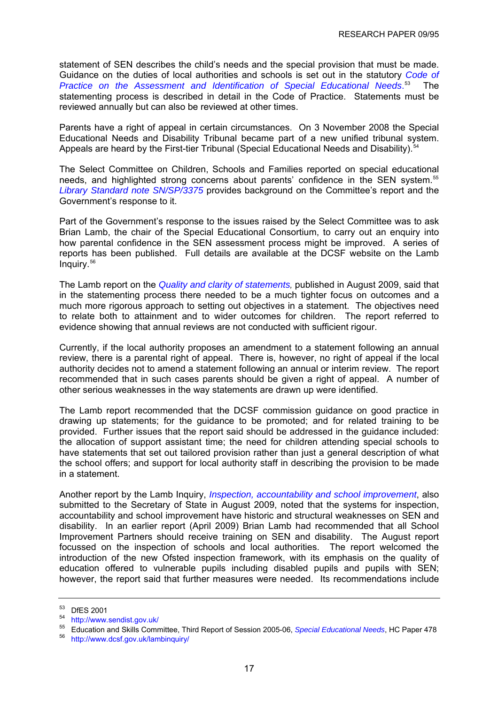<span id="page-20-0"></span>statement of SEN describes the child's needs and the special provision that must be made. Guidance on the duties of local authorities and schools is set out in the statutory *[Code of](http://www.teachernet.gov.uk/docbank/index.cfm?id=3724)  [Practice on the Assessment and Identification of Special Educational Needs](http://www.teachernet.gov.uk/docbank/index.cfm?id=3724)*. [53](#page-20-0) The statementing process is described in detail in the Code of Practice. Statements must be reviewed annually but can also be reviewed at other times.

Parents have a right of appeal in certain circumstances. On 3 November 2008 the Special Educational Needs and Disability Tribunal became part of a new unified tribunal system. Appeals are heard by the First-tier Tribunal (Special Educational Needs and Disability).<sup>[54](#page-20-0)</sup>

The Select Committee on Children, Schools and Families reported on special educational needs, and highlighted strong concerns about parents' confidence in the SEN system.[55](#page-20-0) *[Library Standard note SN/SP/3375](http://pims.parliament.uk:81/PIMS/Static%20Files/Extended%20File%20Scan%20Files/LIBRARY_OTHER_PAPERS/STANDARD_NOTE/snsp-03375.pdf)* provides background on the Committee's report and the Government's response to it.

Part of the Government's response to the issues raised by the Select Committee was to ask Brian Lamb, the chair of the Special Educational Consortium, to carry out an enquiry into how parental confidence in the SEN assessment process might be improved. A series of reports has been published. Full details are available at the DCSF website on the Lamb Inquiry.[56](#page-20-0)

The Lamb report on the *[Quality and clarity of statements,](http://www.dcsf.gov.uk/lambinquiry/downloads/LAMB%20INQUIRY%20Statements%20FINAL.pdf)* published in August 2009, said that in the statementing process there needed to be a much tighter focus on outcomes and a much more rigorous approach to setting out objectives in a statement. The objectives need to relate both to attainment and to wider outcomes for children. The report referred to evidence showing that annual reviews are not conducted with sufficient rigour.

Currently, if the local authority proposes an amendment to a statement following an annual review, there is a parental right of appeal. There is, however, no right of appeal if the local authority decides not to amend a statement following an annual or interim review. The report recommended that in such cases parents should be given a right of appeal. A number of other serious weaknesses in the way statements are drawn up were identified.

The Lamb report recommended that the DCSF commission guidance on good practice in drawing up statements; for the guidance to be promoted; and for related training to be provided. Further issues that the report said should be addressed in the guidance included: the allocation of support assistant time; the need for children attending special schools to have statements that set out tailored provision rather than just a general description of what the school offers; and support for local authority staff in describing the provision to be made in a statement.

Another report by the Lamb Inquiry, *[Inspection, accountability and school improvement](http://www.dcsf.gov.uk/lambinquiry/downloads/LAMB%20INQUIRY%20Inspection%20FINAL.pdf)*, also submitted to the Secretary of State in August 2009, noted that the systems for inspection, accountability and school improvement have historic and structural weaknesses on SEN and disability. In an earlier report (April 2009) Brian Lamb had recommended that all School Improvement Partners should receive training on SEN and disability. The August report focussed on the inspection of schools and local authorities. The report welcomed the introduction of the new Ofsted inspection framework, with its emphasis on the quality of education offered to vulnerable pupils including disabled pupils and pupils with SEN; however, the report said that further measures were needed. Its recommendations include

<sup>53</sup> DfES 2001

<sup>54</sup> <http://www.sendist.gov.uk/>

<sup>55</sup> Education and Skills Committee, Third Report of Session 2005-06, *Special Educational Needs*[,](http://pubs1.tso.parliament.uk/pa/cm200506/cmselect/cmeduski/478/478i.pdf) HC Paper 478 56 <http://www.dcsf.gov.uk/lambinquiry/>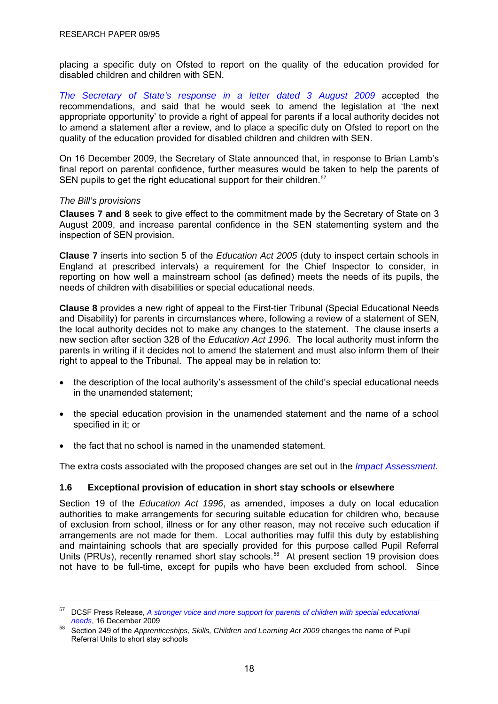<span id="page-21-0"></span>placing a specific duty on Ofsted to report on the quality of the education provided for disabled children and children with SEN.

*[The Secretary of State's response in a letter dated 3 August 2009](http://www.dcsf.gov.uk/lambinquiry/downloads/LetterToBrianLamb.pdf)* accepted the recommendations, and said that he would seek to amend the legislation at 'the next appropriate opportunity' to provide a right of appeal for parents if a local authority decides not to amend a statement after a review, and to place a specific duty on Ofsted to report on the quality of the education provided for disabled children and children with SEN.

On 16 December 2009, the Secretary of State announced that, in response to Brian Lamb's final report on parental confidence, further measures would be taken to help the parents of SEN pupils to get the right educational support for their children.<sup>[57](#page-21-0)</sup>

#### *The Bill's provisions*

**Clauses 7 and 8** seek to give effect to the commitment made by the Secretary of State on 3 August 2009, and increase parental confidence in the SEN statementing system and the inspection of SEN provision.

**Clause 7** inserts into section 5 of the *Education Act 2005* (duty to inspect certain schools in England at prescribed intervals) a requirement for the Chief Inspector to consider, in reporting on how well a mainstream school (as defined) meets the needs of its pupils, the needs of children with disabilities or special educational needs.

**Clause 8** provides a new right of appeal to the First-tier Tribunal (Special Educational Needs and Disability) for parents in circumstances where, following a review of a statement of SEN, the local authority decides not to make any changes to the statement. The clause inserts a new section after section 328 of the *Education Act 1996*. The local authority must inform the parents in writing if it decides not to amend the statement and must also inform them of their right to appeal to the Tribunal. The appeal may be in relation to:

- the description of the local authority's assessment of the child's special educational needs in the unamended statement;
- the special education provision in the unamended statement and the name of a school specified in it; or
- the fact that no school is named in the unamended statement.

The extra costs associated with the proposed changes are set out in the *[Impact Assessment](http://publications.dcsf.gov.uk/eOrderingDownload/CSF-Bill_Impact-Assessment.pdf).*

# **1.6 Exceptional provision of education in short stay schools or elsewhere**

Section 19 of the *Education Act 1996*, as amended, imposes a duty on local education authorities to make arrangements for securing suitable education for children who, because of exclusion from school, illness or for any other reason, may not receive such education if arrangements are not made for them. Local authorities may fulfil this duty by establishing and maintaining schools that are specially provided for this purpose called Pupil Referral Units (PRUs), recently renamed short stay schools.<sup>[58](#page-21-0)</sup> At present section 19 provision does not have to be full-time, except for pupils who have been excluded from school. Since

<sup>57</sup> DCSF Press Release, *[A stronger voice and more support for parents of children with special educational](http://www.dcsf.gov.uk/news/content.cfm?landing=a_stronger_voice_and_more_support_for_parents_of_children_with_special_educational_needs&type=1)  needs*[,](http://www.dcsf.gov.uk/news/content.cfm?landing=a_stronger_voice_and_more_support_for_parents_of_children_with_special_educational_needs&type=1) 16 December 2009<br><sup>58</sup> Section 249 of the *Apprenticeships, Skills, Children and Learning Act 2009* changes the name of Pupil

Referral Units to short stay schools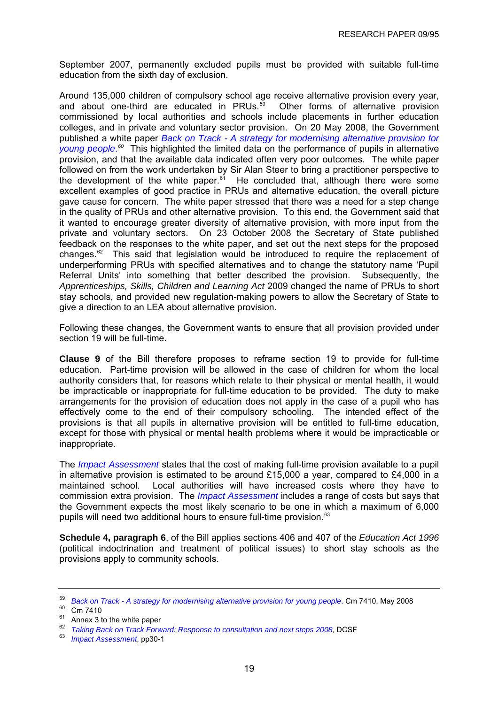<span id="page-22-0"></span>September 2007, permanently excluded pupils must be provided with suitable full-time education from the sixth day of exclusion.

Around 135,000 children of compulsory school age receive alternative provision every year, and about one-third are educated in PRUs. $59$  Other forms of alternative provision commissioned by local authorities and schools include placements in further education colleges, and in private and voluntary sector provision. On 20 May 2008, the Government published a white paper *[Back on Track - A strategy for modernising alternative provision for](http://www.dcsf.gov.uk/exclusions/uploads/7668-DCSF-Back%20on%20TrackWEB.pdf)  [young people](http://www.dcsf.gov.uk/exclusions/uploads/7668-DCSF-Back%20on%20TrackWEB.pdf)*. *[60](#page-22-0)* This highlighted the limited data on the performance of pupils in alternative provision, and that the available data indicated often very poor outcomes. The white paper followed on from the work undertaken by Sir Alan Steer to bring a practitioner perspective to the development of the white paper.<sup>[61](#page-22-0)</sup> He concluded that, although there were some excellent examples of good practice in PRUs and alternative education, the overall picture gave cause for concern. The white paper stressed that there was a need for a step change in the quality of PRUs and other alternative provision. To this end, the Government said that it wanted to encourage greater diversity of alternative provision, with more input from the private and voluntary sectors. On 23 October 2008 the Secretary of State published feedback on the responses to the white paper, and set out the next steps for the proposed changes.<sup>[62](#page-22-0)</sup> This said that legislation would be introduced to require the replacement of underperforming PRUs with specified alternatives and to change the statutory name 'Pupil Referral Units' into something that better described the provision. Subsequently, the *Apprenticeships, Skills, Children and Learning Act* 2009 changed the name of PRUs to short stay schools, and provided new regulation-making powers to allow the Secretary of State to give a direction to an LEA about alternative provision.

Following these changes, the Government wants to ensure that all provision provided under section 19 will be full-time.

**Clause 9** of the Bill therefore proposes to reframe section 19 to provide for full-time education. Part-time provision will be allowed in the case of children for whom the local authority considers that, for reasons which relate to their physical or mental health, it would be impracticable or inappropriate for full-time education to be provided. The duty to make arrangements for the provision of education does not apply in the case of a pupil who has effectively come to the end of their compulsory schooling. The intended effect of the provisions is that all pupils in alternative provision will be entitled to full-time education, except for those with physical or mental health problems where it would be impracticable or inappropriate.

The *[Impact Assessment](http://publications.dcsf.gov.uk/eOrderingDownload/CSF-Bill_Impact-Assessment.pdf)* states that the cost of making full-time provision available to a pupil in alternative provision is estimated to be around £15,000 a year, compared to £4,000 in a maintained school. Local authorities will have increased costs where they have to commission extra provision. The *[Impact Assessment](http://publications.dcsf.gov.uk/eOrderingDownload/CSF-Bill_Impact-Assessment.pdf)* includes a range of costs but says that the Government expects the most likely scenario to be one in which a maximum of 6,000 pupils will need two additional hours to ensure full-time provision.<sup>[63](#page-22-0)</sup>

**Schedule 4, paragraph 6**, of the Bill applies sections 406 and 407 of the *Education Act 1996* (political indoctrination and treatment of political issues) to short stay schools as the provisions apply to community schools.

<sup>&</sup>lt;sup>59</sup> Back on Track - A strategy for modernising alternative provision for young people[.](http://www.dcsf.gov.uk/exclusions/uploads/7668-DCSF-Back%20on%20TrackWEB.pdf) Cm 7410, May 2008 Cm 7410

 $61$  Annex 3 to the white paper

<sup>62</sup>*Taking Back on Track Forward: Response to consultation and next steps 2008*, DCSF 63 *Impact Assessment*, pp30-1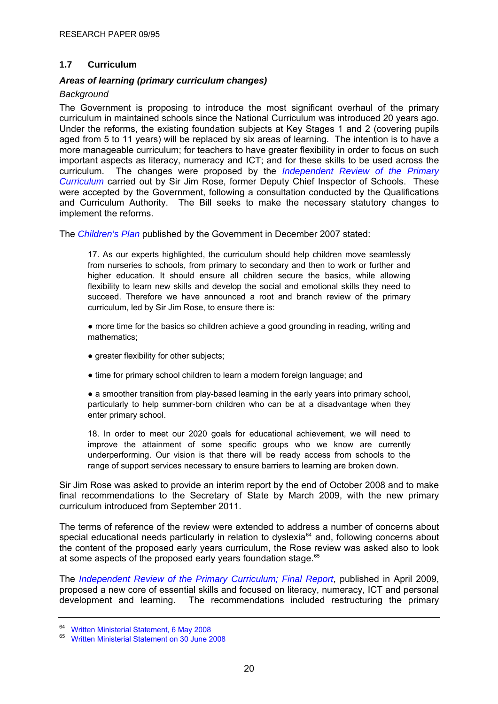# <span id="page-23-0"></span>**1.7 Curriculum**

#### *Areas of learning (primary curriculum changes)*

#### *Background*

The Government is proposing to introduce the most significant overhaul of the primary curriculum in maintained schools since the National Curriculum was introduced 20 years ago. Under the reforms, the existing foundation subjects at Key Stages 1 and 2 (covering pupils aged from 5 to 11 years) will be replaced by six areas of learning. The intention is to have a more manageable curriculum; for teachers to have greater flexibility in order to focus on such important aspects as literacy, numeracy and ICT; and for these skills to be used across the curriculum. The changes were proposed by the *[Independent Review of the Primary](http://publications.teachernet.gov.uk/eOrderingDownload/Primary_curriculum-report.pdf)  [Curriculum](http://publications.teachernet.gov.uk/eOrderingDownload/Primary_curriculum-report.pdf)* carried out by Sir Jim Rose, former Deputy Chief Inspector of Schools. These were accepted by the Government, following a consultation conducted by the Qualifications and Curriculum Authority. The Bill seeks to make the necessary statutory changes to implement the reforms.

The *[Children's Plan](http://www.dcsf.gov.uk/childrensplan/)* published by the Government in December 2007 stated:

17. As our experts highlighted, the curriculum should help children move seamlessly from nurseries to schools, from primary to secondary and then to work or further and higher education. It should ensure all children secure the basics, while allowing flexibility to learn new skills and develop the social and emotional skills they need to succeed. Therefore we have announced a root and branch review of the primary curriculum, led by Sir Jim Rose, to ensure there is:

• more time for the basics so children achieve a good grounding in reading, writing and mathematics;

- greater flexibility for other subjects;
- time for primary school children to learn a modern foreign language; and

• a smoother transition from play-based learning in the early years into primary school, particularly to help summer-born children who can be at a disadvantage when they enter primary school.

18. In order to meet our 2020 goals for educational achievement, we will need to improve the attainment of some specific groups who we know are currently underperforming. Our vision is that there will be ready access from schools to the range of support services necessary to ensure barriers to learning are broken down.

Sir Jim Rose was asked to provide an interim report by the end of October 2008 and to make final recommendations to the Secretary of State by March 2009, with the new primary curriculum introduced from September 2011.

The terms of reference of the review were extended to address a number of concerns about special educational needs particularly in relation to dyslexia<sup>[64](#page-23-0)</sup> and, following concerns about the content of the proposed early years curriculum, the Rose review was asked also to look at some aspects of the proposed early years foundation stage.<sup>[65](#page-23-0)</sup>

The *[Independent Review of the Primary Curriculum; Final Report](http://publications.teachernet.gov.uk/default.aspx?PageFunction=productdetails&PageMode=publications&ProductId=DCSF-00499-2009)*, published in April 2009, proposed a new core of essential skills and focused on literacy, numeracy, ICT and personal development and learning. The recommendations included restructuring the primary

<sup>64</sup> [Written Ministerial Statement, 6 May 2008](http://www.publications.parliament.uk/pa/cm200708/cmhansrd/cm080506/wmstext/80506m0001.htm#08050611000002)

<sup>65</sup> [Written Ministerial Statement on 30 June 2008](http://www.publications.parliament.uk/pa/cm200708/cmhansrd/cm080630/wmstext/80630m0001.htm#0806306000012)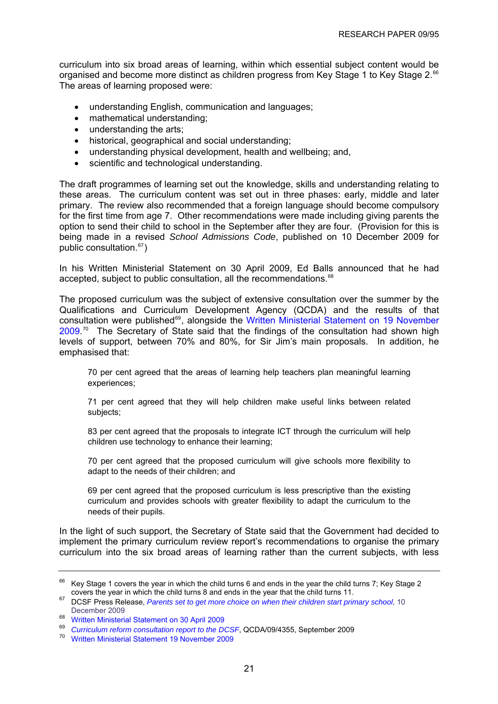<span id="page-24-0"></span>curriculum into six broad areas of learning, within which essential subject content would be organised and become more distinct as children progress from Key Stage 1 to Key Stage 2.<sup>[66](#page-24-0)</sup> The areas of learning proposed were:

- understanding English, communication and languages;
- mathematical understanding;
- understanding the arts;
- historical, geographical and social understanding;
- understanding physical development, health and wellbeing; and,
- scientific and technological understanding.

The draft programmes of learning set out the knowledge, skills and understanding relating to these areas. The curriculum content was set out in three phases: early, middle and later primary. The review also recommended that a foreign language should become compulsory for the first time from age 7. Other recommendations were made including giving parents the option to send their child to school in the September after they are four. (Provision for this is being made in a revised *School Admissions Code*, published on 10 December 2009 for public consultation.[67](#page-24-0))

In his Written Ministerial Statement on 30 April 2009, Ed Balls announced that he had accepted, subject to public consultation, all the recommendations.<sup>[68](#page-24-0)</sup>

The proposed curriculum was the subject of extensive consultation over the summer by the Qualifications and Curriculum Development Agency (QCDA) and the results of that consultation were published<sup>[69](#page-24-0)</sup>, alongside the Written Ministerial Statement on 19 November  $2009$ .<sup>[70](#page-24-0)</sup> The Secretary of State said that the findings of the consultation had shown high levels of support, between 70% and 80%, for Sir Jim's main proposals. In addition, he emphasised that:

70 per cent agreed that the areas of learning help teachers plan meaningful learning experiences;

71 per cent agreed that they will help children make useful links between related subjects;

83 per cent agreed that the proposals to integrate ICT through the curriculum will help children use technology to enhance their learning;

70 per cent agreed that the proposed curriculum will give schools more flexibility to adapt to the needs of their children; and

69 per cent agreed that the proposed curriculum is less prescriptive than the existing curriculum and provides schools with greater flexibility to adapt the curriculum to the needs of their pupils.

In the light of such support, the Secretary of State said that the Government had decided to implement the primary curriculum review report's recommendations to organise the primary curriculum into the six broad areas of learning rather than the current subjects, with less

<sup>&</sup>lt;sup>66</sup> Key Stage 1 covers the year in which the child turns 6 and ends in the year the child turns 7; Key Stage 2 covers the year in which the child turns 8 and ends in the year that the child turns 11.

<sup>&</sup>lt;sup>67</sup> DCSF Press Release, *Parents set to get more choice on when their children start primary school*, 10 December 2009

<sup>&</sup>lt;sup>68</sup> [Written Ministerial Statement on 30 April 2009](http://www.parliament.the-stationery-office.co.uk/pa/cm200809/cmhansrd/cm090430/wmstext/90430m0001.htm)

<sup>&</sup>lt;sup>69</sup> Curriculum reform consultation report to the DCSF[,](http://publications.teachernet.gov.uk/default.aspx?PageFunction=productdetails&PageMode=publications&ProductId=QCDA/09/4355) QCDA/09/4355, September 2009<br><sup>70</sup> [Written Ministerial Statement 19 November 2009](http://www.dcsf.gov.uk/news/images/userfiles/file/WMS.doc)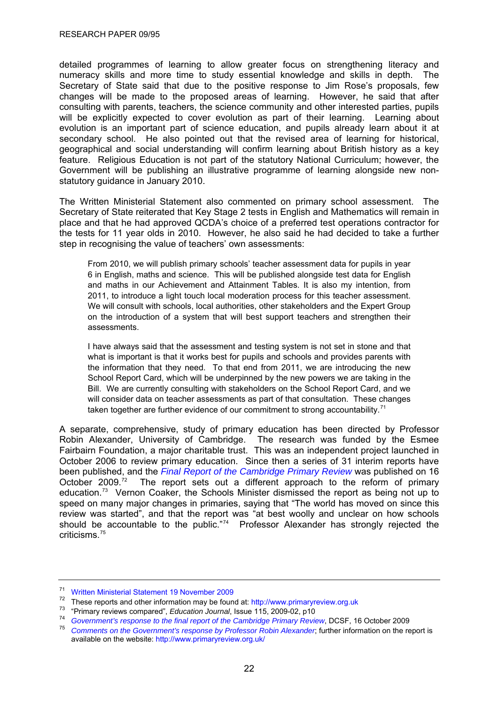<span id="page-25-0"></span>detailed programmes of learning to allow greater focus on strengthening literacy and numeracy skills and more time to study essential knowledge and skills in depth. The Secretary of State said that due to the positive response to Jim Rose's proposals, few changes will be made to the proposed areas of learning. However, he said that after consulting with parents, teachers, the science community and other interested parties, pupils will be explicitly expected to cover evolution as part of their learning. Learning about evolution is an important part of science education, and pupils already learn about it at secondary school. He also pointed out that the revised area of learning for historical, geographical and social understanding will confirm learning about British history as a key feature. Religious Education is not part of the statutory National Curriculum; however, the Government will be publishing an illustrative programme of learning alongside new nonstatutory guidance in January 2010.

The Written Ministerial Statement also commented on primary school assessment. The Secretary of State reiterated that Key Stage 2 tests in English and Mathematics will remain in place and that he had approved QCDA's choice of a preferred test operations contractor for the tests for 11 year olds in 2010. However, he also said he had decided to take a further step in recognising the value of teachers' own assessments:

From 2010, we will publish primary schools' teacher assessment data for pupils in year 6 in English, maths and science. This will be published alongside test data for English and maths in our Achievement and Attainment Tables. It is also my intention, from 2011, to introduce a light touch local moderation process for this teacher assessment. We will consult with schools, local authorities, other stakeholders and the Expert Group on the introduction of a system that will best support teachers and strengthen their assessments.

I have always said that the assessment and testing system is not set in stone and that what is important is that it works best for pupils and schools and provides parents with the information that they need. To that end from 2011, we are introducing the new School Report Card, which will be underpinned by the new powers we are taking in the Bill. We are currently consulting with stakeholders on the School Report Card, and we will consider data on teacher assessments as part of that consultation. These changes taken together are further evidence of our commitment to strong accountability.<sup>[71](#page-25-0)</sup>

A separate, comprehensive, study of primary education has been directed by Professor Robin Alexander, University of Cambridge. The research was funded by the Esmee Fairbairn Foundation, a major charitable trust. This was an independent project launched in October 2006 to review primary education. Since then a series of 31 interim reports have been published, and the *[Final Report of the Cambridge Primary Review](http://www.primaryreview.org.uk/Downloads/Finalreport/PR_09-02_final_report.pdf)* was published on 16 October 2009.<sup>[72](#page-25-0)</sup> The report sets out a different approach to the reform of primary education.[73](#page-25-0) Vernon Coaker, the Schools Minister dismissed the report as being not up to speed on many major changes in primaries, saying that "The world has moved on since this review was started", and that the report was "at best woolly and unclear on how schools should be accountable to the public."<sup>[74](#page-25-0)</sup> Professor Alexander has strongly rejected the criticisms.75

<sup>71</sup> [Written Ministerial Statement 19 November 2009](http://www.dcsf.gov.uk/news/images/userfiles/file/WMS.doc)

<sup>&</sup>lt;sup>72</sup> These reports and other information may be found at: [http://www.primaryreview.org.uk](http://www.primaryreview.org.uk/)  $^{73}$  "Primary reviews compared", *Education Journal*, Issue 115, 2009-02, p10

<sup>&</sup>lt;sup>74</sup> Government's response to the final report of the Cambridge Primary Review[,](http://www.primaryreview.org.uk/Downloads/Finalreport/DCSF_PR_091016.pdf) DCSF, 16 October 2009<br><sup>75</sup> Comments on the Government's response by Professor Robin Alexander, further information on the report is

available on the website:<http://www.primaryreview.org.uk/>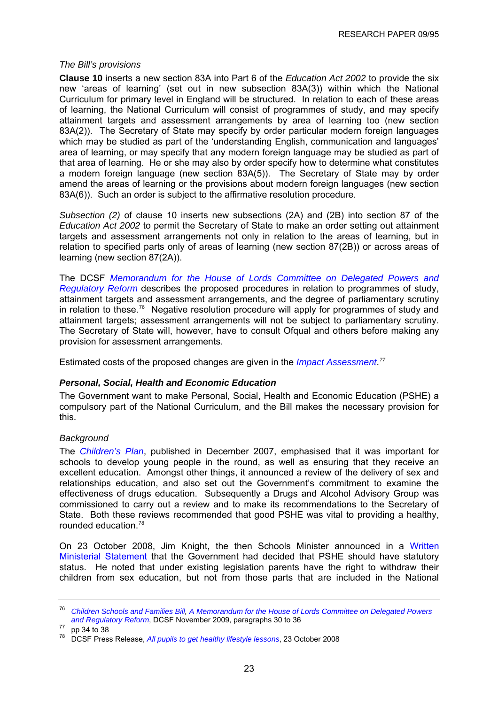#### <span id="page-26-0"></span>*The Bill's provisions*

**Clause 10** inserts a new section 83A into Part 6 of the *Education Act 2002* to provide the six new 'areas of learning' (set out in new subsection 83A(3)) within which the National Curriculum for primary level in England will be structured. In relation to each of these areas of learning, the National Curriculum will consist of programmes of study, and may specify attainment targets and assessment arrangements by area of learning too (new section 83A(2)). The Secretary of State may specify by order particular modern foreign languages which may be studied as part of the 'understanding English, communication and languages' area of learning, or may specify that any modern foreign language may be studied as part of that area of learning. He or she may also by order specify how to determine what constitutes a modern foreign language (new section 83A(5)). The Secretary of State may by order amend the areas of learning or the provisions about modern foreign languages (new section 83A(6)). Such an order is subject to the affirmative resolution procedure.

*Subsection (2)* of clause 10 inserts new subsections (2A) and (2B) into section 87 of the *Education Act 2002* to permit the Secretary of State to make an order setting out attainment targets and assessment arrangements not only in relation to the areas of learning, but in relation to specified parts only of areas of learning (new section 87(2B)) or across areas of learning (new section 87(2A)).

The DCSF *[Memorandum for the House of Lords Committee on Delegated Powers and](http://publications.dcsf.gov.uk/eOrderingDownload/CSF-Bill_Memorandum.pdf)  [Regulatory Reform](http://publications.dcsf.gov.uk/eOrderingDownload/CSF-Bill_Memorandum.pdf)* describes the proposed procedures in relation to programmes of study, attainment targets and assessment arrangements, and the degree of parliamentary scrutiny in relation to these.[76](#page-26-0) Negative resolution procedure will apply for programmes of study and attainment targets; assessment arrangements will not be subject to parliamentary scrutiny. The Secretary of State will, however, have to consult Ofqual and others before making any provision for assessment arrangements.

Estimated costs of the proposed changes are given in the *[Impact Assessment](http://publications.dcsf.gov.uk/eOrderingDownload/CSF-Bill_Impact-Assessment.pdf)*. *[77](#page-26-0)*

# *Personal, Social, Health and Economic Education*

The Government want to make Personal, Social, Health and Economic Education (PSHE) a compulsory part of the National Curriculum, and the Bill makes the necessary provision for this.

#### *Background*

The *[Children's Plan](http://www.dcsf.gov.uk/childrensplan/downloads/The_Childrens_Plan.pdf)*, published in December 2007, emphasised that it was important for schools to develop young people in the round, as well as ensuring that they receive an excellent education. Amongst other things, it announced a review of the delivery of sex and relationships education, and also set out the Government's commitment to examine the effectiveness of drugs education. Subsequently a Drugs and Alcohol Advisory Group was commissioned to carry out a review and to make its recommendations to the Secretary of State. Both these reviews recommended that good PSHE was vital to providing a healthy, rounded education.[78](#page-26-0)

On 23 October 2008, Jim Knight, the then Schools Minister announced in a [Written](http://www.publications.parliament.uk/pa/cm200708/cmhansrd/cm081023/wmstext/81023m0001.htm#08102337000011)  [Ministerial Statement](http://www.publications.parliament.uk/pa/cm200708/cmhansrd/cm081023/wmstext/81023m0001.htm#08102337000011) that the Government had decided that PSHE should have statutory status. He noted that under existing legislation parents have the right to withdraw their children from sex education, but not from those parts that are included in the National

<sup>76</sup> *[Children Schools and Families Bill](http://www.publications.parliament.uk/pa/cm200910/cmbills/008/10008.i-iii.html), [A Memorandum for the House of Lords Committee on Delegated Powers](http://publications.dcsf.gov.uk/eOrderingDownload/CSF-Bill_Memorandum.pdf)  and Regulatory Reform*, DCSF November 2009, paragraphs 30 to 36 pp 34 to 38

<sup>78</sup> DCSF Press Release, *[All pupils to get healthy lifestyle lessons](http://www.dcsf.gov.uk/pns/DisplayPN.cgi?pn_id=2008_0235)*, 23 October 2008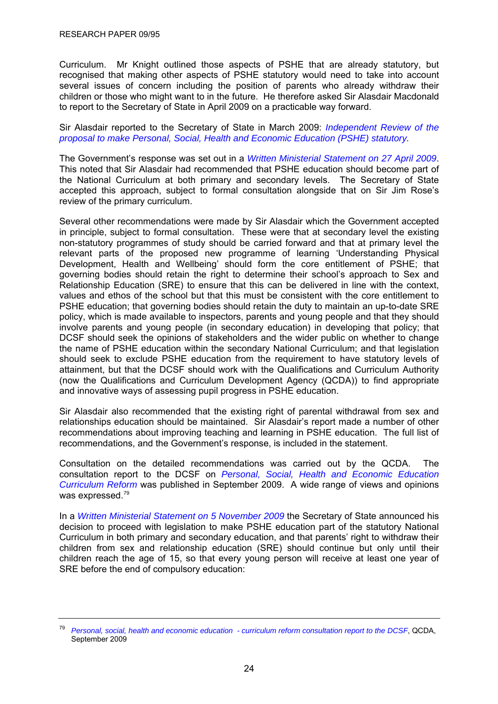<span id="page-27-0"></span>Curriculum. Mr Knight outlined those aspects of PSHE that are already statutory, but recognised that making other aspects of PSHE statutory would need to take into account several issues of concern including the position of parents who already withdraw their children or those who might want to in the future. He therefore asked Sir Alasdair Macdonald to report to the Secretary of State in April 2009 on a practicable way forward.

Sir Alasdair reported to the Secretary of State in March 2009: *[Independent Review of the](http://publications.dcsf.gov.uk/eOrderingDownload/FINAL%20Macdonald%20PSHE%20Review.pdf)  [proposal to make Personal, Social, Health and Economic Education \(PSHE\) statutory](http://publications.dcsf.gov.uk/eOrderingDownload/FINAL%20Macdonald%20PSHE%20Review.pdf).* 

The Government's response was set out in a *[Written Ministerial Statement on 27 April 2009](http://services.parliament.uk/hansard/Commons/ByDate/20090427/writtenministerialstatements/part001.html)*. This noted that Sir Alasdair had recommended that PSHE education should become part of the National Curriculum at both primary and secondary levels. The Secretary of State accepted this approach, subject to formal consultation alongside that on Sir Jim Rose's review of the primary curriculum.

Several other recommendations were made by Sir Alasdair which the Government accepted in principle, subject to formal consultation. These were that at secondary level the existing non-statutory programmes of study should be carried forward and that at primary level the relevant parts of the proposed new programme of learning 'Understanding Physical Development, Health and Wellbeing' should form the core entitlement of PSHE; that governing bodies should retain the right to determine their school's approach to Sex and Relationship Education (SRE) to ensure that this can be delivered in line with the context, values and ethos of the school but that this must be consistent with the core entitlement to PSHE education; that governing bodies should retain the duty to maintain an up-to-date SRE policy, which is made available to inspectors, parents and young people and that they should involve parents and young people (in secondary education) in developing that policy; that DCSF should seek the opinions of stakeholders and the wider public on whether to change the name of PSHE education within the secondary National Curriculum; and that legislation should seek to exclude PSHE education from the requirement to have statutory levels of attainment, but that the DCSF should work with the Qualifications and Curriculum Authority (now the Qualifications and Curriculum Development Agency (QCDA)) to find appropriate and innovative ways of assessing pupil progress in PSHE education.

Sir Alasdair also recommended that the existing right of parental withdrawal from sex and relationships education should be maintained. Sir Alasdair's report made a number of other recommendations about improving teaching and learning in PSHE education. The full list of recommendations, and the Government's response, is included in the statement.

Consultation on the detailed recommendations was carried out by the QCDA. The consultation report to the DCSF on *[Personal, Social, Health and Economic Education](http://publications.teachernet.gov.uk/eOrderingDownload/QCDA-09-4358.pdf)  [Curriculum Reform](http://publications.teachernet.gov.uk/eOrderingDownload/QCDA-09-4358.pdf)* was published in September 2009. A wide range of views and opinions was expressed.<sup>[79](#page-27-0)</sup>

In a *[Written Ministerial Statement on 5 November 2009](http://www.publications.parliament.uk/pa/cm200809/cmhansrd/cm091105/wmstext/91105m0001.htm#09110553000010)* the Secretary of State announced his decision to proceed with legislation to make PSHE education part of the statutory National Curriculum in both primary and secondary education, and that parents' right to withdraw their children from sex and relationship education (SRE) should continue but only until their children reach the age of 15, so that every young person will receive at least one year of SRE before the end of compulsory education:

<sup>79</sup> *[Personal, social, health and economic education - curriculum reform consultation report to the DCSF](http://publications.teachernet.gov.uk/eOrderingDownload/QCDA-09-4358.pdf)*, QCDA, September 2009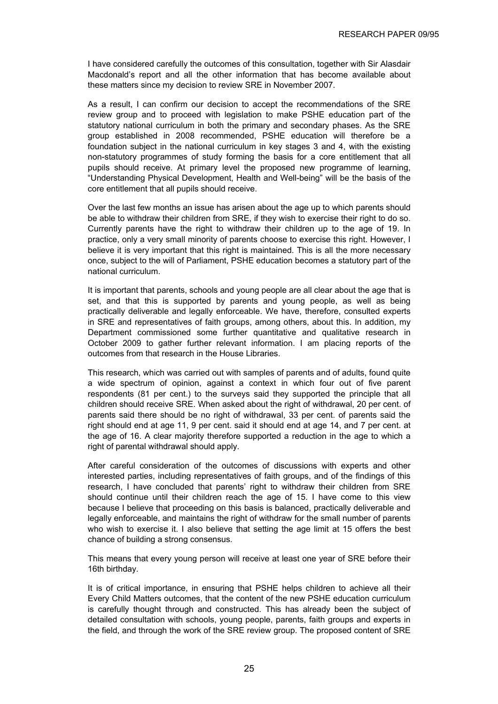I have considered carefully the outcomes of this consultation, together with Sir Alasdair Macdonald's report and all the other information that has become available about these matters since my decision to review SRE in November 2007.

As a result, I can confirm our decision to accept the recommendations of the SRE review group and to proceed with legislation to make PSHE education part of the statutory national curriculum in both the primary and secondary phases. As the SRE group established in 2008 recommended, PSHE education will therefore be a foundation subject in the national curriculum in key stages 3 and 4, with the existing non-statutory programmes of study forming the basis for a core entitlement that all pupils should receive. At primary level the proposed new programme of learning, "Understanding Physical Development, Health and Well-being" will be the basis of the core entitlement that all pupils should receive.

Over the last few months an issue has arisen about the age up to which parents should be able to withdraw their children from SRE, if they wish to exercise their right to do so. Currently parents have the right to withdraw their children up to the age of 19. In practice, only a very small minority of parents choose to exercise this right. However, I believe it is very important that this right is maintained. This is all the more necessary once, subject to the will of Parliament, PSHE education becomes a statutory part of the national curriculum.

It is important that parents, schools and young people are all clear about the age that is set, and that this is supported by parents and young people, as well as being practically deliverable and legally enforceable. We have, therefore, consulted experts in SRE and representatives of faith groups, among others, about this. In addition, my Department commissioned some further quantitative and qualitative research in October 2009 to gather further relevant information. I am placing reports of the outcomes from that research in the House Libraries.

This research, which was carried out with samples of parents and of adults, found quite a wide spectrum of opinion, against a context in which four out of five parent respondents (81 per cent.) to the surveys said they supported the principle that all children should receive SRE. When asked about the right of withdrawal, 20 per cent. of parents said there should be no right of withdrawal, 33 per cent. of parents said the right should end at age 11, 9 per cent. said it should end at age 14, and 7 per cent. at the age of 16. A clear majority therefore supported a reduction in the age to which a right of parental withdrawal should apply.

After careful consideration of the outcomes of discussions with experts and other interested parties, including representatives of faith groups, and of the findings of this research, I have concluded that parents' right to withdraw their children from SRE should continue until their children reach the age of 15. I have come to this view because I believe that proceeding on this basis is balanced, practically deliverable and legally enforceable, and maintains the right of withdraw for the small number of parents who wish to exercise it. I also believe that setting the age limit at 15 offers the best chance of building a strong consensus.

This means that every young person will receive at least one year of SRE before their 16th birthday.

It is of critical importance, in ensuring that PSHE helps children to achieve all their Every Child Matters outcomes, that the content of the new PSHE education curriculum is carefully thought through and constructed. This has already been the subject of detailed consultation with schools, young people, parents, faith groups and experts in the field, and through the work of the SRE review group. The proposed content of SRE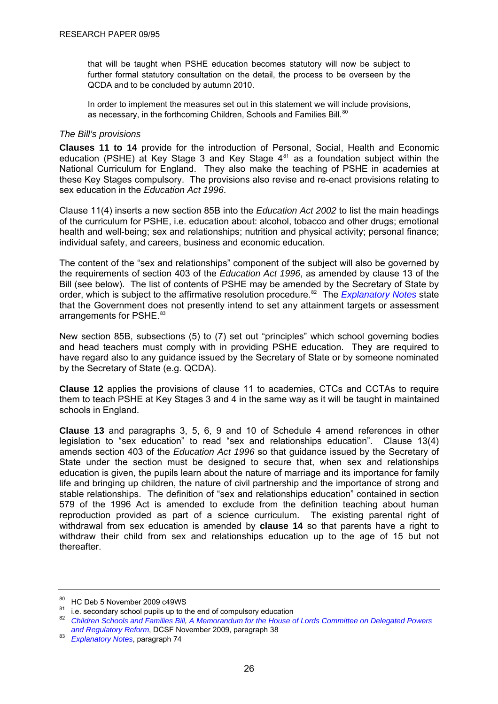<span id="page-29-0"></span>that will be taught when PSHE education becomes statutory will now be subject to further formal statutory consultation on the detail, the process to be overseen by the QCDA and to be concluded by autumn 2010.

In order to implement the measures set out in this statement we will include provisions, as necessary, in the forthcoming Children, Schools and Families Bill.<sup>[80](#page-29-0)</sup>

#### *The Bill's provisions*

**Clauses 11 to 14** provide for the introduction of Personal, Social, Health and Economic education (PSHE) at Key Stage 3 and Key Stage  $4^{81}$  $4^{81}$  $4^{81}$  as a foundation subject within the National Curriculum for England. They also make the teaching of PSHE in academies at these Key Stages compulsory. The provisions also revise and re-enact provisions relating to sex education in the *Education Act 1996*.

Clause 11(4) inserts a new section 85B into the *Education Act 2002* to list the main headings of the curriculum for PSHE, i.e. education about: alcohol, tobacco and other drugs; emotional health and well-being; sex and relationships; nutrition and physical activity; personal finance; individual safety, and careers, business and economic education.

The content of the "sex and relationships" component of the subject will also be governed by the requirements of section 403 of the *Education Act 1996*, as amended by clause 13 of the Bill (see below). The list of contents of PSHE may be amended by the Secretary of State by order, which is subject to the affirmative resolution procedure.<sup>[82](#page-29-0)</sup> The *[Explanatory Notes](http://www.publications.parliament.uk/pa/cm200910/cmbills/008/en/10008x-d.htm)* state that the Government does not presently intend to set any attainment targets or assessment arrangements for PSHE.<sup>[83](#page-29-0)</sup>

New section 85B, subsections (5) to (7) set out "principles" which school governing bodies and head teachers must comply with in providing PSHE education. They are required to have regard also to any guidance issued by the Secretary of State or by someone nominated by the Secretary of State (e.g. QCDA).

**Clause 12** applies the provisions of clause 11 to academies, CTCs and CCTAs to require them to teach PSHE at Key Stages 3 and 4 in the same way as it will be taught in maintained schools in England.

**Clause 13** and paragraphs 3, 5, 6, 9 and 10 of Schedule 4 amend references in other legislation to "sex education" to read "sex and relationships education". Clause 13(4) amends section 403 of the *Education Act 1996* so that guidance issued by the Secretary of State under the section must be designed to secure that, when sex and relationships education is given, the pupils learn about the nature of marriage and its importance for family life and bringing up children, the nature of civil partnership and the importance of strong and stable relationships. The definition of "sex and relationships education" contained in section 579 of the 1996 Act is amended to exclude from the definition teaching about human reproduction provided as part of a science curriculum. The existing parental right of withdrawal from sex education is amended by **clause 14** so that parents have a right to withdraw their child from sex and relationships education up to the age of 15 but not thereafter.

<sup>80</sup> HC Deb 5 November 2009 c49WS

 $81$  i.e. secondary school pupils up to the end of compulsory education 82 *[Children Schools and Families Bill](http://www.publications.parliament.uk/pa/cm200910/cmbills/008/10008.i-iii.html), [A Memorandum for the House of Lords Committee on Delegated Powers](http://publications.dcsf.gov.uk/eOrderingDownload/CSF-Bill_Memorandum.pdf)* 

*and Regulatory Reform*, DCSF November 2009, paragraph 38 83 *Explanatory Notes*, paragraph 74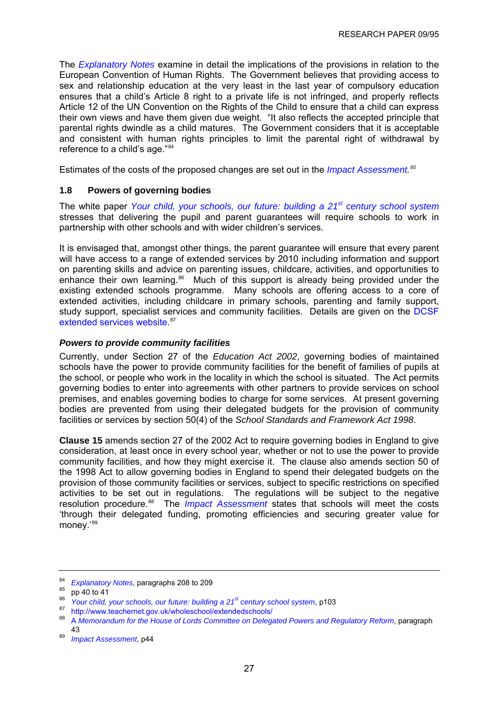<span id="page-30-0"></span>The *[Explanatory Notes](http://www.publications.parliament.uk/pa/cm200910/cmbills/008/en/10008x-d.htm)* examine in detail the implications of the provisions in relation to the European Convention of Human Rights. The Government believes that providing access to sex and relationship education at the very least in the last year of compulsory education ensures that a child's Article 8 right to a private life is not infringed, and properly reflects Article 12 of the UN Convention on the Rights of the Child to ensure that a child can express their own views and have them given due weight. "It also reflects the accepted principle that parental rights dwindle as a child matures. The Government considers that it is acceptable and consistent with human rights principles to limit the parental right of withdrawal by reference to a child's age."[84](#page-30-0)

Estimates of the costs of the proposed changes are set out in the *[Impact Assessment.](http://publications.dcsf.gov.uk/eOrderingDownload/CSF-Bill_Impact-Assessment.pdf) [85](#page-30-0)*

# **1.8 Powers of governing bodies**

The white paper *[Your child, your schools, our future: building a 21](http://publications.dcsf.gov.uk/default.aspx?PageFunction=productdetails&PageMode=publications&ProductId=Cm+7588)[st century school system](http://publications.dcsf.gov.uk/default.aspx?PageFunction=productdetails&PageMode=publications&ProductId=Cm+7588)* stresses that delivering the pupil and parent guarantees will require schools to work in partnership with other schools and with wider children's services.

It is envisaged that, amongst other things, the parent guarantee will ensure that every parent will have access to a range of extended services by 2010 including information and support on parenting skills and advice on parenting issues, childcare, activities, and opportunities to enhance their own learning.<sup>[86](#page-30-0)</sup> Much of this support is already being provided under the existing extended schools programme. Many schools are offering access to a core of extended activities, including childcare in primary schools, parenting and family support, study support, specialist services and community facilities. Details are given on the [DCSF](http://www.teachernet.gov.uk/wholeschool/extendedschools/)  [extended services website.](http://www.teachernet.gov.uk/wholeschool/extendedschools/) [87](#page-30-0)

# *Powers to provide community facilities*

Currently, under Section 27 of the *Education Act 2002*, governing bodies of maintained schools have the power to provide community facilities for the benefit of families of pupils at the school, or people who work in the locality in which the school is situated. The Act permits governing bodies to enter into agreements with other partners to provide services on school premises, and enables governing bodies to charge for some services. At present governing bodies are prevented from using their delegated budgets for the provision of community facilities or services by section 50(4) of the *School Standards and Framework Act 1998*.

**Clause 15** amends section 27 of the 2002 Act to require governing bodies in England to give consideration, at least once in every school year, whether or not to use the power to provide community facilities, and how they might exercise it. The clause also amends section 50 of the 1998 Act to allow governing bodies in England to spend their delegated budgets on the provision of those community facilities or services, subject to specific restrictions on specified activities to be set out in regulations. The regulations will be subject to the negative resolution procedure.<sup>[88](#page-30-0)</sup> The *[Impact Assessment](http://publications.dcsf.gov.uk/eOrderingDownload/CSF-Bill_Impact-Assessment.pdf)* states that schools will meet the costs 'through their delegated funding, promoting efficiencies and securing greater value for money.'[89](#page-30-0)

<sup>84</sup> Explanatory Notes[,](http://www.publications.parliament.uk/pa/cm200910/cmbills/008/en/10008x-d.htm) paragraphs 208 to 209<br>85 pp 40 to 41<br>86 News shift proposate also profit in the infinite

<sup>&</sup>lt;sup>86</sup>Your child, your schools, our future: building a 21<sup>st</sup> century school system, p103<br><sup>87</sup> <http://www.teachernet.gov.uk/wholeschool/extendedschools/><br><sup>88</sup> A Managgard in fact the Usuan of Larde Committee an Delanded Deugn

<sup>88</sup> A *[Memorandum for the House of Lords Committee on Delegated Powers and Regulatory Reform](http://publications.dcsf.gov.uk/eOrderingDownload/CSF-Bill_Memorandum.pdf)*, paragraph 43 89 *[Impact Assessment](http://publications.dcsf.gov.uk/eOrderingDownload/CSF-Bill_Impact-Assessment.pdf)*, p44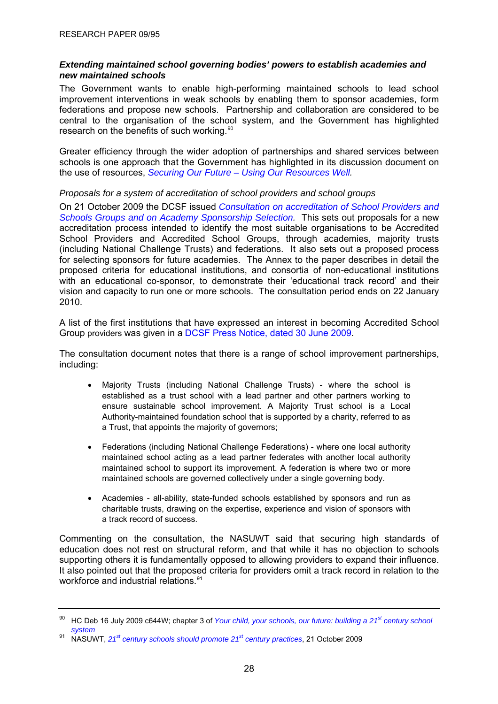# <span id="page-31-0"></span>*Extending maintained school governing bodies' powers to establish academies and new maintained schools*

The Government wants to enable high-performing maintained schools to lead school improvement interventions in weak schools by enabling them to sponsor academies, form federations and propose new schools. Partnership and collaboration are considered to be central to the organisation of the school system, and the Government has highlighted research on the benefits of such working.<sup>[90](#page-31-0)</sup>

Greater efficiency through the wider adoption of partnerships and shared services between schools is one approach that the Government has highlighted in its discussion document on the use of resources, *[Securing Our Future – Using Our Resources Well](http://publications.dcsf.gov.uk/eOrderingDownload/Securing-our-future.pdf).*

*Proposals for a system of accreditation of school providers and school groups* 

On 21 October 2009 the DCSF issued *[Consultation on accreditation of School Providers and](http://www.dcsf.gov.uk/consultations/index.cfm?action=consultationDetails&consultationId=1602&external=no&menu=1)  [Schools Groups and on Academy Sponsorship Selection](http://www.dcsf.gov.uk/consultations/index.cfm?action=consultationDetails&consultationId=1602&external=no&menu=1).* This sets out proposals for a new accreditation process intended to identify the most suitable organisations to be Accredited School Providers and Accredited School Groups, through academies, majority trusts (including National Challenge Trusts) and federations. It also sets out a proposed process for selecting sponsors for future academies. The Annex to the paper describes in detail the proposed criteria for educational institutions, and consortia of non-educational institutions with an educational co-sponsor, to demonstrate their 'educational track record' and their vision and capacity to run one or more schools. The consultation period ends on 22 January 2010.

A list of the first institutions that have expressed an interest in becoming Accredited School Group providers was given in a [DCSF Press Notice, dated 30 June 2009.](http://www.dcsf.gov.uk/pns/DisplayPN.cgi?pn_id=2009_0116)

The consultation document notes that there is a range of school improvement partnerships, including:

- Majority Trusts (including National Challenge Trusts) where the school is established as a trust school with a lead partner and other partners working to ensure sustainable school improvement. A Majority Trust school is a Local Authority-maintained foundation school that is supported by a charity, referred to as a Trust, that appoints the majority of governors;
- Federations (including National Challenge Federations) where one local authority maintained school acting as a lead partner federates with another local authority maintained school to support its improvement. A federation is where two or more maintained schools are governed collectively under a single governing body.
- Academies all-ability, state-funded schools established by sponsors and run as charitable trusts, drawing on the expertise, experience and vision of sponsors with a track record of success.

Commenting on the consultation, the NASUWT said that securing high standards of education does not rest on structural reform, and that while it has no objection to schools supporting others it is fundamentally opposed to allowing providers to expand their influence. It also pointed out that the proposed criteria for providers omit a track record in relation to the workforce and industrial relations.<sup>[91](#page-31-0)</sup>

<sup>90</sup> HC Deb 16 July 2009 c644W; chapter 3 of *[Your child, your schools, our future: building a 21st century school](http://publications.dcsf.gov.uk/default.aspx?PageFunction=productdetails&PageMode=publications&ProductId=Cm+7588)  [system](http://publications.dcsf.gov.uk/default.aspx?PageFunction=productdetails&PageMode=publications&ProductId=Cm+7588)*

<sup>91</sup> NASUWT, *[21st century schools should promote 21st century practices](http://www.epolitix.com/stakeholder-websites/press-releases/press-release-details/newsarticle/21st-century-schools-should-promote-21st-century-working-practices-says-nasuwt/sites/nasuwt/)*, 21 October 2009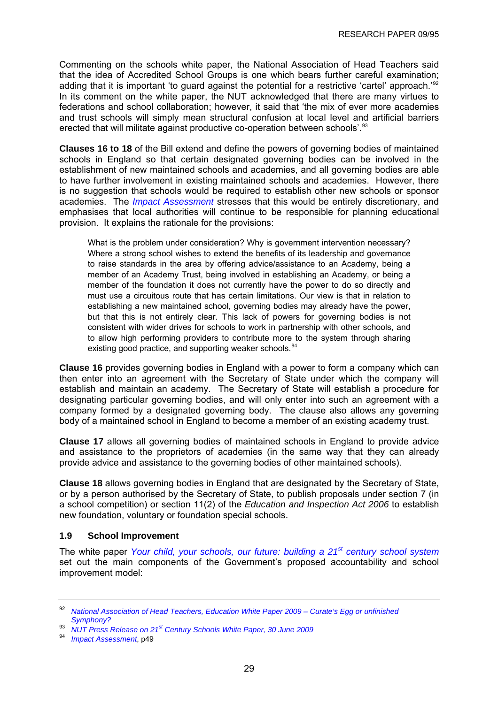<span id="page-32-0"></span>Commenting on the schools white paper, the National Association of Head Teachers said that the idea of Accredited School Groups is one which bears further careful examination; adding that it is important 'to guard against the potential for a restrictive 'cartel' approach.<sup>1[92](#page-32-0)</sup> In its comment on the white paper, the NUT acknowledged that there are many virtues to federations and school collaboration; however, it said that 'the mix of ever more academies and trust schools will simply mean structural confusion at local level and artificial barriers erected that will militate against productive co-operation between schools'.<sup>[93](#page-32-0)</sup>

**Clauses 16 to 18** of the Bill extend and define the powers of governing bodies of maintained schools in England so that certain designated governing bodies can be involved in the establishment of new maintained schools and academies, and all governing bodies are able to have further involvement in existing maintained schools and academies. However, there is no suggestion that schools would be required to establish other new schools or sponsor academies. The *[Impact Assessment](http://publications.dcsf.gov.uk/eOrderingDownload/CSF-Bill_Impact-Assessment.pdf)* stresses that this would be entirely discretionary, and emphasises that local authorities will continue to be responsible for planning educational provision. It explains the rationale for the provisions:

What is the problem under consideration? Why is government intervention necessary? Where a strong school wishes to extend the benefits of its leadership and governance to raise standards in the area by offering advice/assistance to an Academy, being a member of an Academy Trust, being involved in establishing an Academy, or being a member of the foundation it does not currently have the power to do so directly and must use a circuitous route that has certain limitations. Our view is that in relation to establishing a new maintained school, governing bodies may already have the power, but that this is not entirely clear. This lack of powers for governing bodies is not consistent with wider drives for schools to work in partnership with other schools, and to allow high performing providers to contribute more to the system through sharing existing good practice, and supporting weaker schools.<sup>[94](#page-32-0)</sup>

**Clause 16** provides governing bodies in England with a power to form a company which can then enter into an agreement with the Secretary of State under which the company will establish and maintain an academy. The Secretary of State will establish a procedure for designating particular governing bodies, and will only enter into such an agreement with a company formed by a designated governing body. The clause also allows any governing body of a maintained school in England to become a member of an existing academy trust.

**Clause 17** allows all governing bodies of maintained schools in England to provide advice and assistance to the proprietors of academies (in the same way that they can already provide advice and assistance to the governing bodies of other maintained schools).

**Clause 18** allows governing bodies in England that are designated by the Secretary of State, or by a person authorised by the Secretary of State, to publish proposals under section 7 (in a school competition) or section 11(2) of the *Education and Inspection Act 2006* to establish new foundation, voluntary or foundation special schools.

# **1.9 School Improvement**

The white paper *[Your child, your schools, our future: building a 21](http://publications.dcsf.gov.uk/default.aspx?PageFunction=productdetails&PageMode=publications&ProductId=Cm+7588)[st century school system](http://publications.dcsf.gov.uk/default.aspx?PageFunction=productdetails&PageMode=publications&ProductId=Cm+7588)* set out the main components of the Government's proposed accountability and school improvement model:

94 *[Impact Assessment](http://publications.dcsf.gov.uk/eOrderingDownload/CSF-Bill_Impact-Assessment.pdf)*, p49

<sup>92</sup> *[National Association of Head Teachers, Education White Paper 2009 – Curate's Egg or unfinished](http://www.naht.org.uk/welcome/resources/key-topics/government-policy/education-white-paper-2009/)  [Symphony?](http://www.naht.org.uk/welcome/resources/key-topics/government-policy/education-white-paper-2009/)*

<sup>93</sup> *[NUT Press Release on 21st Century Schools White Paper, 30 June 2009](http://www.teachers.org.uk/story.php?id=4770)*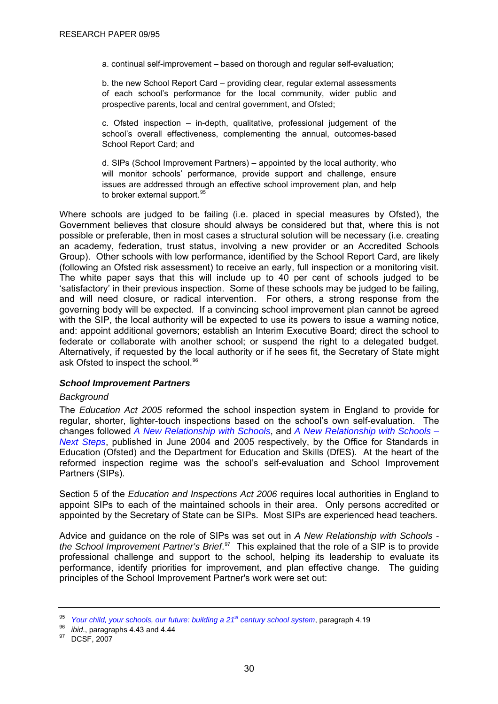<span id="page-33-0"></span>a. continual self-improvement – based on thorough and regular self-evaluation;

b. the new School Report Card – providing clear, regular external assessments of each school's performance for the local community, wider public and prospective parents, local and central government, and Ofsted;

c. Ofsted inspection – in-depth, qualitative, professional judgement of the school's overall effectiveness, complementing the annual, outcomes-based School Report Card; and

d. SIPs (School Improvement Partners) – appointed by the local authority, who will monitor schools' performance, provide support and challenge, ensure issues are addressed through an effective school improvement plan, and help to broker external support.<sup>[95](#page-33-0)</sup>

Where schools are judged to be failing (i.e. placed in special measures by Ofsted), the Government believes that closure should always be considered but that, where this is not possible or preferable, then in most cases a structural solution will be necessary (i.e. creating an academy, federation, trust status, involving a new provider or an Accredited Schools Group). Other schools with low performance, identified by the School Report Card, are likely (following an Ofsted risk assessment) to receive an early, full inspection or a monitoring visit. The white paper says that this will include up to 40 per cent of schools judged to be 'satisfactory' in their previous inspection. Some of these schools may be judged to be failing, and will need closure, or radical intervention. For others, a strong response from the governing body will be expected. If a convincing school improvement plan cannot be agreed with the SIP, the local authority will be expected to use its powers to issue a warning notice, and: appoint additional governors; establish an Interim Executive Board; direct the school to federate or collaborate with another school; or suspend the right to a delegated budget. Alternatively, if requested by the local authority or if he sees fit, the Secretary of State might ask Ofsted to inspect the school.<sup>[96](#page-33-0)</sup>

#### *School Improvement Partners*

#### *Background*

The *Education Act 2005* reformed the school inspection system in England to provide for regular, shorter, lighter-touch inspections based on the school's own self-evaluation. The changes followed *[A New Relationship with Schools](http://publications.teachernet.gov.uk/default.aspx?PageFunction=productdetails&PageMode=publications&ProductId=A+New+Relationship+with+Schools+Publication)*, and *[A New Relationship with Schools –](http://publications.teachernet.gov.uk/eOrderingDownload/1288-2005DOC-EN.pdf) [Next Steps](http://publications.teachernet.gov.uk/eOrderingDownload/1288-2005DOC-EN.pdf)*, published in June 2004 and 2005 respectively, by the Office for Standards in Education (Ofsted) and the Department for Education and Skills (DfES). At the heart of the reformed inspection regime was the school's self-evaluation and School Improvement Partners (SIPs).

Section 5 of the *Education and Inspections Act 2006* requires local authorities in England to appoint SIPs to each of the maintained schools in their area. Only persons accredited or appointed by the Secretary of State can be SIPs. Most SIPs are experienced head teachers.

Advice and guidance on the role of SIPs was set out in *[A New Relationship with Schools](http://www.teachernet.gov.uk/_doc/8508/SIP%20Brief%20edition%203%20final.pdf)  [the School Improvement Partner's Brief](http://www.teachernet.gov.uk/_doc/8508/SIP%20Brief%20edition%203%20final.pdf)*. [97](#page-33-0) This explained that the role of a SIP is to provide professional challenge and support to the school, helping its leadership to evaluate its performance, identify priorities for improvement, and plan effective change. The guiding principles of the School Improvement Partner's work were set out:

<sup>&</sup>lt;sup>95</sup> Your child, your schools, our future: building a 2<sup>1st</sup> century school system, paragraph 4.19<br><sup>96</sup> *ibid.*, paragraphs 4.43 and 4.44<br><sup>97</sup> DCSF. 2007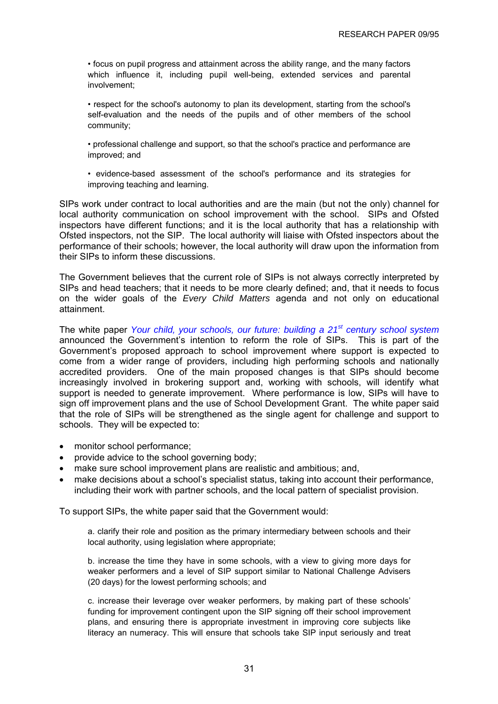• focus on pupil progress and attainment across the ability range, and the many factors which influence it, including pupil well-being, extended services and parental involvement;

• respect for the school's autonomy to plan its development, starting from the school's self-evaluation and the needs of the pupils and of other members of the school community;

• professional challenge and support, so that the school's practice and performance are improved; and

• evidence-based assessment of the school's performance and its strategies for improving teaching and learning.

SIPs work under contract to local authorities and are the main (but not the only) channel for local authority communication on school improvement with the school. SIPs and Ofsted inspectors have different functions; and it is the local authority that has a relationship with Ofsted inspectors, not the SIP. The local authority will liaise with Ofsted inspectors about the performance of their schools; however, the local authority will draw upon the information from their SIPs to inform these discussions.

The Government believes that the current role of SIPs is not always correctly interpreted by SIPs and head teachers; that it needs to be more clearly defined; and, that it needs to focus on the wider goals of the *Every Child Matters* agenda and not only on educational attainment.

The white paper *[Your child, your schools, our future: building a 21](http://publications.dcsf.gov.uk/default.aspx?PageFunction=productdetails&PageMode=publications&ProductId=Cm+7588)[st century school system](http://publications.dcsf.gov.uk/default.aspx?PageFunction=productdetails&PageMode=publications&ProductId=Cm+7588)* announced the Government's intention to reform the role of SIPs. This is part of the Government's proposed approach to school improvement where support is expected to come from a wider range of providers, including high performing schools and nationally accredited providers. One of the main proposed changes is that SIPs should become increasingly involved in brokering support and, working with schools, will identify what support is needed to generate improvement. Where performance is low, SIPs will have to sign off improvement plans and the use of School Development Grant. The white paper said that the role of SIPs will be strengthened as the single agent for challenge and support to schools. They will be expected to:

- monitor school performance;
- provide advice to the school governing body;
- make sure school improvement plans are realistic and ambitious; and,
- make decisions about a school's specialist status, taking into account their performance, including their work with partner schools, and the local pattern of specialist provision.

To support SIPs, the white paper said that the Government would:

a. clarify their role and position as the primary intermediary between schools and their local authority, using legislation where appropriate;

b. increase the time they have in some schools, with a view to giving more days for weaker performers and a level of SIP support similar to National Challenge Advisers (20 days) for the lowest performing schools; and

c. increase their leverage over weaker performers, by making part of these schools' funding for improvement contingent upon the SIP signing off their school improvement plans, and ensuring there is appropriate investment in improving core subjects like literacy an numeracy. This will ensure that schools take SIP input seriously and treat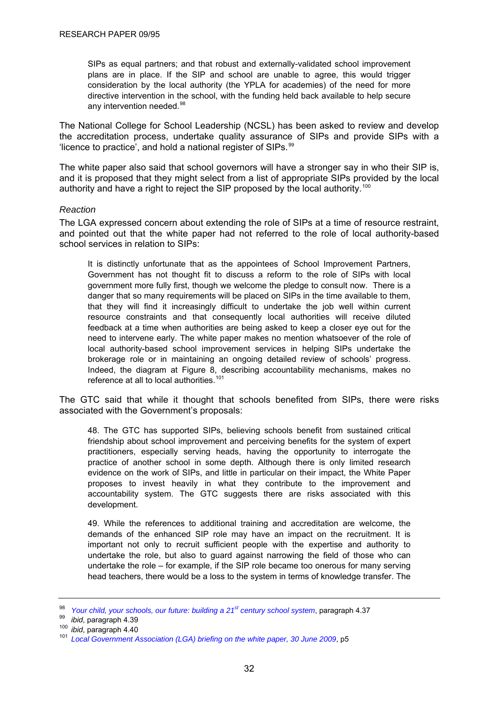<span id="page-35-0"></span>SIPs as equal partners; and that robust and externally-validated school improvement plans are in place. If the SIP and school are unable to agree, this would trigger consideration by the local authority (the YPLA for academies) of the need for more directive intervention in the school, with the funding held back available to help secure any intervention needed.<sup>[98](#page-35-0)</sup>

The National College for School Leadership (NCSL) has been asked to review and develop the accreditation process, undertake quality assurance of SIPs and provide SIPs with a 'licence to practice', and hold a national register of SIPs.[99](#page-35-0)

The white paper also said that school governors will have a stronger say in who their SIP is, and it is proposed that they might select from a list of appropriate SIPs provided by the local authority and have a right to reject the SIP proposed by the local authority.<sup>[100](#page-35-0)</sup>

#### *Reaction*

The LGA expressed concern about extending the role of SIPs at a time of resource restraint, and pointed out that the white paper had not referred to the role of local authority-based school services in relation to SIPs:

It is distinctly unfortunate that as the appointees of School Improvement Partners, Government has not thought fit to discuss a reform to the role of SIPs with local government more fully first, though we welcome the pledge to consult now. There is a danger that so many requirements will be placed on SIPs in the time available to them, that they will find it increasingly difficult to undertake the job well within current resource constraints and that consequently local authorities will receive diluted feedback at a time when authorities are being asked to keep a closer eye out for the need to intervene early. The white paper makes no mention whatsoever of the role of local authority-based school improvement services in helping SIPs undertake the brokerage role or in maintaining an ongoing detailed review of schools' progress. Indeed, the diagram at Figure 8, describing accountability mechanisms, makes no reference at all to local authorities.<sup>[101](#page-35-0)</sup>

The GTC said that while it thought that schools benefited from SIPs, there were risks associated with the Government's proposals:

48. The GTC has supported SIPs, believing schools benefit from sustained critical friendship about school improvement and perceiving benefits for the system of expert practitioners, especially serving heads, having the opportunity to interrogate the practice of another school in some depth. Although there is only limited research evidence on the work of SIPs, and little in particular on their impact, the White Paper proposes to invest heavily in what they contribute to the improvement and accountability system. The GTC suggests there are risks associated with this development.

49. While the references to additional training and accreditation are welcome, the demands of the enhanced SIP role may have an impact on the recruitment. It is important not only to recruit sufficient people with the expertise and authority to undertake the role, but also to guard against narrowing the field of those who can undertake the role – for example, if the SIP role became too onerous for many serving head teachers, there would be a loss to the system in terms of knowledge transfer. The

<sup>&</sup>lt;sup>98</sup> Your child, your schools, our future: building a 21<sup>st</sup> century school system, paragraph 4.37<br><sup>99</sup> ibid, paragraph 4.39<br><sup>100</sup> ibid, paragraph 4.40<br><sup>101</sup> Local Government Association (LGA) briefing on the white paper,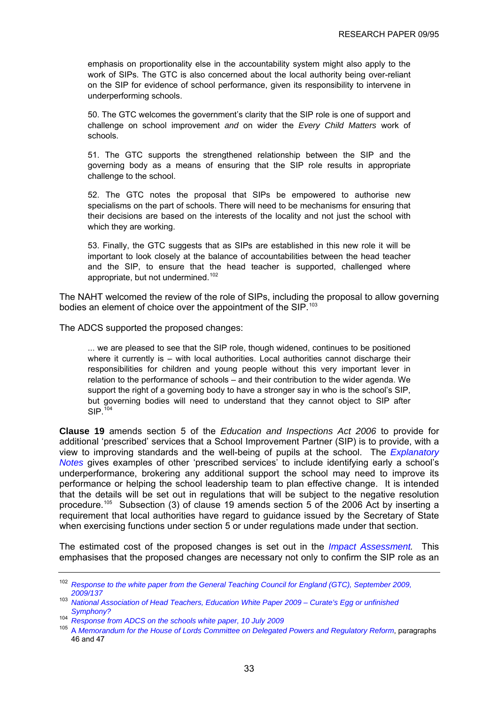<span id="page-36-0"></span>emphasis on proportionality else in the accountability system might also apply to the work of SIPs. The GTC is also concerned about the local authority being over-reliant on the SIP for evidence of school performance, given its responsibility to intervene in underperforming schools.

50. The GTC welcomes the government's clarity that the SIP role is one of support and challenge on school improvement *and* on wider the *Every Child Matters* work of schools.

51. The GTC supports the strengthened relationship between the SIP and the governing body as a means of ensuring that the SIP role results in appropriate challenge to the school.

52. The GTC notes the proposal that SIPs be empowered to authorise new specialisms on the part of schools. There will need to be mechanisms for ensuring that their decisions are based on the interests of the locality and not just the school with which they are working.

53. Finally, the GTC suggests that as SIPs are established in this new role it will be important to look closely at the balance of accountabilities between the head teacher and the SIP, to ensure that the head teacher is supported, challenged where appropriate, but not undermined.<sup>[102](#page-36-0)</sup>

The NAHT welcomed the review of the role of SIPs, including the proposal to allow governing bodies an element of choice over the appointment of the SIP.<sup>[103](#page-36-0)</sup>

The ADCS supported the proposed changes:

... we are pleased to see that the SIP role, though widened, continues to be positioned where it currently is  $-$  with local authorities. Local authorities cannot discharge their responsibilities for children and young people without this very important lever in relation to the performance of schools – and their contribution to the wider agenda. We support the right of a governing body to have a stronger say in who is the school's SIP, but governing bodies will need to understand that they cannot object to SIP after  $SIP.<sup>104</sup>$  $SIP.<sup>104</sup>$  $SIP.<sup>104</sup>$ 

**Clause 19** amends section 5 of the *Education and Inspections Act 2006* to provide for additional 'prescribed' services that a School Improvement Partner (SIP) is to provide, with a view to improving standards and the well-being of pupils at the school. The *[Explanatory](http://www.publications.parliament.uk/pa/cm200910/cmbills/008/en/10008x--.htm#end)  [Notes](http://www.publications.parliament.uk/pa/cm200910/cmbills/008/en/10008x--.htm#end)* gives examples of other 'prescribed services' to include identifying early a school's underperformance, brokering any additional support the school may need to improve its performance or helping the school leadership team to plan effective change. It is intended that the details will be set out in regulations that will be subject to the negative resolution procedure.[105](#page-36-0) Subsection (3) of clause 19 amends section 5 of the 2006 Act by inserting a requirement that local authorities have regard to guidance issued by the Secretary of State when exercising functions under section 5 or under regulations made under that section.

The estimated cost of the proposed changes is set out in the *[Impact Assessment.](http://publications.dcsf.gov.uk/eOrderingDownload/CSF-Bill_Impact-Assessment.pdf)* This emphasises that the proposed changes are necessary not only to confirm the SIP role as an

<sup>102</sup> *[Response to the white paper from the General Teaching Council for England \(GTC\), September 2009,](http://www.gtce.org.uk/documents/publicationpdfs/dcsf_c21schools0909.pdf)  [2009/137](http://www.gtce.org.uk/documents/publicationpdfs/dcsf_c21schools0909.pdf)*

<sup>103</sup> *[National Association of Head Teachers, Education White Paper 2009 – Curate's Egg or unfinished](http://www.naht.org.uk/welcome/resources/key-topics/government-policy/education-white-paper-2009/)  [Symphony?](http://www.naht.org.uk/welcome/resources/key-topics/government-policy/education-white-paper-2009/)*

<sup>104</sup> *[Response from ADCS on the schools white paper, 10 July 2009](http://www.adcs.org.uk/Downloads/Consultation%20responses/060709-ADCS-response-to-WP-Yr-child-yr-school-our-future.pdf)*

<sup>105</sup> A *[Memorandum for the House of Lords Committee on Delegated Powers and Regulatory Reform](http://publications.dcsf.gov.uk/eOrderingDownload/CSF-Bill_Memorandum.pdf)*, paragraphs 46 and 47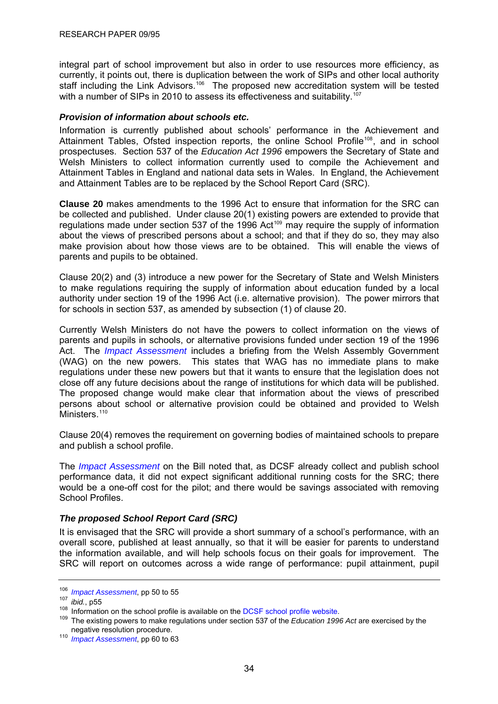<span id="page-37-0"></span>integral part of school improvement but also in order to use resources more efficiency, as currently, it points out, there is duplication between the work of SIPs and other local authority staff including the Link Advisors.<sup>[106](#page-37-0)</sup> The proposed new accreditation system will be tested with a number of SIPs in 2010 to assess its effectiveness and suitability.<sup>[107](#page-37-0)</sup>

## *Provision of information about schools etc.*

Information is currently published about schools' performance in the Achievement and Attainment Tables, Ofsted inspection reports, the online School Profile<sup>[108](#page-37-0)</sup>, and in school prospectuses. Section 537 of the *Education Act 1996* empowers the Secretary of State and Welsh Ministers to collect information currently used to compile the Achievement and Attainment Tables in England and national data sets in Wales. In England, the Achievement and Attainment Tables are to be replaced by the School Report Card (SRC).

**Clause 20** makes amendments to the 1996 Act to ensure that information for the SRC can be collected and published. Under clause 20(1) existing powers are extended to provide that regulations made under section 537 of the 1996 Act<sup>[109](#page-37-0)</sup> may require the supply of information about the views of prescribed persons about a school; and that if they do so, they may also make provision about how those views are to be obtained. This will enable the views of parents and pupils to be obtained.

Clause 20(2) and (3) introduce a new power for the Secretary of State and Welsh Ministers to make regulations requiring the supply of information about education funded by a local authority under section 19 of the 1996 Act (i.e. alternative provision). The power mirrors that for schools in section 537, as amended by subsection (1) of clause 20.

Currently Welsh Ministers do not have the powers to collect information on the views of parents and pupils in schools, or alternative provisions funded under section 19 of the 1996 Act. The *[Impact Assessment](http://publications.dcsf.gov.uk/eOrderingDownload/CSF-Bill_Impact-Assessment.pdf)* includes a briefing from the Welsh Assembly Government (WAG) on the new powers. This states that WAG has no immediate plans to make regulations under these new powers but that it wants to ensure that the legislation does not close off any future decisions about the range of institutions for which data will be published. The proposed change would make clear that information about the views of prescribed persons about school or alternative provision could be obtained and provided to Welsh Ministers.<sup>110</sup>

Clause 20(4) removes the requirement on governing bodies of maintained schools to prepare and publish a school profile.

The *[Impact Assessment](http://publications.dcsf.gov.uk/eOrderingDownload/CSF-Bill_Impact-Assessment.pdf)* on the Bill noted that, as DCSF already collect and publish school performance data, it did not expect significant additional running costs for the SRC; there would be a one-off cost for the pilot; and there would be savings associated with removing School Profiles.

## *The proposed School Report Card (SRC)*

It is envisaged that the SRC will provide a short summary of a school's performance, with an overall score, published at least annually, so that it will be easier for parents to understand the information available, and will help schools focus on their goals for improvement. The SRC will report on outcomes across a wide range of performance: pupil attainment, pupil

<sup>&</sup>lt;sup>106</sup> *Impact Assessment*[,](http://publications.dcsf.gov.uk/eOrderingDownload/CSF-Bill_Impact-Assessment.pdf) pp 50 to 55<br><sup>107</sup> *ibid.*, p55<br><sup>107</sup> *ibid.*, p55<br><sup>108</sup> Information on the school profile is available on the [DCSF school profile website](http://www.teachernet.gov.uk/management/newrelationship/schoolprofile/).<br><sup>109</sup> The existing powers to make regulations under sec

<sup>&</sup>lt;sup>110</sup> *Impact Assessment*, pp 60 to 63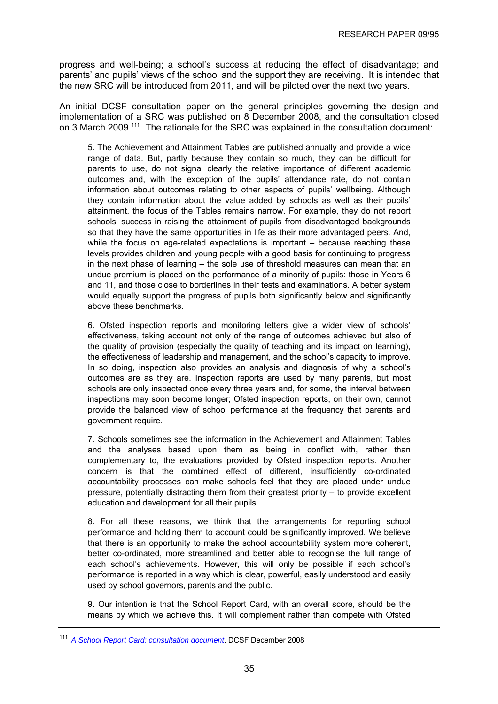<span id="page-38-0"></span>progress and well-being; a school's success at reducing the effect of disadvantage; and parents' and pupils' views of the school and the support they are receiving. It is intended that the new SRC will be introduced from 2011, and will be piloted over the next two years.

An initial DCSF consultation paper on the general principles governing the design and implementation of a SRC was published on 8 December 2008, and the consultation closed on 3 March 2009.<sup>[111](#page-38-0)</sup> The rationale for the SRC was explained in the consultation document:

5. The Achievement and Attainment Tables are published annually and provide a wide range of data. But, partly because they contain so much, they can be difficult for parents to use, do not signal clearly the relative importance of different academic outcomes and, with the exception of the pupils' attendance rate, do not contain information about outcomes relating to other aspects of pupils' wellbeing. Although they contain information about the value added by schools as well as their pupils' attainment, the focus of the Tables remains narrow. For example, they do not report schools' success in raising the attainment of pupils from disadvantaged backgrounds so that they have the same opportunities in life as their more advantaged peers. And, while the focus on age-related expectations is important – because reaching these levels provides children and young people with a good basis for continuing to progress in the next phase of learning – the sole use of threshold measures can mean that an undue premium is placed on the performance of a minority of pupils: those in Years 6 and 11, and those close to borderlines in their tests and examinations. A better system would equally support the progress of pupils both significantly below and significantly above these benchmarks.

6. Ofsted inspection reports and monitoring letters give a wider view of schools' effectiveness, taking account not only of the range of outcomes achieved but also of the quality of provision (especially the quality of teaching and its impact on learning), the effectiveness of leadership and management, and the school's capacity to improve. In so doing, inspection also provides an analysis and diagnosis of why a school's outcomes are as they are. Inspection reports are used by many parents, but most schools are only inspected once every three years and, for some, the interval between inspections may soon become longer; Ofsted inspection reports, on their own, cannot provide the balanced view of school performance at the frequency that parents and government require.

7. Schools sometimes see the information in the Achievement and Attainment Tables and the analyses based upon them as being in conflict with, rather than complementary to, the evaluations provided by Ofsted inspection reports. Another concern is that the combined effect of different, insufficiently co-ordinated accountability processes can make schools feel that they are placed under undue pressure, potentially distracting them from their greatest priority – to provide excellent education and development for all their pupils.

8. For all these reasons, we think that the arrangements for reporting school performance and holding them to account could be significantly improved. We believe that there is an opportunity to make the school accountability system more coherent, better co-ordinated, more streamlined and better able to recognise the full range of each school's achievements. However, this will only be possible if each school's performance is reported in a way which is clear, powerful, easily understood and easily used by school governors, parents and the public.

9. Our intention is that the School Report Card, with an overall score, should be the means by which we achieve this. It will complement rather than compete with Ofsted

<sup>111</sup> *[A School Report Card: consultation document](http://www.dcsf.gov.uk/consultations/downloadableDocs/A%20School%20Report%20Card%20consultation%20document%201.doc)*, DCSF December 2008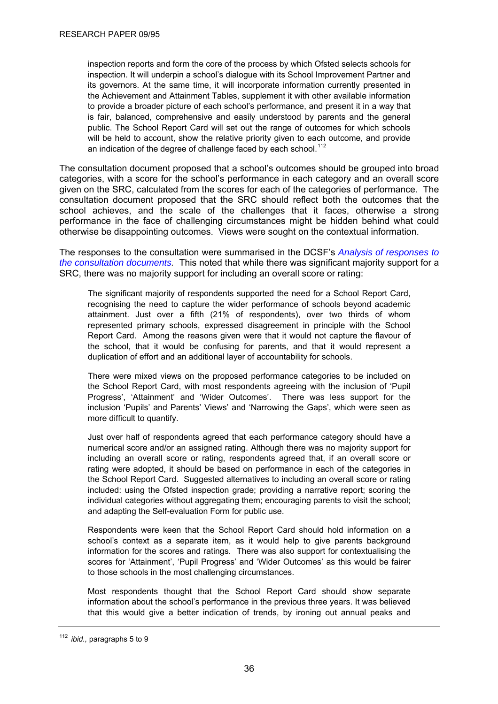<span id="page-39-0"></span>inspection reports and form the core of the process by which Ofsted selects schools for inspection. It will underpin a school's dialogue with its School Improvement Partner and its governors. At the same time, it will incorporate information currently presented in the Achievement and Attainment Tables, supplement it with other available information to provide a broader picture of each school's performance, and present it in a way that is fair, balanced, comprehensive and easily understood by parents and the general public. The School Report Card will set out the range of outcomes for which schools will be held to account, show the relative priority given to each outcome, and provide an indication of the degree of challenge faced by each school.<sup>[112](#page-39-0)</sup>

The consultation document proposed that a school's outcomes should be grouped into broad categories, with a score for the school's performance in each category and an overall score given on the SRC, calculated from the scores for each of the categories of performance. The consultation document proposed that the SRC should reflect both the outcomes that the school achieves, and the scale of the challenges that it faces, otherwise a strong performance in the face of challenging circumstances might be hidden behind what could otherwise be disappointing outcomes. Views were sought on the contextual information.

The responses to the consultation were summarised in the DCSF's *[Analysis of responses to](http://www.dcsf.gov.uk/consultations/downloadableDocs/21C%20Schools%20Report%20Card%20Consultation%20Report.doc)  [the consultation documents.](http://www.dcsf.gov.uk/consultations/downloadableDocs/21C%20Schools%20Report%20Card%20Consultation%20Report.doc)* This noted that while there was significant majority support for a SRC, there was no majority support for including an overall score or rating:

The significant majority of respondents supported the need for a School Report Card, recognising the need to capture the wider performance of schools beyond academic attainment. Just over a fifth (21% of respondents), over two thirds of whom represented primary schools, expressed disagreement in principle with the School Report Card. Among the reasons given were that it would not capture the flavour of the school, that it would be confusing for parents, and that it would represent a duplication of effort and an additional layer of accountability for schools.

There were mixed views on the proposed performance categories to be included on the School Report Card, with most respondents agreeing with the inclusion of 'Pupil Progress', 'Attainment' and 'Wider Outcomes'. There was less support for the inclusion 'Pupils' and Parents' Views' and 'Narrowing the Gaps', which were seen as more difficult to quantify.

Just over half of respondents agreed that each performance category should have a numerical score and/or an assigned rating. Although there was no majority support for including an overall score or rating, respondents agreed that, if an overall score or rating were adopted, it should be based on performance in each of the categories in the School Report Card. Suggested alternatives to including an overall score or rating included: using the Ofsted inspection grade; providing a narrative report; scoring the individual categories without aggregating them; encouraging parents to visit the school; and adapting the Self-evaluation Form for public use.

Respondents were keen that the School Report Card should hold information on a school's context as a separate item, as it would help to give parents background information for the scores and ratings. There was also support for contextualising the scores for 'Attainment', 'Pupil Progress' and 'Wider Outcomes' as this would be fairer to those schools in the most challenging circumstances.

Most respondents thought that the School Report Card should show separate information about the school's performance in the previous three years. It was believed that this would give a better indication of trends, by ironing out annual peaks and

<sup>112</sup> *ibid.,* paragraphs 5 to 9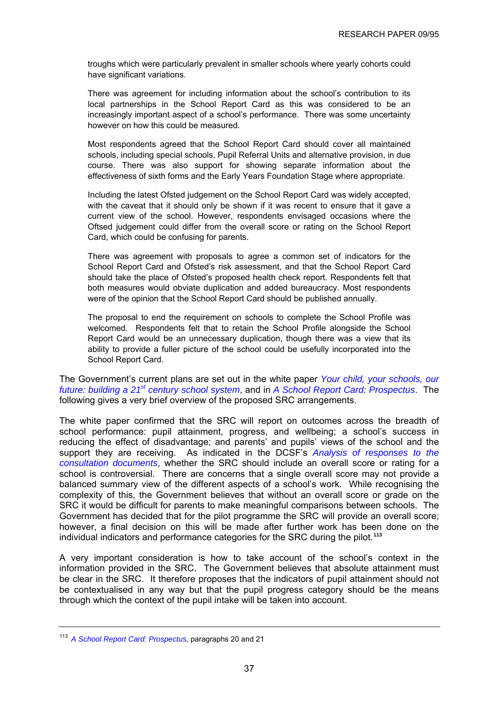<span id="page-40-0"></span>troughs which were particularly prevalent in smaller schools where yearly cohorts could have significant variations.

There was agreement for including information about the school's contribution to its local partnerships in the School Report Card as this was considered to be an increasingly important aspect of a school's performance. There was some uncertainty however on how this could be measured.

Most respondents agreed that the School Report Card should cover all maintained schools, including special schools, Pupil Referral Units and alternative provision, in due course. There was also support for showing separate information about the effectiveness of sixth forms and the Early Years Foundation Stage where appropriate.

Including the latest Ofsted judgement on the School Report Card was widely accepted, with the caveat that it should only be shown if it was recent to ensure that it gave a current view of the school. However, respondents envisaged occasions where the Oftsed judgement could differ from the overall score or rating on the School Report Card, which could be confusing for parents.

There was agreement with proposals to agree a common set of indicators for the School Report Card and Ofsted's risk assessment, and that the School Report Card should take the place of Ofsted's proposed health check report. Respondents felt that both measures would obviate duplication and added bureaucracy. Most respondents were of the opinion that the School Report Card should be published annually.

The proposal to end the requirement on schools to complete the School Profile was welcomed. Respondents felt that to retain the School Profile alongside the School Report Card would be an unnecessary duplication, though there was a view that its ability to provide a fuller picture of the school could be usefully incorporated into the School Report Card.

The Government's current plans are set out in the white paper *[Your child, your schools, our](http://publications.dcsf.gov.uk/default.aspx?PageFunction=productdetails&PageMode=publications&ProductId=Cm+7588)  [future: building a 21](http://publications.dcsf.gov.uk/default.aspx?PageFunction=productdetails&PageMode=publications&ProductId=Cm+7588)[st century school system](http://publications.dcsf.gov.uk/default.aspx?PageFunction=productdetails&PageMode=publications&ProductId=Cm+7588)*, and in *[A School Report Card: Prospectus](http://publications.dcsf.gov.uk/eOrderingDownload/Report-Card_Prospectus.pdf)*. The following gives a very brief overview of the proposed SRC arrangements.

The white paper confirmed that the SRC will report on outcomes across the breadth of school performance: pupil attainment, progress, and wellbeing; a school's success in reducing the effect of disadvantage; and parents' and pupils' views of the school and the support they are receiving. As indicated in the DCSF's *[Analysis of responses to the](http://www.dcsf.gov.uk/consultations/downloadableDocs/21C%20Schools%20Report%20Card%20Consultation%20Report.doc)  [consultation documents](http://www.dcsf.gov.uk/consultations/downloadableDocs/21C%20Schools%20Report%20Card%20Consultation%20Report.doc)*, whether the SRC should include an overall score or rating for a school is controversial. There are concerns that a single overall score may not provide a balanced summary view of the different aspects of a school's work. While recognising the complexity of this, the Government believes that without an overall score or grade on the SRC it would be difficult for parents to make meaningful comparisons between schools. The Government has decided that for the pilot programme the SRC will provide an overall score; however, a final decision on this will be made after further work has been done on the individual indicators and performance categories for the SRC during the pilot.**[113](#page-40-0)**

A very important consideration is how to take account of the school's context in the information provided in the SRC. The Government believes that absolute attainment must be clear in the SRC. It therefore proposes that the indicators of pupil attainment should not be contextualised in any way but that the pupil progress category should be the means through which the context of the pupil intake will be taken into account.

<sup>&</sup>lt;sup>113</sup> [A School Report Card: Prospectus,](http://publications.dcsf.gov.uk/eOrderingDownload/Report-Card_Prospectus.pdf) paragraphs 20 and 21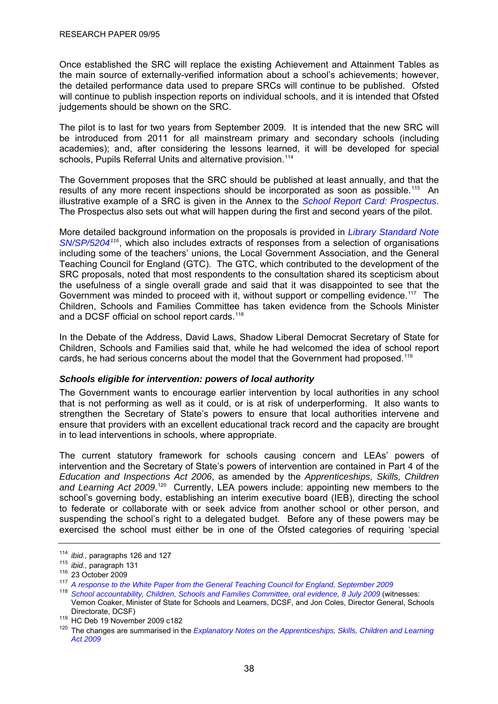<span id="page-41-0"></span>Once established the SRC will replace the existing Achievement and Attainment Tables as the main source of externally-verified information about a school's achievements; however, the detailed performance data used to prepare SRCs will continue to be published. Ofsted will continue to publish inspection reports on individual schools, and it is intended that Ofsted judgements should be shown on the SRC.

The pilot is to last for two years from September 2009. It is intended that the new SRC will be introduced from 2011 for all mainstream primary and secondary schools (including academies); and, after considering the lessons learned, it will be developed for special schools, Pupils Referral Units and alternative provision.<sup>[114](#page-41-0)</sup>

The Government proposes that the SRC should be published at least annually, and that the results of any more recent inspections should be incorporated as soon as possible.<sup>[115](#page-41-0)</sup> An illustrative example of a SRC is given in the Annex to the *[School Report Card: Prospectus](http://publications.dcsf.gov.uk/eOrderingDownload/Report-Card_Prospectus.pdf)*. The Prospectus also sets out what will happen during the first and second years of the pilot.

More detailed background information on the proposals is provided in *[Library Standard Note](http://pims.parliament.uk:81/PIMS/Static%20Files/Extended%20File%20Scan%20Files/LIBRARY_OTHER_PAPERS/STANDARD_NOTE/snsp-05204.pdf)  [SN/SP/5204](http://pims.parliament.uk:81/PIMS/Static%20Files/Extended%20File%20Scan%20Files/LIBRARY_OTHER_PAPERS/STANDARD_NOTE/snsp-05204.pdf)[116](#page-41-0)*, which also includes extracts of responses from a selection of organisations including some of the teachers' unions, the Local Government Association, and the General Teaching Council for England (GTC). The GTC, which contributed to the development of the SRC proposals, noted that most respondents to the consultation shared its scepticism about the usefulness of a single overall grade and said that it was disappointed to see that the Government was minded to proceed with it, without support or compelling evidence.<sup>[117](#page-41-0)</sup> The Children, Schools and Families Committee has taken evidence from the Schools Minister and a DCSF official on school report cards.<sup>[118](#page-41-0)</sup>

In the Debate of the Address, David Laws, Shadow Liberal Democrat Secretary of State for Children, Schools and Families said that, while he had welcomed the idea of school report cards, he had serious concerns about the model that the Government had proposed.<sup>[119](#page-41-0)</sup>

## *Schools eligible for intervention: powers of local authority*

The Government wants to encourage earlier intervention by local authorities in any school that is not performing as well as it could, or is at risk of underperforming. It also wants to strengthen the Secretary of State's powers to ensure that local authorities intervene and ensure that providers with an excellent educational track record and the capacity are brought in to lead interventions in schools, where appropriate.

The current statutory framework for schools causing concern and LEAs' powers of intervention and the Secretary of State's powers of intervention are contained in Part 4 of the *Education and Inspections Act 2006*, as amended by the *Apprenticeships, Skills, Children*  and Learning Act 2009.<sup>[120](#page-41-0)</sup> Currently, LEA powers include: appointing new members to the school's governing body, establishing an interim executive board (IEB), directing the school to federate or collaborate with or seek advice from another school or other person, and suspending the school's right to a delegated budget. Before any of these powers may be exercised the school must either be in one of the Ofsted categories of requiring 'special

<sup>114</sup> *ibid.,* paragraphs 126 and 127<br><sup>115</sup> *ibid.,* paragraph 131<br><sup>116</sup> 23 October 2009<br><sup>117</sup> *[A response to the White Paper from the General Teaching Council for England, September 2009](http://www.gtce.org.uk/documents/publicationpdfs/dcsf_c21schools0909.pdf)* 

<sup>118</sup> *[School accountability, Children, Schools and Families Committee, oral evidence, 8 July 2009](http://www.publications.parliament.uk/pa/cm200809/cmselect/cmchilsch/uc353-vi/uc35302.htm)* (witnesses: Vernon Coaker, Minister of State for Schools and Learners, DCSF, and Jon Coles, Director General, Schools

Directorate, DCSF)<br><sup>119</sup> HC Deb 19 November 2009 c182<br><sup>120</sup> The changes are summarised in the *Explanatory Notes on the Apprenticeships, Skills, Children and Learning [Act 2009](http://www.opsi.gov.uk/acts/acts2009/en/ukpgaen_20090022_en_9#cpt10-ch1_IDAEEL3D)*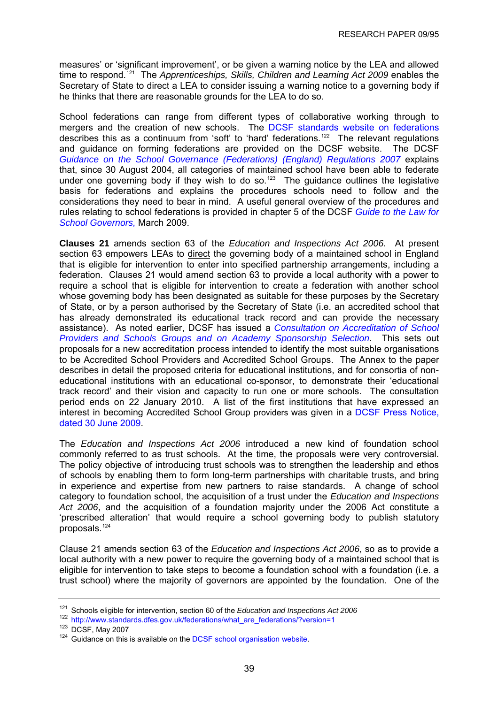<span id="page-42-0"></span>measures' or 'significant improvement', or be given a warning notice by the LEA and allowed time to respond.<sup>[121](#page-42-0)</sup> The *Apprenticeships, Skills, Children and Learning Act 2009* enables the Secretary of State to direct a LEA to consider issuing a warning notice to a governing body if he thinks that there are reasonable grounds for the LEA to do so.

School federations can range from different types of collaborative working through to mergers and the creation of new schools. The [DCSF standards website on federations](http://www.standards.dfes.gov.uk/federations/what_are_federations/?version=1) describes this as a continuum from 'soft' to 'hard' federations.<sup>[122](#page-42-0)</sup> The relevant regulations and guidance on forming federations are provided on the DCSF website. The DCSF *[Guidance on the School Governance \(Federations\) \(England\) Regulations 2007](http://www.standards.dfes.gov.uk/federations/word/fr2007.doc?version=1)* explains that, since 30 August 2004, all categories of maintained school have been able to federate under one governing body if they wish to do so.<sup>[123](#page-42-0)</sup> The guidance outlines the legislative basis for federations and explains the procedures schools need to follow and the considerations they need to bear in mind. A useful general overview of the procedures and rules relating to school federations is provided in chapter 5 of the DCSF *[Guide to the Law for](http://publications.teachernet.gov.uk/eOrderingDownload/GTTL_FINAL.pdf)  [School Governors,](http://publications.teachernet.gov.uk/eOrderingDownload/GTTL_FINAL.pdf)* March 2009.

**Clauses 21** amends section 63 of the *Education and Inspections Act 2006.* At present section 63 empowers LEAs to direct the governing body of a maintained school in England that is eligible for intervention to enter into specified partnership arrangements, including a federation. Clauses 21 would amend section 63 to provide a local authority with a power to require a school that is eligible for intervention to create a federation with another school whose governing body has been designated as suitable for these purposes by the Secretary of State, or by a person authorised by the Secretary of State (i.e. an accredited school that has already demonstrated its educational track record and can provide the necessary assistance). As noted earlier, DCSF has issued a *[Consultation on Accreditation of School](http://www.dcsf.gov.uk/consultations/index.cfm?action=consultationDetails&consultationId=1602&external=no&menu=1)  [Providers and Schools Groups and on Academy Sponsorship Selection](http://www.dcsf.gov.uk/consultations/index.cfm?action=consultationDetails&consultationId=1602&external=no&menu=1).* This sets out proposals for a new accreditation process intended to identify the most suitable organisations to be Accredited School Providers and Accredited School Groups. The Annex to the paper describes in detail the proposed criteria for educational institutions, and for consortia of noneducational institutions with an educational co-sponsor, to demonstrate their 'educational track record' and their vision and capacity to run one or more schools. The consultation period ends on 22 January 2010. A list of the first institutions that have expressed an interest in becoming Accredited School Group providers was given in a [DCSF Press Notice,](http://www.dcsf.gov.uk/pns/DisplayPN.cgi?pn_id=2009_0116)  [dated 30 June 2009](http://www.dcsf.gov.uk/pns/DisplayPN.cgi?pn_id=2009_0116).

The *Education and Inspections Act 2006* introduced a new kind of foundation school commonly referred to as trust schools. At the time, the proposals were very controversial. The policy objective of introducing trust schools was to strengthen the leadership and ethos of schools by enabling them to form long-term partnerships with charitable trusts, and bring in experience and expertise from new partners to raise standards. A change of school category to foundation school, the acquisition of a trust under the *Education and Inspections Act 2006*, and the acquisition of a foundation majority under the 2006 Act constitute a 'prescribed alteration' that would require a school governing body to publish statutory proposals.<sup>[124](#page-42-0)</sup>

Clause 21 amends section 63 of the *Education and Inspections Act 2006*, so as to provide a local authority with a new power to require the governing body of a maintained school that is eligible for intervention to take steps to become a foundation school with a foundation (i.e. a trust school) where the majority of governors are appointed by the foundation. One of the

<sup>121</sup> Schools eligible for intervention, section 60 of the *Education and Inspections Act 2006*

<sup>122</sup> [http://www.standards.dfes.gov.uk/federations/what\\_are\\_federations/?version=1](http://www.standards.dfes.gov.uk/federations/what_are_federations/?version=1)<br><sup>123</sup> DCSF. Mav 2007

 $124$  Guidance on this is available on the [DCSF school organisation website](http://www.dcsf.gov.uk/schoolorg/guidance.cfm?id=25).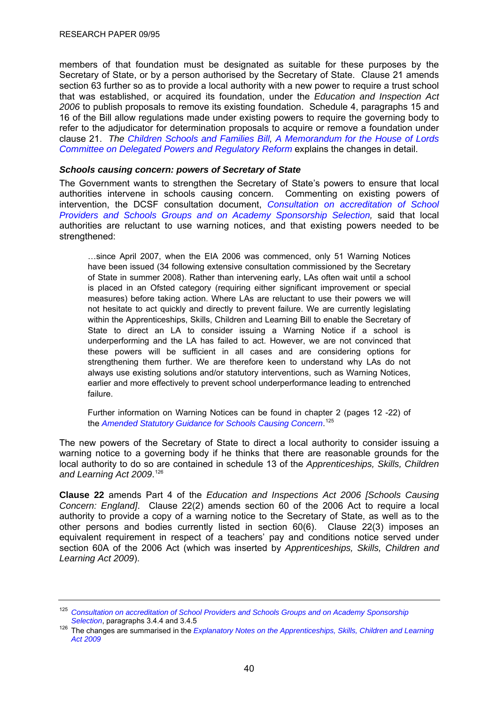<span id="page-43-0"></span>members of that foundation must be designated as suitable for these purposes by the Secretary of State, or by a person authorised by the Secretary of State. Clause 21 amends section 63 further so as to provide a local authority with a new power to require a trust school that was established, or acquired its foundation, under the *Education and Inspection Act 2006* to publish proposals to remove its existing foundation. Schedule 4, paragraphs 15 and 16 of the Bill allow regulations made under existing powers to require the governing body to refer to the adjudicator for determination proposals to acquire or remove a foundation under clause 21. *The [Children Schools and Families Bill](http://www.publications.parliament.uk/pa/cm200910/cmbills/008/10008.i-iii.html), [A Memorandum for the House of Lords](http://publications.dcsf.gov.uk/eOrderingDownload/CSF-Bill_Memorandum.pdf)  [Committee on Delegated Powers and Regulatory Reform](http://publications.dcsf.gov.uk/eOrderingDownload/CSF-Bill_Memorandum.pdf)* explains the changes in detail.

## *Schools causing concern: powers of Secretary of State*

The Government wants to strengthen the Secretary of State's powers to ensure that local authorities intervene in schools causing concern. Commenting on existing powers of intervention, the DCSF consultation document, *[Consultation on accreditation of School](http://www.dcsf.gov.uk/consultations/index.cfm?action=consultationDetails&consultationId=1602&external=no&menu=1)  [Providers and Schools Groups and on Academy Sponsorship Selection](http://www.dcsf.gov.uk/consultations/index.cfm?action=consultationDetails&consultationId=1602&external=no&menu=1),* said that local authorities are reluctant to use warning notices, and that existing powers needed to be strengthened:

…since April 2007, when the EIA 2006 was commenced, only 51 Warning Notices have been issued (34 following extensive consultation commissioned by the Secretary of State in summer 2008). Rather than intervening early, LAs often wait until a school is placed in an Ofsted category (requiring either significant improvement or special measures) before taking action. Where LAs are reluctant to use their powers we will not hesitate to act quickly and directly to prevent failure. We are currently legislating within the Apprenticeships, Skills, Children and Learning Bill to enable the Secretary of State to direct an LA to consider issuing a Warning Notice if a school is underperforming and the LA has failed to act. However, we are not convinced that these powers will be sufficient in all cases and are considering options for strengthening them further. We are therefore keen to understand why LAs do not always use existing solutions and/or statutory interventions, such as Warning Notices, earlier and more effectively to prevent school underperformance leading to entrenched failure.

Further information on Warning Notices can be found in chapter 2 (pages 12 -22) of the *[Amended Statutory Guidance for Schools Causing Concern](http://www.standards.dfes.gov.uk/sie/si/SCC/)*. [125](#page-43-0)

The new powers of the Secretary of State to direct a local authority to consider issuing a warning notice to a governing body if he thinks that there are reasonable grounds for the local authority to do so are contained in schedule 13 of the *Apprenticeships, Skills, Children and Learning Act 2009*. [126](#page-43-0)

**Clause 22** amends Part 4 of the *Education and Inspections Act 2006 [Schools Causing Concern: England]*. Clause 22(2) amends section 60 of the 2006 Act to require a local authority to provide a copy of a warning notice to the Secretary of State, as well as to the other persons and bodies currently listed in section 60(6). Clause 22(3) imposes an equivalent requirement in respect of a teachers' pay and conditions notice served under section 60A of the 2006 Act (which was inserted by *Apprenticeships, Skills, Children and Learning Act 2009*).

<sup>125</sup> *[Consultation on accreditation of School Providers and Schools Groups and on Academy Sponsorship](http://www.dcsf.gov.uk/consultations/index.cfm?action=consultationDetails&consultationId=1602&external=no&menu=1)* 

*Selection*, paragraphs 3.4.4 and 3.4.5 126 The changes are summarised in the *[Explanatory Notes on the Apprenticeships, Skills, Children and Learning](http://www.opsi.gov.uk/acts/acts2009/en/ukpgaen_20090022_en_9#cpt10-ch1_IDAEEL3D)  [Act 2009](http://www.opsi.gov.uk/acts/acts2009/en/ukpgaen_20090022_en_9#cpt10-ch1_IDAEEL3D)*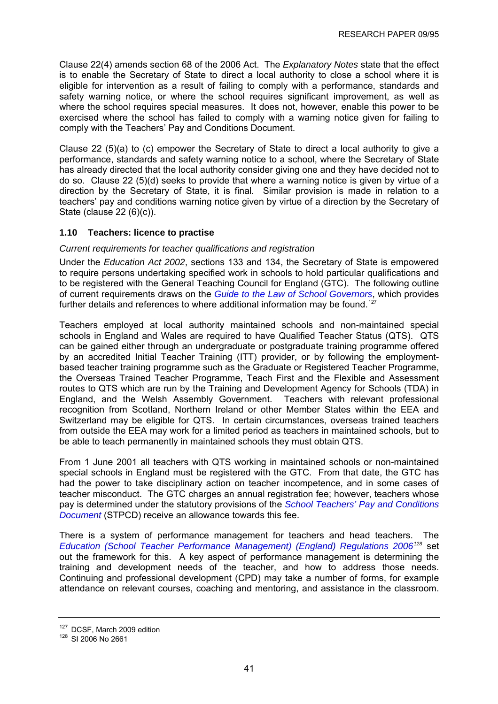<span id="page-44-0"></span>Clause 22(4) amends section 68 of the 2006 Act. The *Explanatory Notes* state that the effect is to enable the Secretary of State to direct a local authority to close a school where it is eligible for intervention as a result of failing to comply with a performance, standards and safety warning notice, or where the school requires significant improvement, as well as where the school requires special measures. It does not, however, enable this power to be exercised where the school has failed to comply with a warning notice given for failing to comply with the Teachers' Pay and Conditions Document.

Clause 22 (5)(a) to (c) empower the Secretary of State to direct a local authority to give a performance, standards and safety warning notice to a school, where the Secretary of State has already directed that the local authority consider giving one and they have decided not to do so. Clause 22 (5)(d) seeks to provide that where a warning notice is given by virtue of a direction by the Secretary of State, it is final. Similar provision is made in relation to a teachers' pay and conditions warning notice given by virtue of a direction by the Secretary of State (clause 22 (6)(c)).

# **1.10 Teachers: licence to practise**

# *Current requirements for teacher qualifications and registration*

Under the *Education Act 2002*, sections 133 and 134, the Secretary of State is empowered to require persons undertaking specified work in schools to hold particular qualifications and to be registered with the General Teaching Council for England (GTC). The following outline of current requirements draws on the *[Guide to the Law of School Governors](http://www.governornet.co.uk/publishArticle.cfm?topicAreaId=26&contentId=1347&pageStart=1&sortOrder=c.publishDAte)*, which provides further details and references to where additional information may be found.<sup>[127](#page-44-0)</sup>

Teachers employed at local authority maintained schools and non-maintained special schools in England and Wales are required to have Qualified Teacher Status (QTS). QTS can be gained either through an undergraduate or postgraduate training programme offered by an accredited Initial Teacher Training (ITT) provider, or by following the employmentbased teacher training programme such as the Graduate or Registered Teacher Programme, the Overseas Trained Teacher Programme, Teach First and the Flexible and Assessment routes to QTS which are run by the Training and Development Agency for Schools (TDA) in England, and the Welsh Assembly Government. Teachers with relevant professional recognition from Scotland, Northern Ireland or other Member States within the EEA and Switzerland may be eligible for QTS. In certain circumstances, overseas trained teachers from outside the EEA may work for a limited period as teachers in maintained schools, but to be able to teach permanently in maintained schools they must obtain QTS.

From 1 June 2001 all teachers with QTS working in maintained schools or non-maintained special schools in England must be registered with the GTC. From that date, the GTC has had the power to take disciplinary action on teacher incompetence, and in some cases of teacher misconduct. The GTC charges an annual registration fee; however, teachers whose pay is determined under the statutory provisions of the *[School Teachers' Pay and Conditions](http://www.teachernet.gov.uk/docbank/index.cfm?id=12833)  [Document](http://www.teachernet.gov.uk/docbank/index.cfm?id=12833)* (STPCD) receive an allowance towards this fee.

There is a system of performance management for teachers and head teachers. The *[Education \(School Teacher Performance Management\) \(England\) Regulations 2006](http://www.teachernet.gov.uk/docbank/index.cfm?id=10404)[128](#page-44-0)* set out the framework for this. A key aspect of performance management is determining the training and development needs of the teacher, and how to address those needs. Continuing and professional development (CPD) may take a number of forms, for example attendance on relevant courses, coaching and mentoring, and assistance in the classroom.

 $127$  DCSF, March 2009 edition  $128$  SI 2006 No 2661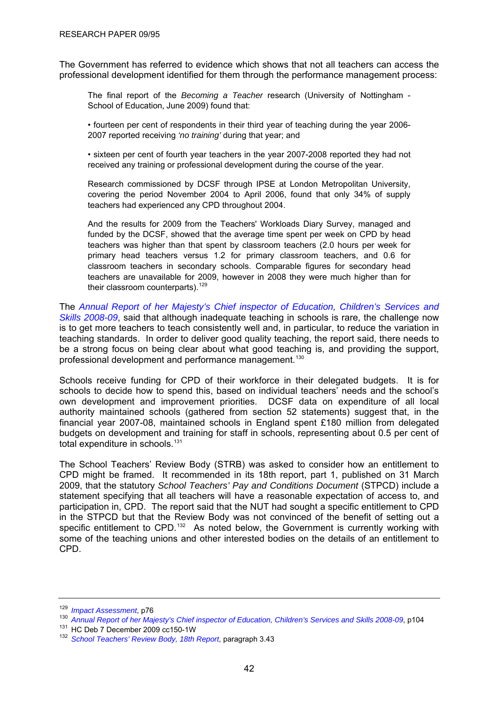<span id="page-45-0"></span>The Government has referred to evidence which shows that not all teachers can access the professional development identified for them through the performance management process:

The final report of the *Becoming a Teacher* research (University of Nottingham - School of Education, June 2009) found that:

• fourteen per cent of respondents in their third year of teaching during the year 2006- 2007 reported receiving *'no training'* during that year; and

• sixteen per cent of fourth year teachers in the year 2007-2008 reported they had not received any training or professional development during the course of the year.

Research commissioned by DCSF through IPSE at London Metropolitan University, covering the period November 2004 to April 2006, found that only 34% of supply teachers had experienced any CPD throughout 2004.

And the results for 2009 from the Teachers' Workloads Diary Survey, managed and funded by the DCSF, showed that the average time spent per week on CPD by head teachers was higher than that spent by classroom teachers (2.0 hours per week for primary head teachers versus 1.2 for primary classroom teachers, and 0.6 for classroom teachers in secondary schools. Comparable figures for secondary head teachers are unavailable for 2009, however in 2008 they were much higher than for their classroom counterparts).  $129$ 

The *[Annual Report of her Majesty's Chief inspector of Education, Children's Services and](http://www.ofsted.gov.uk/Ofsted-home/Annual-Report-2008-09/Teaching-and-learning-summary)  [Skills 2008-09](http://www.ofsted.gov.uk/Ofsted-home/Annual-Report-2008-09/Teaching-and-learning-summary)*, said that although inadequate teaching in schools is rare, the challenge now is to get more teachers to teach consistently well and, in particular, to reduce the variation in teaching standards. In order to deliver good quality teaching, the report said, there needs to be a strong focus on being clear about what good teaching is, and providing the support, professional development and performance management.<sup>[130](#page-45-0)</sup>

Schools receive funding for CPD of their workforce in their delegated budgets. It is for schools to decide how to spend this, based on individual teachers' needs and the school's own development and improvement priorities. DCSF data on expenditure of all local authority maintained schools (gathered from section 52 statements) suggest that, in the financial year 2007-08, maintained schools in England spent £180 million from delegated budgets on development and training for staff in schools, representing about 0.5 per cent of total expenditure in schools.<sup>[131](#page-45-0)</sup>

The School Teachers' Review Body (STRB) was asked to consider how an entitlement to CPD might be framed. It recommended in its 18th report, part 1, published on 31 March 2009, that the statutory *School Teachers' Pay and Conditions Document* (STPCD) include a statement specifying that all teachers will have a reasonable expectation of access to, and participation in, CPD. The report said that the NUT had sought a specific entitlement to CPD in the STPCD but that the Review Body was not convinced of the benefit of setting out a specific entitlement to CPD.<sup>[132](#page-45-0)</sup> As noted below, the Government is currently working with some of the teaching unions and other interested bodies on the details of an entitlement to CPD.

<sup>&</sup>lt;sup>129</sup> Impact Assessment[,](http://www.ofsted.gov.uk/Ofsted-home/Annual-Report-2008-09/Teaching-and-learning-summary) p76<br><sup>130</sup> Annual Report of her Majesty's Chief inspector of Education, Children's Services and Skills 2008-09, p104<br><sup>131</sup> HC Deb 7 December 2009 cc150-1W<br><sup>132</sup> School Teachers' Review Body, 18th Re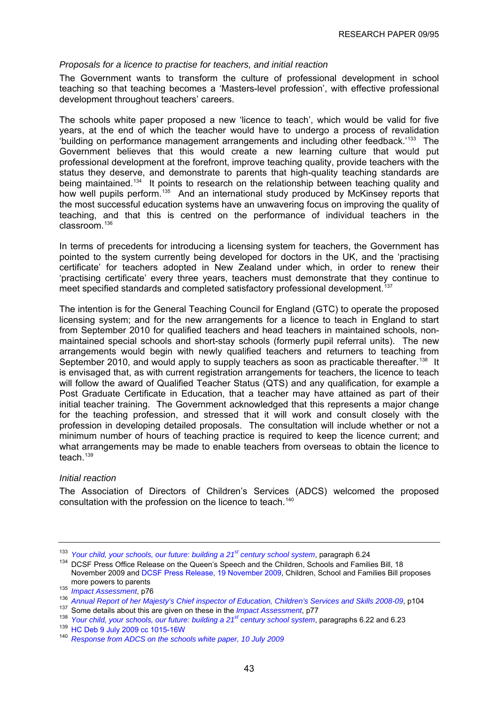## <span id="page-46-0"></span>*Proposals for a licence to practise for teachers, and initial reaction*

The Government wants to transform the culture of professional development in school teaching so that teaching becomes a 'Masters-level profession', with effective professional development throughout teachers' careers.

The schools white paper proposed a new 'licence to teach', which would be valid for five years, at the end of which the teacher would have to undergo a process of revalidation 'building on performance management arrangements and including other feedback.'[133](#page-46-0) The Government believes that this would create a new learning culture that would put professional development at the forefront, improve teaching quality, provide teachers with the status they deserve, and demonstrate to parents that high-quality teaching standards are being maintained.<sup>[134](#page-46-0)</sup> It points to research on the relationship between teaching quality and how well pupils perform.<sup>[135](#page-46-0)</sup> And an international study produced by McKinsey reports that the most successful education systems have an unwavering focus on improving the quality of teaching, and that this is centred on the performance of individual teachers in the  $classroom<sup>136</sup>$  $classroom<sup>136</sup>$  $classroom<sup>136</sup>$ 

In terms of precedents for introducing a licensing system for teachers, the Government has pointed to the system currently being developed for doctors in the UK, and the 'practising certificate' for teachers adopted in New Zealand under which, in order to renew their 'practising certificate' every three years, teachers must demonstrate that they continue to meet specified standards and completed satisfactory professional development.<sup>[137](#page-46-0)</sup>

The intention is for the General Teaching Council for England (GTC) to operate the proposed licensing system; and for the new arrangements for a licence to teach in England to start from September 2010 for qualified teachers and head teachers in maintained schools, nonmaintained special schools and short-stay schools (formerly pupil referral units). The new arrangements would begin with newly qualified teachers and returners to teaching from September 2010, and would apply to supply teachers as soon as practicable thereafter.<sup>[138](#page-46-0)</sup> It is envisaged that, as with current registration arrangements for teachers, the licence to teach will follow the award of Qualified Teacher Status (QTS) and any qualification, for example a Post Graduate Certificate in Education, that a teacher may have attained as part of their initial teacher training. The Government acknowledged that this represents a major change for the teaching profession, and stressed that it will work and consult closely with the profession in developing detailed proposals. The consultation will include whether or not a minimum number of hours of teaching practice is required to keep the licence current; and what arrangements may be made to enable teachers from overseas to obtain the licence to teach $139$ 

#### *Initial reaction*

The Association of Directors of Children's Services (ADCS) welcomed the proposed consultation with the profession on the licence to teach.<sup>[140](#page-46-0)</sup>

<sup>&</sup>lt;sup>133</sup> Your child, your schools, our future: building a 21<sup>st</sup> century school system, paragraph 6.24<br><sup>134</sup> DCSF Press Office Release on the Queen's Speech and the Children, Schools and Families Bill, 18 November 2009 and [DCSF Press Release, 19 November 2009](http://www.dcsf.gov.uk/news/content.cfm?landing=children_schools_and_families_bill_proposes_more_powers_for_parents_and_pupils&type=1), Children, School and Families Bill proposes morepowers to parents<br>
<sup>135</sup> *Impact Assessment*[,](http://www.ofsted.gov.uk/Ofsted-home/Annual-Report-2008-09/Teaching-and-learning-summary) p76<br>
<sup>136</sup> *Annual Report of her Majesty's Chief inspector of Education, Children's Services and Skills 2008-09, p104*<br>
<sup>137</sup> Some details about this are given on these in

<sup>140</sup> *[Response from ADCS on the schools white paper, 10 July 2009](http://www.adcs.org.uk/Downloads/Consultation%20responses/060709-ADCS-response-to-WP-Yr-child-yr-school-our-future.pdf)*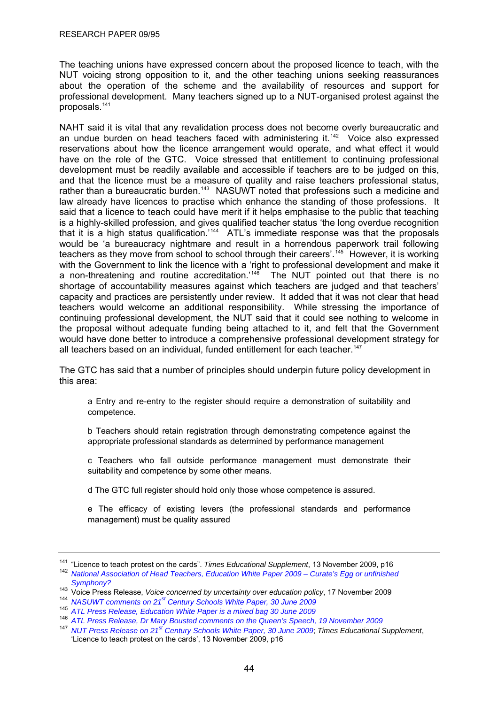<span id="page-47-0"></span>The teaching unions have expressed concern about the proposed licence to teach, with the NUT voicing strong opposition to it, and the other teaching unions seeking reassurances about the operation of the scheme and the availability of resources and support for professional development. Many teachers signed up to a NUT-organised protest against the proposals.[141](#page-47-0)

NAHT said it is vital that any revalidation process does not become overly bureaucratic and an undue burden on head teachers faced with administering it.<sup>[142](#page-47-0)</sup> Voice also expressed reservations about how the licence arrangement would operate, and what effect it would have on the role of the GTC. Voice stressed that entitlement to continuing professional development must be readily available and accessible if teachers are to be judged on this, and that the licence must be a measure of quality and raise teachers professional status, rather than a bureaucratic burden.<sup>[143](#page-47-0)</sup> NASUWT noted that professions such a medicine and law already have licences to practise which enhance the standing of those professions. It said that a licence to teach could have merit if it helps emphasise to the public that teaching is a highly-skilled profession, and gives qualified teacher status 'the long overdue recognition that it is a high status qualification.<sup>[144](#page-47-0)</sup> ATL's immediate response was that the proposals would be 'a bureaucracy nightmare and result in a horrendous paperwork trail following teachers as they move from school to school through their careers'.<sup>[145](#page-47-0)</sup> However, it is working with the Government to link the licence with a 'right to professional development and make it a non-threatening and routine accreditation.<sup> $14\overline{6}$ </sup> The NUT pointed out that there is no shortage of accountability measures against which teachers are judged and that teachers' capacity and practices are persistently under review. It added that it was not clear that head teachers would welcome an additional responsibility. While stressing the importance of continuing professional development, the NUT said that it could see nothing to welcome in the proposal without adequate funding being attached to it, and felt that the Government would have done better to introduce a comprehensive professional development strategy for all teachers based on an individual, funded entitlement for each teacher.<sup>[147](#page-47-0)</sup>

The GTC has said that a number of principles should underpin future policy development in this area:

a Entry and re-entry to the register should require a demonstration of suitability and competence.

b Teachers should retain registration through demonstrating competence against the appropriate professional standards as determined by performance management

c Teachers who fall outside performance management must demonstrate their suitability and competence by some other means.

d The GTC full register should hold only those whose competence is assured.

e The efficacy of existing levers (the professional standards and performance management) must be quality assured

<sup>&</sup>lt;sup>141</sup> "Licence to teach protest on the cards". *Times Educational Supplement*, 13 November 2009, p16<br><sup>142</sup> *National Association of Head Teachers, Education White Paper 2009 – Curate's Egg or unfinished* 

*[Symphony?](http://www.naht.org.uk/welcome/resources/key-topics/government-policy/education-white-paper-2009/)*

<sup>143</sup> Voice Press Release, *Voice concerned by uncertainty over education policy*, 17 November 2009 144 *NASUWT comments on 21st Century Schools White Paper, 30 June 2009*

<sup>145</sup> *[ATL Press Release, Education White Paper is a mixed bag 30 June 2009](http://www.atl.org.uk/media-office/media-archive/Education-White-Paper-is-a-mixed-bag.asp)*

<sup>146</sup> *[ATL Press Release, Dr Mary Bousted comments on the Queen's Speech, 19 November 2009](http://www.atl.org.uk/media-office/media-archive/ATL-comment-on-Children-Schools-and-Families-Bill-(Queens-speech).asp)*

<sup>147</sup> *[NUT Press Release on 21st Century Schools White Paper, 30 June 2009](http://www.teachers.org.uk/story.php?id=4770)*; *Times Educational Supplement*, 'Licence to teach protest on the cards', 13 November 2009, p16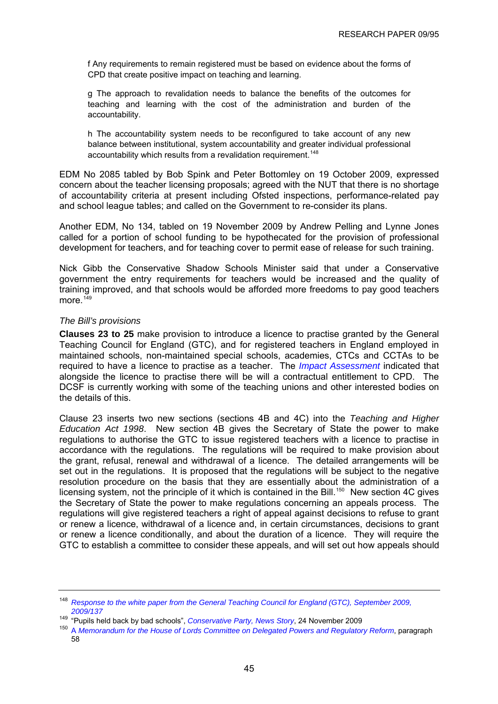<span id="page-48-0"></span>f Any requirements to remain registered must be based on evidence about the forms of CPD that create positive impact on teaching and learning.

g The approach to revalidation needs to balance the benefits of the outcomes for teaching and learning with the cost of the administration and burden of the accountability.

h The accountability system needs to be reconfigured to take account of any new balance between institutional, system accountability and greater individual professional accountability which results from a revalidation requirement.<sup>[148](#page-48-0)</sup>

EDM No 2085 tabled by Bob Spink and Peter Bottomley on 19 October 2009, expressed concern about the teacher licensing proposals; agreed with the NUT that there is no shortage of accountability criteria at present including Ofsted inspections, performance-related pay and school league tables; and called on the Government to re-consider its plans.

Another EDM, No 134, tabled on 19 November 2009 by Andrew Pelling and Lynne Jones called for a portion of school funding to be hypothecated for the provision of professional development for teachers, and for teaching cover to permit ease of release for such training.

Nick Gibb the Conservative Shadow Schools Minister said that under a Conservative government the entry requirements for teachers would be increased and the quality of training improved, and that schools would be afforded more freedoms to pay good teachers more $149$ 

## *The Bill's provisions*

**Clauses 23 to 25** make provision to introduce a licence to practise granted by the General Teaching Council for England (GTC), and for registered teachers in England employed in maintained schools, non-maintained special schools, academies, CTCs and CCTAs to be required to have a licence to practise as a teacher. The *[Impact Assessment](http://publications.dcsf.gov.uk/eOrderingDownload/CSF-Bill_Impact-Assessment.pdf)* indicated that alongside the licence to practise there will be will a contractual entitlement to CPD. The DCSF is currently working with some of the teaching unions and other interested bodies on the details of this.

Clause 23 inserts two new sections (sections 4B and 4C) into the *Teaching and Higher Education Act 1998*. New section 4B gives the Secretary of State the power to make regulations to authorise the GTC to issue registered teachers with a licence to practise in accordance with the regulations. The regulations will be required to make provision about the grant, refusal, renewal and withdrawal of a licence. The detailed arrangements will be set out in the regulations. It is proposed that the regulations will be subject to the negative resolution procedure on the basis that they are essentially about the administration of a licensing system, not the principle of it which is contained in the Bill.<sup>[150](#page-48-0)</sup> New section 4C gives the Secretary of State the power to make regulations concerning an appeals process. The regulations will give registered teachers a right of appeal against decisions to refuse to grant or renew a licence, withdrawal of a licence and, in certain circumstances, decisions to grant or renew a licence conditionally, and about the duration of a licence. They will require the GTC to establish a committee to consider these appeals, and will set out how appeals should

<sup>148</sup> *[Response to the white paper from the General Teaching Council for England \(GTC\), September 2009,](http://www.gtce.org.uk/documents/publicationpdfs/dcsf_c21schools0909.pdf)*  [2009/137](http://www.gtce.org.uk/documents/publicationpdfs/dcsf_c21schools0909.pdf)<br><sup>149</sup> "Pupils held back by bad schools", *Conservative Party, News Story*, 24 November 2009

<sup>&</sup>lt;sup>150</sup> [A](http://publications.dcsf.gov.uk/eOrderingDownload/CSF-Bill_Memorandum.pdf) Memorandum for the House of Lords Committee on Delegated Powers and Regulatory Reform, paragraph 58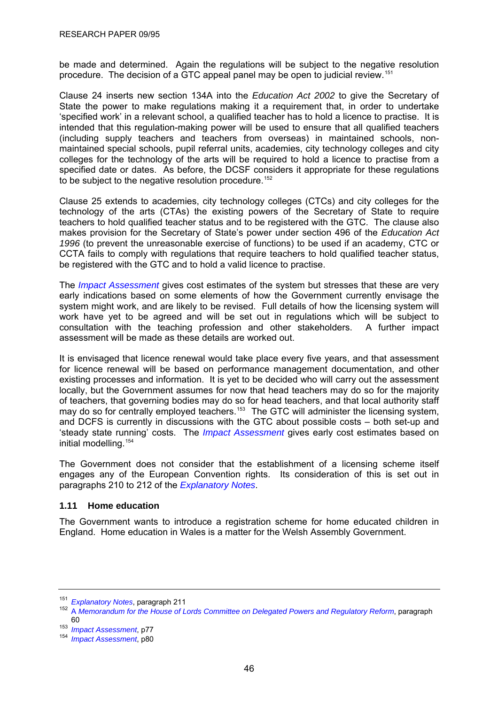<span id="page-49-0"></span>be made and determined. Again the regulations will be subject to the negative resolution procedure. The decision of a GTC appeal panel may be open to judicial review.[151](#page-49-0)

Clause 24 inserts new section 134A into the *Education Act 2002* to give the Secretary of State the power to make regulations making it a requirement that, in order to undertake 'specified work' in a relevant school, a qualified teacher has to hold a licence to practise. It is intended that this regulation-making power will be used to ensure that all qualified teachers (including supply teachers and teachers from overseas) in maintained schools, nonmaintained special schools, pupil referral units, academies, city technology colleges and city colleges for the technology of the arts will be required to hold a licence to practise from a specified date or dates. As before, the DCSF considers it appropriate for these regulations to be subject to the negative resolution procedure.<sup>[152](#page-49-0)</sup>

Clause 25 extends to academies, city technology colleges (CTCs) and city colleges for the technology of the arts (CTAs) the existing powers of the Secretary of State to require teachers to hold qualified teacher status and to be registered with the GTC. The clause also makes provision for the Secretary of State's power under section 496 of the *Education Act 1996* (to prevent the unreasonable exercise of functions) to be used if an academy, CTC or CCTA fails to comply with regulations that require teachers to hold qualified teacher status, be registered with the GTC and to hold a valid licence to practise.

The *[Impact Assessment](http://publications.dcsf.gov.uk/eOrderingDownload/CSF-Bill_Impact-Assessment.pdf)* gives cost estimates of the system but stresses that these are very early indications based on some elements of how the Government currently envisage the system might work, and are likely to be revised. Full details of how the licensing system will work have yet to be agreed and will be set out in regulations which will be subject to consultation with the teaching profession and other stakeholders. A further impact assessment will be made as these details are worked out.

It is envisaged that licence renewal would take place every five years, and that assessment for licence renewal will be based on performance management documentation, and other existing processes and information. It is yet to be decided who will carry out the assessment locally, but the Government assumes for now that head teachers may do so for the majority of teachers, that governing bodies may do so for head teachers, and that local authority staff may do so for centrally employed teachers.<sup>[153](#page-49-0)</sup> The GTC will administer the licensing system, and DCFS is currently in discussions with the GTC about possible costs – both set-up and 'steady state running' costs. The *[Impact Assessment](http://publications.dcsf.gov.uk/eOrderingDownload/CSF-Bill_Impact-Assessment.pdf)* gives early cost estimates based on initial modelling.<sup>[154](#page-49-0)</sup>

The Government does not consider that the establishment of a licensing scheme itself engages any of the European Convention rights. Its consideration of this is set out in paragraphs 210 to 212 of the *[Explanatory Notes](http://www.publications.parliament.uk/pa/cm200910/cmbills/008/en/10008x-d.htm)*.

## **1.11 Home education**

The Government wants to introduce a registration scheme for home educated children in England. Home education in Wales is a matter for the Welsh Assembly Government.

<sup>&</sup>lt;sup>151</sup> Explanatory Notes[,](http://www.publications.parliament.uk/pa/cm200910/cmbills/008/en/10008x-d.htm) paragraph 211<br><sup>152</sup> A [Memorandum for the House of Lords Committee on Delegated Powers and Regulatory Reform](http://publications.dcsf.gov.uk/eOrderingDownload/CSF-Bill_Memorandum.pdf), paragraph 60 153 *Impact Assessment*[,](http://publications.dcsf.gov.uk/eOrderingDownload/CSF-Bill_Impact-Assessment.pdf) p77 154 *Impact Assessment*, p80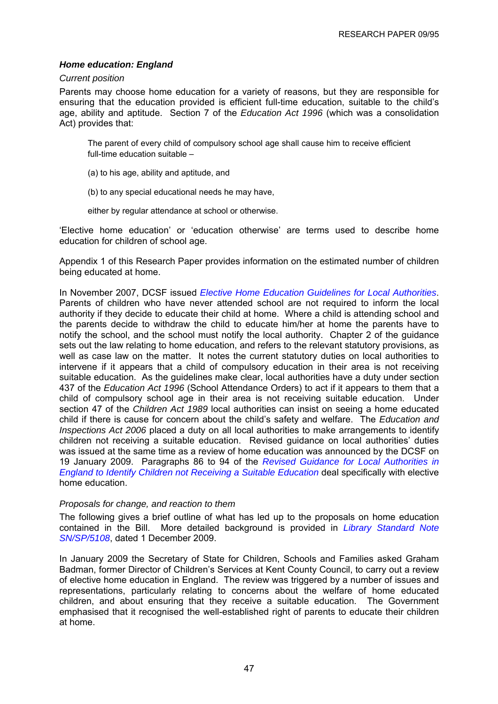## *Home education: England*

#### *Current position*

Parents may choose home education for a variety of reasons, but they are responsible for ensuring that the education provided is efficient full-time education, suitable to the child's age, ability and aptitude. Section 7 of the *Education Act 1996* (which was a consolidation Act) provides that:

The parent of every child of compulsory school age shall cause him to receive efficient full-time education suitable –

- (a) to his age, ability and aptitude, and
- (b) to any special educational needs he may have,

either by regular attendance at school or otherwise.

'Elective home education' or 'education otherwise' are terms used to describe home education for children of school age.

Appendix 1 of this Research Paper provides information on the estimated number of children being educated at home.

In November 2007, DCSF issued *[Elective Home Education Guidelines for Local Authorities](http://www.dcsf.gov.uk/everychildmatters/publications/elective/)*. Parents of children who have never attended school are not required to inform the local authority if they decide to educate their child at home. Where a child is attending school and the parents decide to withdraw the child to educate him/her at home the parents have to notify the school, and the school must notify the local authority. Chapter 2 of the guidance sets out the law relating to home education, and refers to the relevant statutory provisions, as well as case law on the matter. It notes the current statutory duties on local authorities to intervene if it appears that a child of compulsory education in their area is not receiving suitable education. As the guidelines make clear, local authorities have a duty under section 437 of the *Education Act 1996* (School Attendance Orders) to act if it appears to them that a child of compulsory school age in their area is not receiving suitable education. Under section 47 of the *Children Act 1989* local authorities can insist on seeing a home educated child if there is cause for concern about the child's safety and welfare. The *Education and Inspections Act 2006* placed a duty on all local authorities to make arrangements to identify children not receiving a suitable education. Revised guidance on local authorities' duties was issued at the same time as a review of home education was announced by the DCSF on 19 January 2009. Paragraphs 86 to 94 of the *[Revised Guidance for Local Authorities in](http://www.everychildmatters.gov.uk/resources-and-practice/IG00202/)  [England to Identify Children not Receiving a Suitable Education](http://www.everychildmatters.gov.uk/resources-and-practice/IG00202/)* deal specifically with elective home education.

## *Proposals for change, and reaction to them*

The following gives a brief outline of what has led up to the proposals on home education contained in the Bill. More detailed background is provided in *[Library Standard Note](http://pims.parliament.uk:81/PIMS/Static%20Files/Extended%20File%20Scan%20Files/LIBRARY_OTHER_PAPERS/STANDARD_NOTE/snsp-05108.pdf)  [SN/SP/5108](http://pims.parliament.uk:81/PIMS/Static%20Files/Extended%20File%20Scan%20Files/LIBRARY_OTHER_PAPERS/STANDARD_NOTE/snsp-05108.pdf)*, dated 1 December 2009.

In January 2009 the Secretary of State for Children, Schools and Families asked Graham Badman, former Director of Children's Services at Kent County Council, to carry out a review of elective home education in England. The review was triggered by a number of issues and representations, particularly relating to concerns about the welfare of home educated children, and about ensuring that they receive a suitable education. The Government emphasised that it recognised the well-established right of parents to educate their children at home.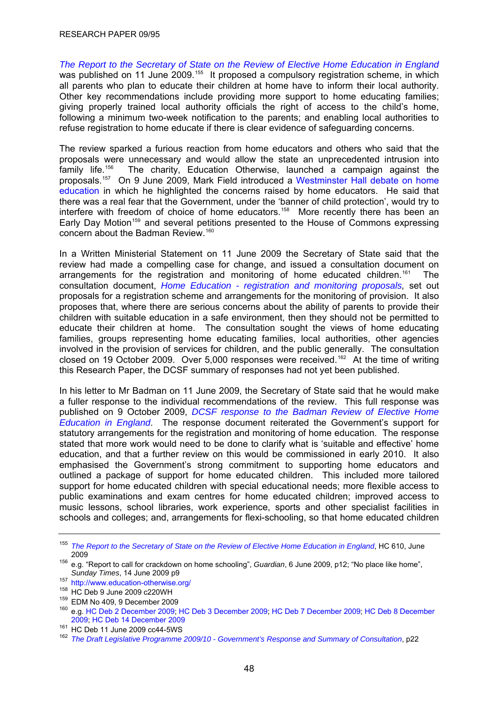<span id="page-51-0"></span>*[The Report to the Secretary of State on the Review of Elective Home Education in England](http://www.freedomforchildrentogrow.org/8318-DCSF-HomeEdReviewBMK.PDF)* was published on 11 June 2009.<sup>[155](#page-51-0)</sup> It proposed a compulsory registration scheme, in which all parents who plan to educate their children at home have to inform their local authority. Other key recommendations include providing more support to home educating families; giving properly trained local authority officials the right of access to the child's home, following a minimum two-week notification to the parents; and enabling local authorities to refuse registration to home educate if there is clear evidence of safeguarding concerns.

The review sparked a furious reaction from home educators and others who said that the proposals were unnecessary and would allow the state an unprecedented intrusion into family life.[156](#page-51-0) The charity, Education Otherwise, launched a campaign against the proposals.[157](#page-51-0) On 9 June 2009, Mark Field introduced a [Westminster Hall debate on home](http://www.publications.parliament.uk/pa/cm200809/cmhansrd/cm090609/halltext/90609h0010.htm)  [education](http://www.publications.parliament.uk/pa/cm200809/cmhansrd/cm090609/halltext/90609h0010.htm) in which he highlighted the concerns raised by home educators. He said that there was a real fear that the Government, under the 'banner of child protection', would try to interfere with freedom of choice of home educators.<sup>[158](#page-51-0)</sup> More recently there has been an Early Day Motion<sup>[159](#page-51-0)</sup> and several petitions presented to the House of Commons expressing concern about the Badman Review.<sup>160</sup>

In a Written Ministerial Statement on 11 June 2009 the Secretary of State said that the review had made a compelling case for change, and issued a consultation document on arrangements for the registration and monitoring of home educated children.<sup>[161](#page-51-0)</sup> The consultation document, *[Home Education - registration and monitoring proposals](http://www.dcsf.gov.uk/consultations/index.cfm?action=consultationDetails&consultationId=1643&external=no&menu=1),* set out proposals for a registration scheme and arrangements for the monitoring of provision. It also proposes that, where there are serious concerns about the ability of parents to provide their children with suitable education in a safe environment, then they should not be permitted to educate their children at home. The consultation sought the views of home educating families, groups representing home educating families, local authorities, other agencies involved in the provision of services for children, and the public generally. The consultation closed on 19 October 2009. Over 5,000 responses were received.<sup>[162](#page-51-0)</sup> At the time of writing this Research Paper, the DCSF summary of responses had not yet been published.

In his letter to Mr Badman on 11 June 2009, the Secretary of State said that he would make a fuller response to the individual recommendations of the review. This full response was published on 9 October 2009, *[DCSF response to the Badman Review of Elective Home](http://www.dcsf.gov.uk/everychildmatters/ete/independentreviewofhomeeducation/irhomeeducation/)  [Education in England](http://www.dcsf.gov.uk/everychildmatters/ete/independentreviewofhomeeducation/irhomeeducation/)*. The response document reiterated the Government's support for statutory arrangements for the registration and monitoring of home education. The response stated that more work would need to be done to clarify what is 'suitable and effective' home education, and that a further review on this would be commissioned in early 2010. It also emphasised the Government's strong commitment to supporting home educators and outlined a package of support for home educated children. This included more tailored support for home educated children with special educational needs; more flexible access to public examinations and exam centres for home educated children; improved access to music lessons, school libraries, work experience, sports and other specialist facilities in schools and colleges; and, arrangements for flexi-schooling, so that home educated children

<sup>155</sup> *[The Report to the Secretary of State on the Review of Elective Home Education in England](http://www.freedomforchildrentogrow.org/8318-DCSF-HomeEdReviewBMK.PDF)*, HC 610, June

<sup>&</sup>lt;sup>156</sup> e.g. "Report to call for crackdown on home schooling", *Guardian*, 6 June 2009, p12; "No place like home", Sundav Times. 14 June 2009 p9

<sup>&</sup>lt;sup>157</sup> <http://www.education-otherwise.org/><br><sup>158</sup> HC Deb 9 June 2009 c220WH

 $^{159}$  EDM No 409, 9 December 2009<br><sup>160</sup> e.g. [HC Deb 2 December 2009;](http://www.publications.parliament.uk/pa/cm200910/cmhansrd/cm091202/petntext/91202p0001.htm) [HC Deb 3 December 2009;](http://www.publications.parliament.uk/pa/cm200910/cmhansrd/cm091203/debtext/91203-0022.htm#09120367000446) [HC Deb 7 December 2009;](http://www.publications.parliament.uk/pa/cm200910/cmhansrd/cm091207/petntext/91207p0001.htm) HC Deb 8 December [2009](http://www.publications.parliament.uk/pa/cm200910/cmhansrd/cm091208/debtext/91208-0034.htm); [HC Deb 14 December 2009](http://services.parliament.uk/hansard/Commons/bydate/20091214/mainchamberdebates/part007.html)<br><sup>161</sup> HC Deb 11 June 2009 cc44-5WS

<sup>&</sup>lt;sup>162</sup> [The Draft Legislative Programme 2009/10 - Government's Response and Summary of Consultation](http://www.official-documents.gov.uk/document/cm77/7739/7739.pdf), p22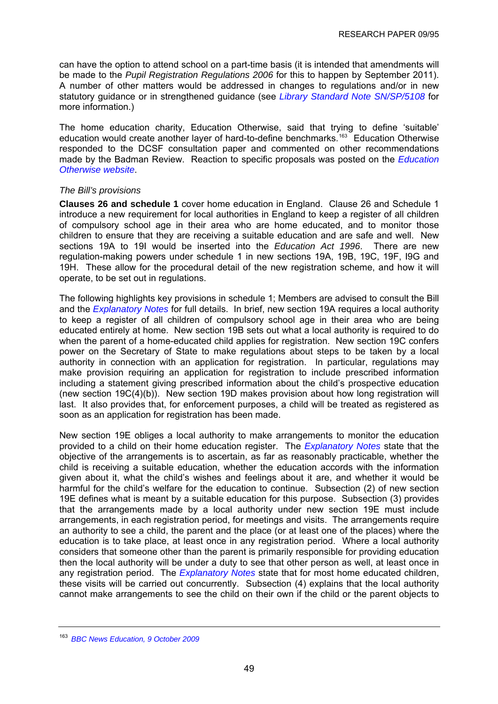<span id="page-52-0"></span>can have the option to attend school on a part-time basis (it is intended that amendments will be made to the *Pupil Registration Regulations 2006* for this to happen by September 2011). A number of other matters would be addressed in changes to regulations and/or in new statutory guidance or in strengthened guidance (see *[Library Standard Note SN/SP/5108](http://pims.parliament.uk:81/PIMS/Static%20Files/Extended%20File%20Scan%20Files/LIBRARY_OTHER_PAPERS/STANDARD_NOTE/snsp-05108.pdf)* for more information.)

The home education charity, Education Otherwise, said that trying to define 'suitable' education would create another layer of hard-to-define benchmarks.<sup>[163](#page-52-0)</sup> Education Otherwise responded to the DCSF consultation paper and commented on other recommendations made by the Badman Review. Reaction to specific proposals was posted on the *[Education](http://www.freedomforchildrentogrow.org/heconsult.htm)  [Otherwise website](http://www.freedomforchildrentogrow.org/heconsult.htm)*.

#### *The Bill's provisions*

**Clauses 26 and schedule 1** cover home education in England. Clause 26 and Schedule 1 introduce a new requirement for local authorities in England to keep a register of all children of compulsory school age in their area who are home educated, and to monitor those children to ensure that they are receiving a suitable education and are safe and well. New sections 19A to 19I would be inserted into the *Education Act 1996*. There are new regulation-making powers under schedule 1 in new sections 19A, 19B, 19C, 19F, I9G and 19H. These allow for the procedural detail of the new registration scheme, and how it will operate, to be set out in regulations.

The following highlights key provisions in schedule 1; Members are advised to consult the Bill and the *[Explanatory Notes](http://www.publications.parliament.uk/pa/cm200910/cmbills/008/en/10008x--.htm#end)* for full details. In brief, new section 19A requires a local authority to keep a register of all children of compulsory school age in their area who are being educated entirely at home. New section 19B sets out what a local authority is required to do when the parent of a home-educated child applies for registration. New section 19C confers power on the Secretary of State to make regulations about steps to be taken by a local authority in connection with an application for registration. In particular, regulations may make provision requiring an application for registration to include prescribed information including a statement giving prescribed information about the child's prospective education (new section 19C(4)(b)). New section 19D makes provision about how long registration will last. It also provides that, for enforcement purposes, a child will be treated as registered as soon as an application for registration has been made.

New section 19E obliges a local authority to make arrangements to monitor the education provided to a child on their home education register. The *[Explanatory Notes](http://www.publications.parliament.uk/pa/cm200910/cmbills/008/en/10008x--.htm#end)* state that the objective of the arrangements is to ascertain, as far as reasonably practicable, whether the child is receiving a suitable education, whether the education accords with the information given about it, what the child's wishes and feelings about it are, and whether it would be harmful for the child's welfare for the education to continue. Subsection (2) of new section 19E defines what is meant by a suitable education for this purpose. Subsection (3) provides that the arrangements made by a local authority under new section 19E must include arrangements, in each registration period, for meetings and visits. The arrangements require an authority to see a child, the parent and the place (or at least one of the places) where the education is to take place, at least once in any registration period. Where a local authority considers that someone other than the parent is primarily responsible for providing education then the local authority will be under a duty to see that other person as well, at least once in any registration period. The *[Explanatory Notes](http://www.publications.parliament.uk/pa/cm200910/cmbills/008/en/10008x--.htm#end)* state that for most home educated children, these visits will be carried out concurrently. Subsection (4) explains that the local authority cannot make arrangements to see the child on their own if the child or the parent objects to

<sup>163</sup> *[BBC News Education, 9 October 2009](http://news.bbc.co.uk/1/hi/education/8299694.stm)*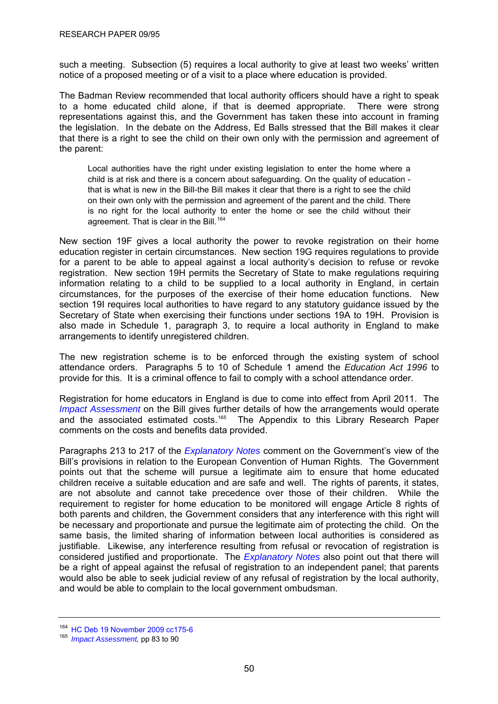<span id="page-53-0"></span>such a meeting. Subsection (5) requires a local authority to give at least two weeks' written notice of a proposed meeting or of a visit to a place where education is provided.

The Badman Review recommended that local authority officers should have a right to speak to a home educated child alone, if that is deemed appropriate. There were strong representations against this, and the Government has taken these into account in framing the legislation. In the debate on the Address, Ed Balls stressed that the Bill makes it clear that there is a right to see the child on their own only with the permission and agreement of the parent:

Local authorities have the right under existing legislation to enter the home where a child is at risk and there is a concern about safeguarding. On the quality of education that is what is new in the Bill-the Bill makes it clear that there is a right to see the child on their own only with the permission and agreement of the parent and the child. There is no right for the local authority to enter the home or see the child without their agreement. That is clear in the Bill.<sup>[164](#page-53-0)</sup>

New section 19F gives a local authority the power to revoke registration on their home education register in certain circumstances. New section 19G requires regulations to provide for a parent to be able to appeal against a local authority's decision to refuse or revoke registration. New section 19H permits the Secretary of State to make regulations requiring information relating to a child to be supplied to a local authority in England, in certain circumstances, for the purposes of the exercise of their home education functions. New section 19I requires local authorities to have regard to any statutory guidance issued by the Secretary of State when exercising their functions under sections 19A to 19H. Provision is also made in Schedule 1, paragraph 3, to require a local authority in England to make arrangements to identify unregistered children.

The new registration scheme is to be enforced through the existing system of school attendance orders. Paragraphs 5 to 10 of Schedule 1 amend the *Education Act 1996* to provide for this. It is a criminal offence to fail to comply with a school attendance order.

Registration for home educators in England is due to come into effect from April 2011. The *[Impact Assessment](http://publications.dcsf.gov.uk/eOrderingDownload/CSF-Bill_Impact-Assessment.pdf)* on the Bill gives further details of how the arrangements would operate and the associated estimated costs.<sup>[165](#page-53-0)</sup> The Appendix to this Library Research Paper comments on the costs and benefits data provided.

Paragraphs 213 to 217 of the *[Explanatory Notes](http://www.publications.parliament.uk/pa/cm200910/cmbills/008/en/10008x--.htm#end)* comment on the Government's view of the Bill's provisions in relation to the European Convention of Human Rights. The Government points out that the scheme will pursue a legitimate aim to ensure that home educated children receive a suitable education and are safe and well. The rights of parents, it states, are not absolute and cannot take precedence over those of their children. While the requirement to register for home education to be monitored will engage Article 8 rights of both parents and children, the Government considers that any interference with this right will be necessary and proportionate and pursue the legitimate aim of protecting the child. On the same basis, the limited sharing of information between local authorities is considered as justifiable. Likewise, any interference resulting from refusal or revocation of registration is considered justified and proportionate. The *[Explanatory Notes](http://www.publications.parliament.uk/pa/cm200910/cmbills/008/en/10008x--.htm#end)* also point out that there will be a right of appeal against the refusal of registration to an independent panel; that parents would also be able to seek judicial review of any refusal of registration by the local authority, and would be able to complain to the local government ombudsman.

<sup>164</sup> [HC Deb 19 November 2009 cc175-6](http://www.publications.parliament.uk/pa/cm200910/cmhansrd/cm091119/debtext/91119-0003.htm#09111936000002)

<sup>&</sup>lt;sup>165</sup> *[Impact Assessment,](http://publications.dcsf.gov.uk/eOrderingDownload/CSF-Bill_Impact-Assessment.pdf)* pp 83 to 90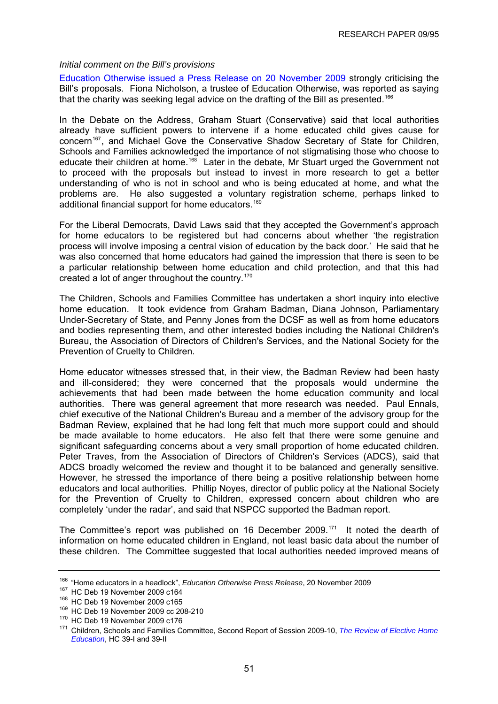#### <span id="page-54-0"></span>*Initial comment on the Bill's provisions*

[Education Otherwise issued a Press Release on 20 November 2009](http://www.freedomforchildrentogrow.org/pr201109.pdf) strongly criticising the Bill's proposals. Fiona Nicholson, a trustee of Education Otherwise, was reported as saying that the charity was seeking legal advice on the drafting of the Bill as presented.<sup>[166](#page-54-0)</sup>

In the Debate on the Address, Graham Stuart (Conservative) said that local authorities already have sufficient powers to intervene if a home educated child gives cause for concern<sup>[167](#page-54-0)</sup>, and Michael Gove the Conservative Shadow Secretary of State for Children, Schools and Families acknowledged the importance of not stigmatising those who choose to educate their children at home.<sup>[168](#page-54-0)</sup> Later in the debate. Mr Stuart urged the Government not to proceed with the proposals but instead to invest in more research to get a better understanding of who is not in school and who is being educated at home, and what the problems are. He also suggested a voluntary registration scheme, perhaps linked to additional financial support for home educators.<sup>169</sup>

For the Liberal Democrats, David Laws said that they accepted the Government's approach for home educators to be registered but had concerns about whether 'the registration process will involve imposing a central vision of education by the back door.' He said that he was also concerned that home educators had gained the impression that there is seen to be a particular relationship between home education and child protection, and that this had created a lot of anger throughout the country.<sup>[170](#page-54-0)</sup>

The Children, Schools and Families Committee has undertaken a short inquiry into elective home education. It took evidence from Graham Badman, Diana Johnson, Parliamentary Under-Secretary of State, and Penny Jones from the DCSF as well as from home educators and bodies representing them, and other interested bodies including the National Children's Bureau, the Association of Directors of Children's Services, and the National Society for the Prevention of Cruelty to Children.

Home educator witnesses stressed that, in their view, the Badman Review had been hasty and ill-considered; they were concerned that the proposals would undermine the achievements that had been made between the home education community and local authorities. There was general agreement that more research was needed. Paul Ennals, chief executive of the National Children's Bureau and a member of the advisory group for the Badman Review, explained that he had long felt that much more support could and should be made available to home educators. He also felt that there were some genuine and significant safeguarding concerns about a very small proportion of home educated children. Peter Traves, from the Association of Directors of Children's Services (ADCS), said that ADCS broadly welcomed the review and thought it to be balanced and generally sensitive. However, he stressed the importance of there being a positive relationship between home educators and local authorities. Phillip Noyes, director of public policy at the National Society for the Prevention of Cruelty to Children, expressed concern about children who are completely 'under the radar', and said that NSPCC supported the Badman report.

The Committee's report was published on 16 December 2009.[171](#page-54-0) It noted the dearth of information on home educated children in England, not least basic data about the number of these children. The Committee suggested that local authorities needed improved means of

<sup>&</sup>lt;sup>166</sup> "Home educators in a headlock", *Education Otherwise Press Release*, 20 November 2009<br><sup>167</sup> HC Deb 19 November 2009 c164<br><sup>168</sup> HC Deb 19 November 2009 c165<br><sup>169</sup> HC Deb 19 November 2009 cc 208-210<br><sup>170</sup> HC Deb 19 Nov *[Education](http://www.publications.parliament.uk/pa/cm200910/cmselect/cmchilsch/39/3902.htm)*, HC 39-I and 39-II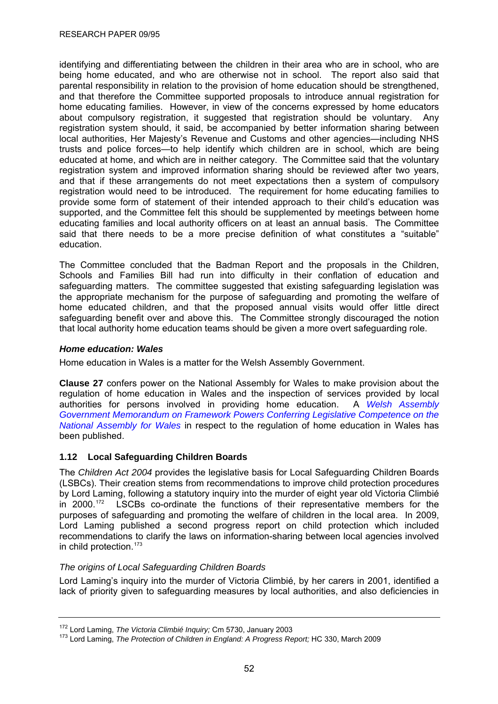<span id="page-55-0"></span>identifying and differentiating between the children in their area who are in school, who are being home educated, and who are otherwise not in school. The report also said that parental responsibility in relation to the provision of home education should be strengthened, and that therefore the Committee supported proposals to introduce annual registration for home educating families. However, in view of the concerns expressed by home educators about compulsory registration, it suggested that registration should be voluntary. Any registration system should, it said, be accompanied by better information sharing between local authorities, Her Majesty's Revenue and Customs and other agencies—including NHS trusts and police forces—to help identify which children are in school, which are being educated at home, and which are in neither category. The Committee said that the voluntary registration system and improved information sharing should be reviewed after two years, and that if these arrangements do not meet expectations then a system of compulsory registration would need to be introduced. The requirement for home educating families to provide some form of statement of their intended approach to their child's education was supported, and the Committee felt this should be supplemented by meetings between home educating families and local authority officers on at least an annual basis. The Committee said that there needs to be a more precise definition of what constitutes a "suitable" education.

The Committee concluded that the Badman Report and the proposals in the Children, Schools and Families Bill had run into difficulty in their conflation of education and safeguarding matters. The committee suggested that existing safeguarding legislation was the appropriate mechanism for the purpose of safeguarding and promoting the welfare of home educated children, and that the proposed annual visits would offer little direct safeguarding benefit over and above this. The Committee strongly discouraged the notion that local authority home education teams should be given a more overt safeguarding role.

## *Home education: Wales*

Home education in Wales is a matter for the Welsh Assembly Government.

**Clause 27** confers power on the National Assembly for Wales to make provision about the regulation of home education in Wales and the inspection of services provided by local authorities for persons involved in providing home education. A *[Welsh Assembly](http://www.assemblywales.org/bus-home/bus-guide-docs-pub/bus-business-documents/bus-business-documents-doc-laid/sub-ld7795-em.pdf?langoption=3&ttl=SUB-LD7795-EM%20-%20Children%2C%20Schools%20and%20Families%20Bill-%20EXPLANATORY%20MEMORANDUM%20)  [Government Memorandum on Framework Powers Conferring Legislative Competence on the](http://www.assemblywales.org/bus-home/bus-guide-docs-pub/bus-business-documents/bus-business-documents-doc-laid/sub-ld7795-em.pdf?langoption=3&ttl=SUB-LD7795-EM%20-%20Children%2C%20Schools%20and%20Families%20Bill-%20EXPLANATORY%20MEMORANDUM%20)  [National Assembly for Wales](http://www.assemblywales.org/bus-home/bus-guide-docs-pub/bus-business-documents/bus-business-documents-doc-laid/sub-ld7795-em.pdf?langoption=3&ttl=SUB-LD7795-EM%20-%20Children%2C%20Schools%20and%20Families%20Bill-%20EXPLANATORY%20MEMORANDUM%20)* in respect to the regulation of home education in Wales has been published.

# **1.12 Local Safeguarding Children Boards**

The *Children Act 2004* provides the legislative basis for Local Safeguarding Children Boards (LSBCs). Their creation stems from recommendations to improve child protection procedures by Lord Laming, following a statutory inquiry into the murder of eight year old Victoria Climbié in 2000.[172](#page-55-0) LSCBs co-ordinate the functions of their representative members for the purposes of safeguarding and promoting the welfare of children in the local area. In 2009, Lord Laming published a second progress report on child protection which included recommendations to clarify the laws on information-sharing between local agencies involved in child protection.<sup>[173](#page-55-0)</sup>

## *The origins of Local Safeguarding Children Boards*

Lord Laming's inquiry into the murder of Victoria Climbié, by her carers in 2001, identified a lack of priority given to safeguarding measures by local authorities, and also deficiencies in

<sup>&</sup>lt;sup>172</sup> Lord Laming, *The Victoria Climbié Inquiry;* Cm 5730, January 2003<br><sup>173</sup> Lord Laming, *The Protection of Children in England: A Progress Report;* HC 330, March 2009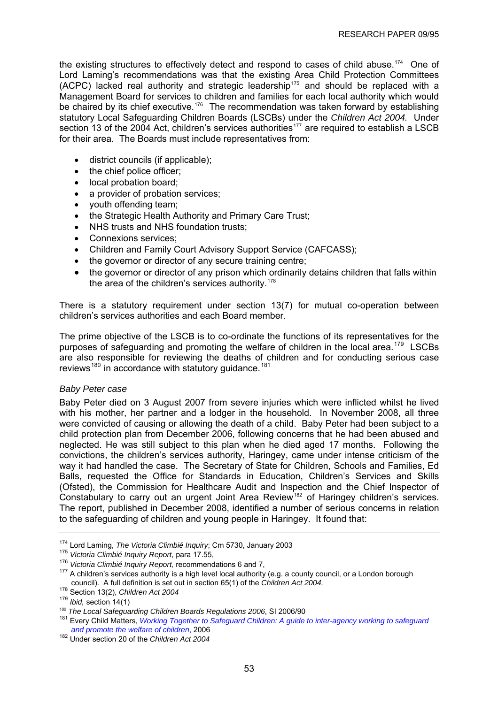<span id="page-56-0"></span>the existing structures to effectively detect and respond to cases of child abuse.<sup>174</sup> One of Lord Laming's recommendations was that the existing Area Child Protection Committees (ACPC) lacked real authority and strategic leadership<sup>[175](#page-56-0)</sup> and should be replaced with a Management Board for services to children and families for each local authority which would be chaired by its chief executive.<sup>[176](#page-56-0)</sup> The recommendation was taken forward by establishing statutory Local Safeguarding Children Boards (LSCBs) under the *Children Act 2004.* Under section 13 of the 2004 Act, children's services authorities<sup>[177](#page-56-0)</sup> are required to establish a LSCB for their area. The Boards must include representatives from:

- district councils (if applicable);
- the chief police officer:
- local probation board;
- a provider of probation services;
- youth offending team;
- the Strategic Health Authority and Primary Care Trust;
- NHS trusts and NHS foundation trusts:
- Connexions services;
- Children and Family Court Advisory Support Service (CAFCASS);
- the governor or director of any secure training centre;
- the governor or director of any prison which ordinarily detains children that falls within the area of the children's services authority.<sup>[178](#page-56-0)</sup>

There is a statutory requirement under section 13(7) for mutual co-operation between children's services authorities and each Board member.

The prime objective of the LSCB is to co-ordinate the functions of its representatives for the purposes of safeguarding and promoting the welfare of children in the local area.<sup>[179](#page-56-0)</sup> LSCBs are also responsible for reviewing the deaths of children and for conducting serious case reviews<sup>[180](#page-56-0)</sup> in accordance with statutory guidance.<sup>[181](#page-56-0)</sup>

## *Baby Peter case*

Baby Peter died on 3 August 2007 from severe injuries which were inflicted whilst he lived with his mother, her partner and a lodger in the household. In November 2008, all three were convicted of causing or allowing the death of a child. Baby Peter had been subject to a child protection plan from December 2006, following concerns that he had been abused and neglected. He was still subject to this plan when he died aged 17 months. Following the convictions, the children's services authority, Haringey, came under intense criticism of the way it had handled the case. The Secretary of State for Children, Schools and Families, Ed Balls, requested the Office for Standards in Education, Children's Services and Skills (Ofsted), the Commission for Healthcare Audit and Inspection and the Chief Inspector of Constabulary to carry out an urgent Joint Area Review<sup>[182](#page-56-0)</sup> of Haringey children's services. The report, published in December 2008, identified a number of serious concerns in relation to the safeguarding of children and young people in Haringey. It found that:

<sup>&</sup>lt;sup>174</sup> Lord Laming, *The Victoria Climbié Inquiry*; Cm 5730, January 2003<br><sup>175</sup> Victoria Climbié Inquiry Report, para 17.55,<br><sup>176</sup> Victoria Climbié Inquiry Report, recommendations 6 and 7,<br><sup>176</sup> Victoria Climbié Inquiry Rep council). A full definition is set out in section 65(1) of the *Children Act 2004.*

<sup>178</sup> Section 13(2), *Children Act 2004*

<sup>&</sup>lt;sup>180</sup> The Local Safeguarding Children Boards Regulations 2006, SI 2006/90

<sup>&</sup>lt;sup>181</sup> Every Child Matters, *[Working Together to Safeguard Children: A guide to inter-agency working to safeguard](http://www.dcsf.gov.uk/everychildmatters/resources-and-practice/IG00060/) and promote the welfare of children, 2006* 

<sup>&</sup>lt;sup>182</sup> Under section 20 of the *Children Act 2004*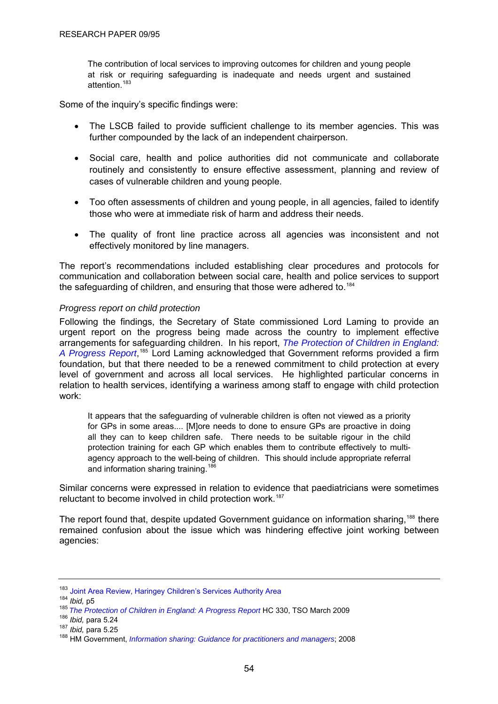<span id="page-57-0"></span>The contribution of local services to improving outcomes for children and young people at risk or requiring safeguarding is inadequate and needs urgent and sustained attention.[183](#page-57-0)

Some of the inquiry's specific findings were:

- The LSCB failed to provide sufficient challenge to its member agencies. This was further compounded by the lack of an independent chairperson.
- Social care, health and police authorities did not communicate and collaborate routinely and consistently to ensure effective assessment, planning and review of cases of vulnerable children and young people.
- Too often assessments of children and young people, in all agencies, failed to identify those who were at immediate risk of harm and address their needs.
- The quality of front line practice across all agencies was inconsistent and not effectively monitored by line managers.

The report's recommendations included establishing clear procedures and protocols for communication and collaboration between social care, health and police services to support the safeguarding of children, and ensuring that those were adhered to.<sup>[184](#page-57-0)</sup>

#### *Progress report on child protection*

Following the findings, the Secretary of State commissioned Lord Laming to provide an urgent report on the progress being made across the country to implement effective arrangements for safeguarding children. In his report, *[The Protection of Children in England:](http://publications.everychildmatters.gov.uk/eOrderingDownload/HC-330.pdf)*  [A Progress Report](http://publications.everychildmatters.gov.uk/eOrderingDownload/HC-330.pdf),<sup>[185](#page-57-0)</sup> Lord Laming acknowledged that Government reforms provided a firm foundation, but that there needed to be a renewed commitment to child protection at every level of government and across all local services. He highlighted particular concerns in relation to health services, identifying a wariness among staff to engage with child protection work:

It appears that the safeguarding of vulnerable children is often not viewed as a priority for GPs in some areas.... [M]ore needs to done to ensure GPs are proactive in doing all they can to keep children safe. There needs to be suitable rigour in the child protection training for each GP which enables them to contribute effectively to multiagency approach to the well-being of children. This should include appropriate referral and information sharing training.<sup>18</sup>

Similar concerns were expressed in relation to evidence that paediatricians were sometimes reluctant to become involved in child protection work.<sup>[187](#page-57-0)</sup>

The report found that, despite updated Government guidance on information sharing,<sup>[188](#page-57-0)</sup> there remained confusion about the issue which was hindering effective joint working between agencies:

<sup>&</sup>lt;sup>183</sup> [Joint Area Review, Haringey Children's Services Authority Area](http://www.ofsted.gov.uk/oxcare_providers/la_download/(id)/4657/(as)/JAR/jar_2008_309_fr.pdf)<br><sup>184</sup> *Ibid,* p5<br><sup>185</sup> *[The Protection of Children in England: A Progress Report](http://publications.everychildmatters.gov.uk/eOrderingDownload/HC-330.pdf)* HC 330, TSO March 2009<br><sup>186</sup> *Ibid.* nara 5.24

<sup>&</sup>lt;sup>187</sup> *Ibid,* para 5.25<br><sup>188</sup> HM Government, *[Information sharing: Guidance for practitioners and managers](http://www.dcsf.gov.uk/everychildmatters/resources-and-practice/IG00340/)*; 2008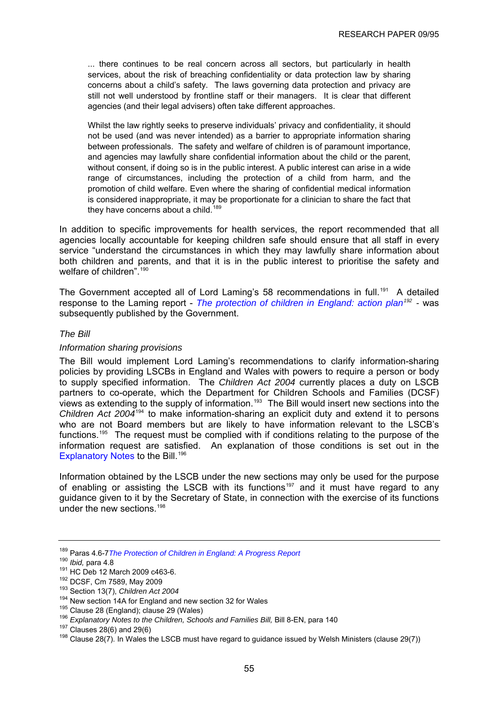<span id="page-58-0"></span>... there continues to be real concern across all sectors, but particularly in health services, about the risk of breaching confidentiality or data protection law by sharing concerns about a child's safety. The laws governing data protection and privacy are still not well understood by frontline staff or their managers. It is clear that different agencies (and their legal advisers) often take different approaches.

Whilst the law rightly seeks to preserve individuals' privacy and confidentiality, it should not be used (and was never intended) as a barrier to appropriate information sharing between professionals. The safety and welfare of children is of paramount importance, and agencies may lawfully share confidential information about the child or the parent, without consent, if doing so is in the public interest. A public interest can arise in a wide range of circumstances, including the protection of a child from harm, and the promotion of child welfare. Even where the sharing of confidential medical information is considered inappropriate, it may be proportionate for a clinician to share the fact that they have concerns about a child.<sup>[189](#page-58-0)</sup>

In addition to specific improvements for health services, the report recommended that all agencies locally accountable for keeping children safe should ensure that all staff in every service "understand the circumstances in which they may lawfully share information about both children and parents, and that it is in the public interest to prioritise the safety and welfare of children".<sup>[190](#page-58-0)</sup>

The Government accepted all of Lord Laming's 58 recommendations in full.<sup>[191](#page-58-0)</sup> A detailed response to the Laming report - *[The protection of children in England: action plan](http://publications.dcsf.gov.uk/default.aspx?PageFunction=productdetails&PageMode=publications&ProductId=CM+7589)[192](#page-58-0) -* was subsequently published by the Government.

## *The Bill*

#### *Information sharing provisions*

The Bill would implement Lord Laming's recommendations to clarify information-sharing policies by providing LSCBs in England and Wales with powers to require a person or body to supply specified information. The *Children Act 2004* currently places a duty on LSCB partners to co-operate, which the Department for Children Schools and Families (DCSF) views as extending to the supply of information.<sup>[193](#page-58-0)</sup> The Bill would insert new sections into the *Children Act 2004*[194](#page-58-0) to make information-sharing an explicit duty and extend it to persons who are not Board members but are likely to have information relevant to the LSCB's functions.<sup>195</sup> The request must be complied with if conditions relating to the purpose of the information request are satisfied. An explanation of those conditions is set out in the [Explanatory Notes](http://publications.everychildmatters.gov.uk/eOrderingDownload/CSF-Bill_Explanatory-notes.pdf) to the Bill.<sup>[196](#page-58-0)</sup>

Information obtained by the LSCB under the new sections may only be used for the purpose of enabling or assisting the LSCB with its functions<sup>[197](#page-58-0)</sup> and it must have regard to any guidance given to it by the Secretary of State, in connection with the exercise of its functions under the new sections.[198](#page-58-0)

<sup>189</sup> Paras 4.6-7*[The Protection of Children in England: A Progress Report](http://publications.everychildmatters.gov.uk/eOrderingDownload/HC-330.pdf)*

<sup>&</sup>lt;sup>191</sup> HC Deb 12 March 2009 c463-6.<br><sup>192</sup> DCSF, Cm 7589, May 2009<br><sup>193</sup> Section 13(7), *Children Act 2004*<br><sup>194</sup> New section 14A for England and new section 32 for Wales

<sup>&</sup>lt;sup>195</sup> Clause 28 (England); clause 29 (Wales)<br><sup>196</sup> Explanatory Notes to the Children, Schools and Families Bill, Bill 8-EN, para 140<br><sup>197</sup> Clauses 28(6) and 29(6)<br><sup>198</sup> Clause 28(7). In Wales the LSCB must have regard to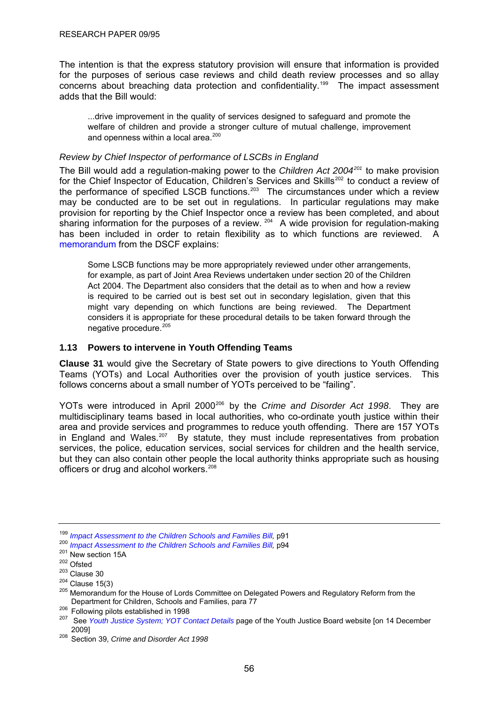<span id="page-59-0"></span>The intention is that the express statutory provision will ensure that information is provided for the purposes of serious case reviews and child death review processes and so allay concerns about breaching data protection and confidentiality.<sup>[199](#page-59-0)</sup> The impact assessment adds that the Bill would:

...drive improvement in the quality of services designed to safeguard and promote the welfare of children and provide a stronger culture of mutual challenge, improvement and openness within a local area. $200$ 

## *Review by Chief Inspector of performance of LSCBs in England*

The Bill would add a regulation-making power to the *Children Act 2004[201](#page-59-0)* to make provision for the Chief Inspector of Education, Children's Services and Skills<sup>[202](#page-59-0)</sup> to conduct a review of the performance of specified LSCB functions.<sup>[203](#page-59-0)</sup> The circumstances under which a review may be conducted are to be set out in regulations. In particular regulations may make provision for reporting by the Chief Inspector once a review has been completed, and about sharinginformation for the purposes of a review.  $204$  A wide provision for regulation-making has been included in order to retain flexibility as to which functions are reviewed. A [memorandum](http://publications.everychildmatters.gov.uk/eOrderingDownload/CSF-Bill_Memorandum.pdf) from the DSCF explains:

Some LSCB functions may be more appropriately reviewed under other arrangements, for example, as part of Joint Area Reviews undertaken under section 20 of the Children Act 2004. The Department also considers that the detail as to when and how a review is required to be carried out is best set out in secondary legislation, given that this might vary depending on which functions are being reviewed. The Department considers it is appropriate for these procedural details to be taken forward through the negative procedure.<sup>[205](#page-59-0)</sup>

## **1.13 Powers to intervene in Youth Offending Teams**

**Clause 31** would give the Secretary of State powers to give directions to Youth Offending Teams (YOTs) and Local Authorities over the provision of youth justice services. This follows concerns about a small number of YOTs perceived to be "failing".

YOTs were introduced in April 2000<sup>[206](#page-59-0)</sup> by the *Crime and Disorder Act 1998*. They are multidisciplinary teams based in local authorities, who co-ordinate youth justice within their area and provide services and programmes to reduce youth offending. There are 157 YOTs in England and Wales.<sup>[207](#page-59-0)</sup> By statute, they must include representatives from probation services, the police, education services, social services for children and the health service, but they can also contain other people the local authority thinks appropriate such as housing officers or drug and alcohol workers.<sup>[208](#page-59-0)</sup>

<sup>&</sup>lt;sup>199</sup> Impact Assessment to the Children Schools and Families Bill, p91<br><sup>200</sup> Impact Assessment to the Children Schools and Families Bill, p94<br><sup>201</sup> New section 15A<br><sup>203</sup> Clause 30<br><sup>203</sup> Clause 15(3)<br><sup>205</sup> Memorandum for th

<sup>&</sup>lt;sup>206</sup>Following pilots established in 1998<br><sup>207</sup> See *Youth Justice System; YOT Contact Details* page of the Youth Justice Board website [on 14 December<br>2009]

<sup>&</sup>lt;sup>208</sup> Section 39, *Crime and Disorder Act 1998*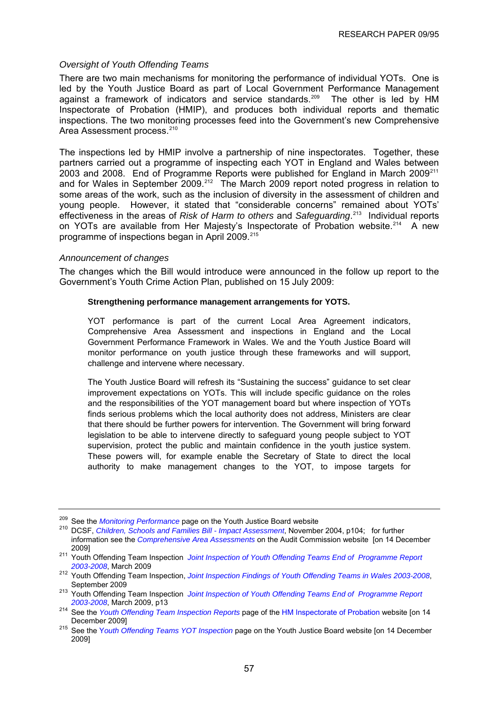#### <span id="page-60-0"></span>*Oversight of Youth Offending Teams*

There are two main mechanisms for monitoring the performance of individual YOTs. One is led by the Youth Justice Board as part of Local Government Performance Management against a framework of indicators and service standards.<sup>[209](#page-60-0)</sup> The other is led by HM Inspectorate of Probation (HMIP), and produces both individual reports and thematic inspections. The two monitoring processes feed into the Government's new Comprehensive Area Assessment process.<sup>[210](#page-60-0)</sup>

The inspections led by HMIP involve a partnership of nine inspectorates. Together, these partners carried out a programme of inspecting each YOT in England and Wales between 2003 and 2008. End of Programme Reports were published for England in March 2009<sup>[211](#page-60-0)</sup> and for Wales in September 2009.[212](#page-60-0) The March 2009 report noted progress in relation to some areas of the work, such as the inclusion of diversity in the assessment of children and young people. However, it stated that "considerable concerns" remained about YOTs' effectiveness in the areas of *Risk of Harm to others* and *Safeguarding*. [213](#page-60-0) Individual reports on YOTs are available from Her Majesty's Inspectorate of Probation website.<sup>[214](#page-60-0)</sup> A new programme of inspections began in April 2009.<sup>[215](#page-60-0)</sup>

#### *Announcement of changes*

The changes which the Bill would introduce were announced in the follow up report to the Government's Youth Crime Action Plan, published on 15 July 2009:

#### **Strengthening performance management arrangements for YOTS.**

YOT performance is part of the current Local Area Agreement indicators, Comprehensive Area Assessment and inspections in England and the Local Government Performance Framework in Wales. We and the Youth Justice Board will monitor performance on youth justice through these frameworks and will support, challenge and intervene where necessary.

The Youth Justice Board will refresh its "Sustaining the success" guidance to set clear improvement expectations on YOTs. This will include specific guidance on the roles and the responsibilities of the YOT management board but where inspection of YOTs finds serious problems which the local authority does not address, Ministers are clear that there should be further powers for intervention. The Government will bring forward legislation to be able to intervene directly to safeguard young people subject to YOT supervision, protect the public and maintain confidence in the youth justice system. These powers will, for example enable the Secretary of State to direct the local authority to make management changes to the YOT, to impose targets for

<sup>209</sup> See the *Monitoring Performance*page on the Youth Justice Board website 210 DCSF, *Children, Schools and Families Bill - Impact Assessment*, November 2004, p104; for further information see the *[Comprehensive Area Assessments](http://www.audit-commission.gov.uk/localgov/audit/caa/Pages/default.aspx)* on the Audit Commission website [on 14 December

<sup>2009] 211</sup> Youth Offending Team Inspection *[Joint Inspection of Youth Offending Teams End of Programme Report](http://www.justice.gov.uk/inspectorates/hmi-probation/docs/hmip-iyo-ar03-08-final-web-rps.pdf)* 

*<sup>2003-2008</sup>*, March 2009 212 Youth Offending Team Inspection, *[Joint Inspection Findings of Youth Offending Teams in Wales 2003-2008](http://www.justice.gov.uk/inspectorates/hmi-probation/docs/Joint_Inspection_Findings_of_Youth_Offending_Teams_in_Wales_2003-2008_English_version.pdf)*,

<sup>&</sup>lt;sup>213</sup> Youth Offending Team Inspection *Joint Inspection of Youth Offending Teams End of Programme Report* 

*<sup>2003-2008</sup>*, March 2009, p13 214 See the *[Youth Offending Team Inspection Reports](http://www.justice.gov.uk/inspectorates/hmi-probation/youth-offending-reports.htm)* page of the [HM Inspectorate of Probation](http://www.justice.gov.uk/inspectorates/hmi-probation/index.htm) website [on 14

December 2009] 215 See the Y*[outh Offending Teams YOT Inspection](http://www.yjb.gov.uk/en-gb/yjs/YouthOffendingTeams/YOTInspections.htm)* page on the Youth Justice Board website [on 14 December 2009]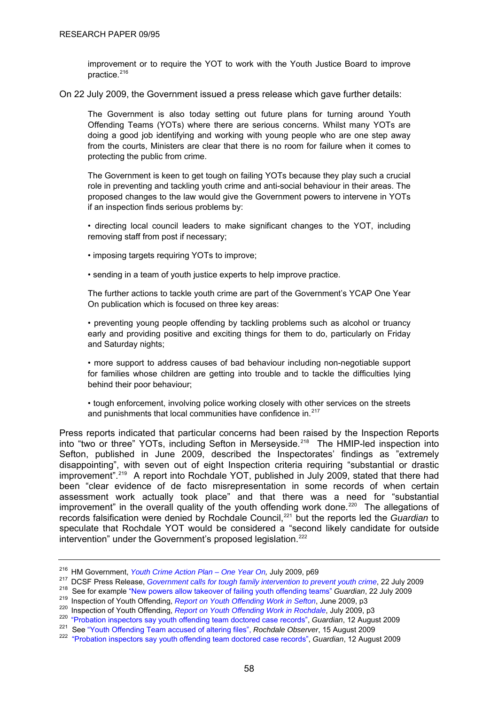<span id="page-61-0"></span>improvement or to require the YOT to work with the Youth Justice Board to improve practice. $216$ 

On 22 July 2009, the Government issued a press release which gave further details:

The Government is also today setting out future plans for turning around Youth Offending Teams (YOTs) where there are serious concerns. Whilst many YOTs are doing a good job identifying and working with young people who are one step away from the courts, Ministers are clear that there is no room for failure when it comes to protecting the public from crime.

The Government is keen to get tough on failing YOTs because they play such a crucial role in preventing and tackling youth crime and anti-social behaviour in their areas. The proposed changes to the law would give the Government powers to intervene in YOTs if an inspection finds serious problems by:

• directing local council leaders to make significant changes to the YOT, including removing staff from post if necessary;

• imposing targets requiring YOTs to improve;

• sending in a team of youth justice experts to help improve practice.

The further actions to tackle youth crime are part of the Government's YCAP One Year On publication which is focused on three key areas:

• preventing young people offending by tackling problems such as alcohol or truancy early and providing positive and exciting things for them to do, particularly on Friday and Saturday nights;

• more support to address causes of bad behaviour including non-negotiable support for families whose children are getting into trouble and to tackle the difficulties lying behind their poor behaviour;

• tough enforcement, involving police working closely with other services on the streets and punishments that local communities have confidence in. $217$ 

Press reports indicated that particular concerns had been raised by the Inspection Reports into "two or three" YOTs, including Sefton in Merseyside.<sup>[218](#page-61-0)</sup> The HMIP-led inspection into Sefton, published in June 2009, described the Inspectorates' findings as "extremely disappointing", with seven out of eight Inspection criteria requiring "substantial or drastic improvement".[219](#page-61-0) A report into Rochdale YOT, published in July 2009, stated that there had been "clear evidence of de facto misrepresentation in some records of when certain assessment work actually took place" and that there was a need for "substantial improvement" in the overall quality of the youth offending work done.<sup>[220](#page-61-0)</sup> The allegations of records falsification were denied by Rochdale Council,[221](#page-61-0) but the reports led the *Guardian* to speculate that Rochdale YOT would be considered a "second likely candidate for outside intervention" under the Government's proposed legislation.<sup>[222](#page-61-0)</sup>

<sup>&</sup>lt;sup>216</sup> HM Government, *Youth Crime Action Plan – One Year On*, July 2009, p69<br><sup>217</sup> DCSF Press Release, *Government calls for tough family intervention to prevent youth crime*, 22 July 2009<br><sup>218</sup> See for example "New power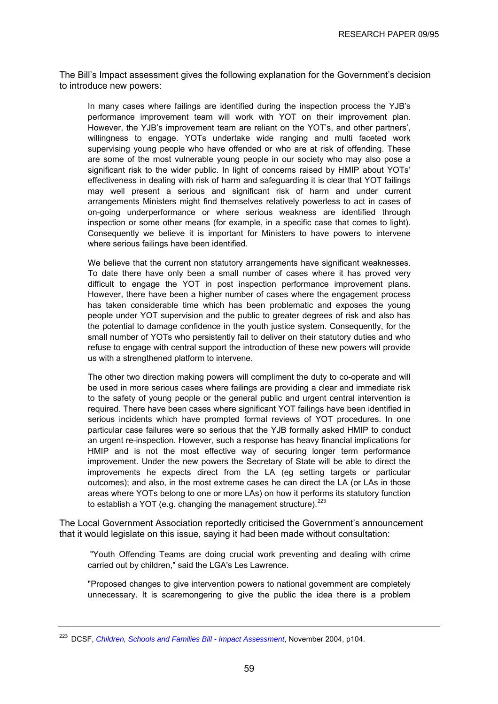<span id="page-62-0"></span>The Bill's Impact assessment gives the following explanation for the Government's decision to introduce new powers:

In many cases where failings are identified during the inspection process the YJB's performance improvement team will work with YOT on their improvement plan. However, the YJB's improvement team are reliant on the YOT's, and other partners', willingness to engage. YOTs undertake wide ranging and multi faceted work supervising young people who have offended or who are at risk of offending. These are some of the most vulnerable young people in our society who may also pose a significant risk to the wider public. In light of concerns raised by HMIP about YOTs' effectiveness in dealing with risk of harm and safeguarding it is clear that YOT failings may well present a serious and significant risk of harm and under current arrangements Ministers might find themselves relatively powerless to act in cases of on-going underperformance or where serious weakness are identified through inspection or some other means (for example, in a specific case that comes to light). Consequently we believe it is important for Ministers to have powers to intervene where serious failings have been identified.

We believe that the current non statutory arrangements have significant weaknesses. To date there have only been a small number of cases where it has proved very difficult to engage the YOT in post inspection performance improvement plans. However, there have been a higher number of cases where the engagement process has taken considerable time which has been problematic and exposes the young people under YOT supervision and the public to greater degrees of risk and also has the potential to damage confidence in the youth justice system. Consequently, for the small number of YOTs who persistently fail to deliver on their statutory duties and who refuse to engage with central support the introduction of these new powers will provide us with a strengthened platform to intervene.

The other two direction making powers will compliment the duty to co-operate and will be used in more serious cases where failings are providing a clear and immediate risk to the safety of young people or the general public and urgent central intervention is required. There have been cases where significant YOT failings have been identified in serious incidents which have prompted formal reviews of YOT procedures. In one particular case failures were so serious that the YJB formally asked HMIP to conduct an urgent re-inspection. However, such a response has heavy financial implications for HMIP and is not the most effective way of securing longer term performance improvement. Under the new powers the Secretary of State will be able to direct the improvements he expects direct from the LA (eg setting targets or particular outcomes); and also, in the most extreme cases he can direct the LA (or LAs in those areas where YOTs belong to one or more LAs) on how it performs its statutory function to establish a YOT (e.g. changing the management structure). $223$ 

The Local Government Association reportedly criticised the Government's announcement that it would legislate on this issue, saying it had been made without consultation:

 "Youth Offending Teams are doing crucial work preventing and dealing with crime carried out by children," said the LGA's Les Lawrence.

"Proposed changes to give intervention powers to national government are completely unnecessary. It is scaremongering to give the public the idea there is a problem

<sup>223</sup> DCSF, *[Children, Schools and Families Bill - Impact Assessment](http://publications.dcsf.gov.uk/eOrderingDownload/CSF-Bill_Impact-Assessment.pdf)*, November 2004, p104.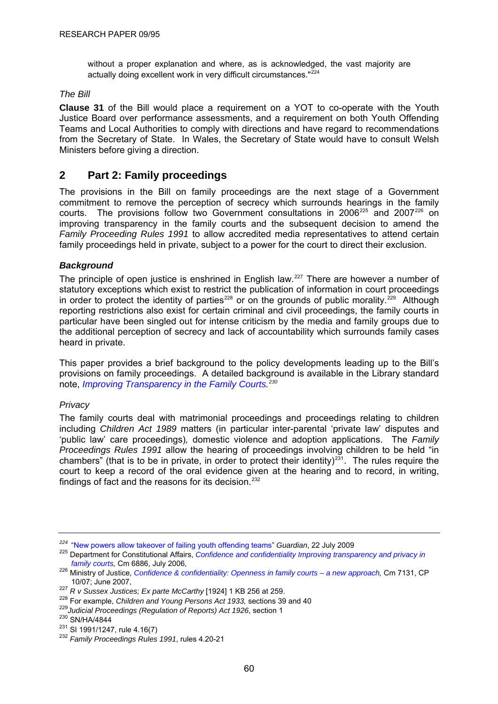<span id="page-63-0"></span>without a proper explanation and where, as is acknowledged, the vast majority are actually doing excellent work in very difficult circumstances."<sup>[224](#page-63-0)</sup>

## *The Bill*

**Clause 31** of the Bill would place a requirement on a YOT to co-operate with the Youth Justice Board over performance assessments, and a requirement on both Youth Offending Teams and Local Authorities to comply with directions and have regard to recommendations from the Secretary of State. In Wales, the Secretary of State would have to consult Welsh Ministers before giving a direction.

# **2 Part 2: Family proceedings**

The provisions in the Bill on family proceedings are the next stage of a Government commitment to remove the perception of secrecy which surrounds hearings in the family courts. The provisions follow two Government consultations in 2006<sup>[225](#page-63-0)</sup> and 2007<sup>[226](#page-63-0)</sup> on improving transparency in the family courts and the subsequent decision to amend the *Family Proceeding Rules 1991* to allow accredited media representatives to attend certain family proceedings held in private, subject to a power for the court to direct their exclusion.

## *Background*

The principle of open justice is enshrined in English law.<sup>[227](#page-63-0)</sup> There are however a number of statutory exceptions which exist to restrict the publication of information in court proceedings in order to protect the identity of parties<sup>[228](#page-63-0)</sup> or on the grounds of public morality.<sup>[229](#page-63-0)</sup> Although reporting restrictions also exist for certain criminal and civil proceedings, the family courts in particular have been singled out for intense criticism by the media and family groups due to the additional perception of secrecy and lack of accountability which surrounds family cases heard in private.

This paper provides a brief background to the policy developments leading up to the Bill's provisions on family proceedings. A detailed background is available in the Library standard note, *[Improving Transparency in the Family Courts.](http://www.parliament.uk/commons/lib/research/briefings/snha-04844.pdf) [230](#page-63-0)*

#### *Privacy*

The family courts deal with matrimonial proceedings and proceedings relating to children including *Children Act 1989* matters (in particular inter-parental 'private law' disputes and 'public law' care proceedings)*,* domestic violence and adoption applications. The *Family Proceedings Rules 1991* allow the hearing of proceedings involving children to be held "in chambers" (that is to be in private, in order to protect their identity)<sup>[231](#page-63-0)</sup>. The rules require the court to keep a record of the oral evidence given at the hearing and to record, in writing, findings of fact and the reasons for its decision. $232$ 

<sup>&</sup>lt;sup>224</sup> "New powers allow takeover of failing youth offending teams" *Guardian*, 22 July 2009<br><sup>225</sup> Department for Constitutional Affairs, *Confidence and confidentiality Improving transparency and privacy in*<br>*family courts* 

*family courts,* Cm 6886, July 2006, 226 Ministry of Justice, *[Confidence & confidentiality: Openness in family courts – a new approach,](http://www.justice.gov.uk/consultations/docs/consult-family-courts.pdf)* Cm 7131, CP

<sup>10/07;</sup> June 2007,<br>
<sup>227</sup> R v Sussex Justices; Ex parte McCarthy [1924] 1 KB 256 at 259.<br>
<sup>228</sup> For example, *Children and Young Persons Act 1933*, sections 39 and 40<br>
<sup>229</sup> Judicial Proceedings (Regulation of Reports) Act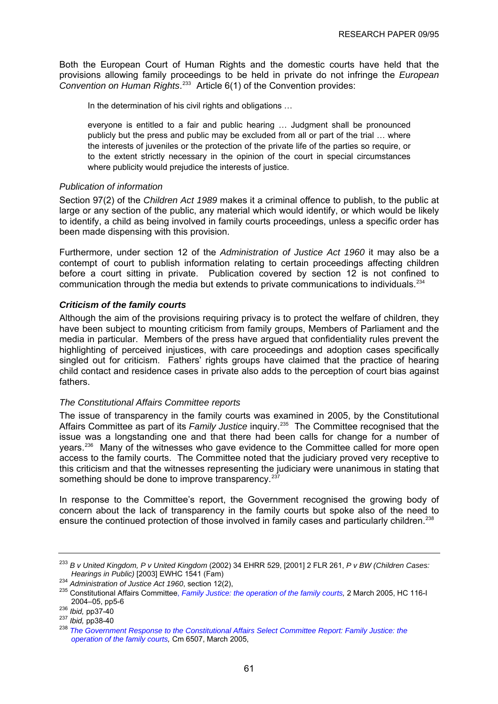<span id="page-64-0"></span>Both the European Court of Human Rights and the domestic courts have held that the provisions allowing family proceedings to be held in private do not infringe the *European Convention on Human Rights*. [233](#page-64-0) Article 6(1) of the Convention provides:

In the determination of his civil rights and obligations …

everyone is entitled to a fair and public hearing … Judgment shall be pronounced publicly but the press and public may be excluded from all or part of the trial … where the interests of juveniles or the protection of the private life of the parties so require, or to the extent strictly necessary in the opinion of the court in special circumstances where publicity would prejudice the interests of justice.

## *Publication of information*

Section 97(2) of the *Children Act 1989* makes it a criminal offence to publish, to the public at large or any section of the public, any material which would identify, or which would be likely to identify, a child as being involved in family courts proceedings, unless a specific order has been made dispensing with this provision.

Furthermore, under section 12 of the *Administration of Justice Act 1960* it may also be a contempt of court to publish information relating to certain proceedings affecting children before a court sitting in private. Publication covered by section 12 is not confined to communication through the media but extends to private communications to individuals.<sup>[234](#page-64-0)</sup>

## *Criticism of the family courts*

Although the aim of the provisions requiring privacy is to protect the welfare of children, they have been subject to mounting criticism from family groups, Members of Parliament and the media in particular. Members of the press have argued that confidentiality rules prevent the highlighting of perceived injustices, with care proceedings and adoption cases specifically singled out for criticism. Fathers' rights groups have claimed that the practice of hearing child contact and residence cases in private also adds to the perception of court bias against fathers.

#### *The Constitutional Affairs Committee reports*

The issue of transparency in the family courts was examined in 2005, by the Constitutional Affairs Committee as part of its *Family Justice* inquiry.[235](#page-64-0) The Committee recognised that the issue was a longstanding one and that there had been calls for change for a number of years.<sup>[236](#page-64-0)</sup> Many of the witnesses who gave evidence to the Committee called for more open access to the family courts. The Committee noted that the judiciary proved very receptive to this criticism and that the witnesses representing the judiciary were unanimous in stating that something should be done to improve transparency.<sup>[237](#page-64-0)</sup>

In response to the Committee's report, the Government recognised the growing body of concern about the lack of transparency in the family courts but spoke also of the need to ensure the continued protection of those involved in family cases and particularly children.<sup>[238](#page-64-0)</sup>

<sup>&</sup>lt;sup>233</sup> *B v United Kingdom, P v United Kingdom* (2002) 34 EHRR 529, [2001] 2 FLR 261, *P v BW (Children Cases: Hearings in Public)* [2003] EWHC 1541 (Fam)

<sup>&</sup>lt;sup>234</sup> Administration of Justice Act 1960, section 12(2),<br><sup>235</sup> Constitutional Affairs Committee, *Family Justice: the operation of the family courts*, 2 March 2005, HC 116-I<br>2004–05, pp5-6

<sup>&</sup>lt;sup>236</sup> *Ibid,* pp37-40<br><sup>237</sup> *Ibid,* pp38-40<br><sup>238</sup> The Government Response to the Constitutional Affairs Select Committee Report: Family Justice: the *[operation of the family courts,](http://www.official-documents.gov.uk/document/cm65/6507/6507.pdf)* Cm 6507, March 2005,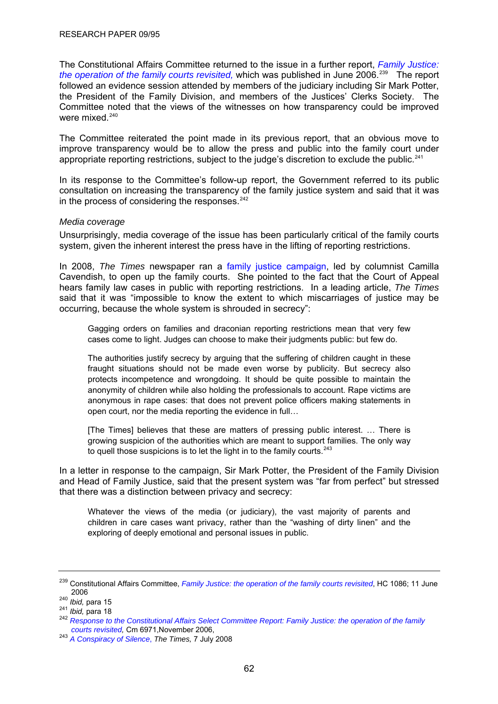<span id="page-65-0"></span>The Constitutional Affairs Committee returned to the issue in a further report, *[Family Justice:](http://www.publications.parliament.uk/pa/cm200506/cmselect/cmconst/1086/1086.pdf)  [the operation of the family courts revisited,](http://www.publications.parliament.uk/pa/cm200506/cmselect/cmconst/1086/1086.pdf)* which was published in June 2006.<sup>[239](#page-65-0)</sup> The report followed an evidence session attended by members of the judiciary including Sir Mark Potter, the President of the Family Division, and members of the Justices' Clerks Society. The Committee noted that the views of the witnesses on how transparency could be improved were mixed. $240$ 

The Committee reiterated the point made in its previous report, that an obvious move to improve transparency would be to allow the press and public into the family court under appropriate reporting restrictions, subject to the judge's discretion to exclude the public.<sup>[241](#page-65-0)</sup>

In its response to the Committee's follow-up report, the Government referred to its public consultation on increasing the transparency of the family justice system and said that it was in the process of considering the responses. $242$ 

## *Media coverage*

Unsurprisingly, media coverage of the issue has been particularly critical of the family courts system, given the inherent interest the press have in the lifting of reporting restrictions.

In 2008, *The Times* newspaper ran a [family justice campaign,](http://www.timesonline.co.uk/tol/system/topicRoot/Family_Courts/) led by columnist Camilla Cavendish, to open up the family courts. She pointed to the fact that the Court of Appeal hears family law cases in public with reporting restrictions. In a leading article, *The Times*  said that it was "impossible to know the extent to which miscarriages of justice may be occurring, because the whole system is shrouded in secrecy":

Gagging orders on families and draconian reporting restrictions mean that very few cases come to light. Judges can choose to make their judgments public: but few do.

The authorities justify secrecy by arguing that the suffering of children caught in these fraught situations should not be made even worse by publicity. But secrecy also protects incompetence and wrongdoing. It should be quite possible to maintain the anonymity of children while also holding the professionals to account. Rape victims are anonymous in rape cases: that does not prevent police officers making statements in open court, nor the media reporting the evidence in full…

[The Times] believes that these are matters of pressing public interest. … There is growing suspicion of the authorities which are meant to support families. The only way to quell those suspicions is to let the light in to the family courts.  $243$ 

In a letter in response to the campaign, Sir Mark Potter, the President of the Family Division and Head of Family Justice, said that the present system was "far from perfect" but stressed that there was a distinction between privacy and secrecy:

Whatever the views of the media (or judiciary), the vast majority of parents and children in care cases want privacy, rather than the "washing of dirty linen" and the exploring of deeply emotional and personal issues in public.

<sup>239</sup> Constitutional Affairs Committee, *[Family Justice: the operation of the family courts revisited](http://www.publications.parliament.uk/pa/cm200506/cmselect/cmconst/1086/1086.pdf)*, HC 1086; 11 June

<sup>2006 240</sup> *Ibid,* para 15 241 *Ibid,* para 18 242 *[Response to the Constitutional Affairs Select Committee Report: Family Justice: the operation of the family](http://www.official-documents.gov.uk/document/cm69/6971/6971.pdf)* 

*courts revisited,* Cm 6971,November 2006, 243 *[A Conspiracy of Silence](http://www.timesonline.co.uk/tol/comment/leading_article/article4282019.ece)*, *The Times,* 7 July 2008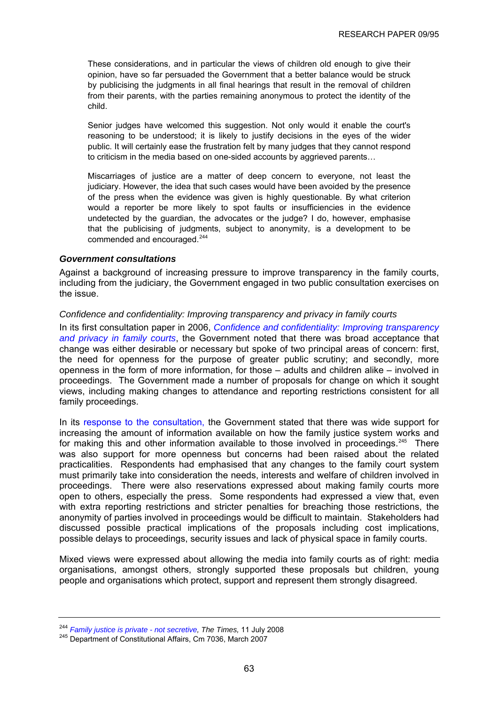<span id="page-66-0"></span>These considerations, and in particular the views of children old enough to give their opinion, have so far persuaded the Government that a better balance would be struck by publicising the judgments in all final hearings that result in the removal of children from their parents, with the parties remaining anonymous to protect the identity of the child.

Senior judges have welcomed this suggestion. Not only would it enable the court's reasoning to be understood; it is likely to justify decisions in the eyes of the wider public. It will certainly ease the frustration felt by many judges that they cannot respond to criticism in the media based on one-sided accounts by aggrieved parents…

Miscarriages of justice are a matter of deep concern to everyone, not least the judiciary. However, the idea that such cases would have been avoided by the presence of the press when the evidence was given is highly questionable. By what criterion would a reporter be more likely to spot faults or insufficiencies in the evidence undetected by the guardian, the advocates or the judge? I do, however, emphasise that the publicising of judgments, subject to anonymity, is a development to be commended and encouraged.<sup>[244](#page-66-0)</sup>

## *Government consultations*

Against a background of increasing pressure to improve transparency in the family courts, including from the judiciary, the Government engaged in two public consultation exercises on the issue.

## *Confidence and confidentiality: Improving transparency and privacy in family courts*

In its first consultation paper in 2006, *[Confidence and confidentiality: Improving transparency](http://www.dca.gov.uk/consult/courttransparencey1106/consultation1106.pdf)  [and privacy in family courts](http://www.dca.gov.uk/consult/courttransparencey1106/consultation1106.pdf)*, the Government noted that there was broad acceptance that change was either desirable or necessary but spoke of two principal areas of concern: first, the need for openness for the purpose of greater public scrutiny; and secondly, more openness in the form of more information, for those – adults and children alike – involved in proceedings. The Government made a number of proposals for change on which it sought views, including making changes to attendance and reporting restrictions consistent for all family proceedings.

In its [response to the consultation](http://www.official-documents.gov.uk/document/cm70/7036/7036.pdf), the Government stated that there was wide support for increasing the amount of information available on how the family justice system works and for making this and other information available to those involved in proceedings.<sup>[245](#page-66-0)</sup> There was also support for more openness but concerns had been raised about the related practicalities. Respondents had emphasised that any changes to the family court system must primarily take into consideration the needs, interests and welfare of children involved in proceedings. There were also reservations expressed about making family courts more open to others, especially the press. Some respondents had expressed a view that, even with extra reporting restrictions and stricter penalties for breaching those restrictions, the anonymity of parties involved in proceedings would be difficult to maintain. Stakeholders had discussed possible practical implications of the proposals including cost implications, possible delays to proceedings, security issues and lack of physical space in family courts.

Mixed views were expressed about allowing the media into family courts as of right: media organisations, amongst others, strongly supported these proposals but children, young people and organisations which protect, support and represent them strongly disagreed.

<sup>&</sup>lt;sup>244</sup> *Family justice is private - not secretive, The Times,* 11 July 2008 <sup>245</sup> Department of Constitutional Affairs, Cm 7036, March 2007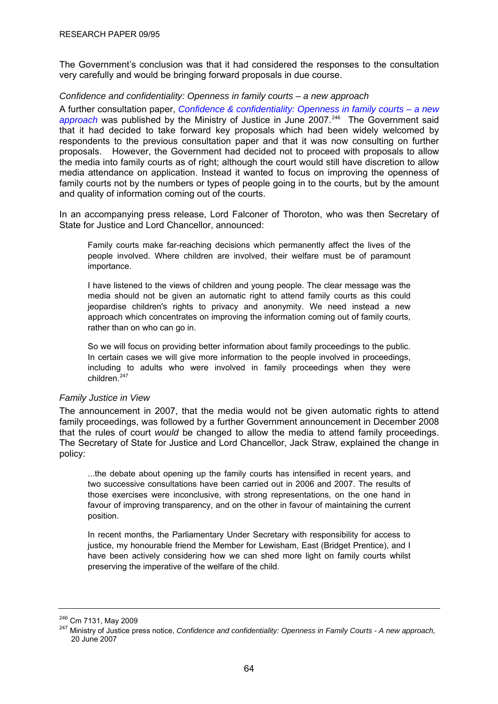<span id="page-67-0"></span>The Government's conclusion was that it had considered the responses to the consultation very carefully and would be bringing forward proposals in due course.

## *Confidence and confidentiality: Openness in family courts – a new approach*

A further consultation paper, *[Confidence & confidentiality: Openness in family courts – a new](http://www.justice.gov.uk/docs/consult-family-courts.pdf)*  [approach](http://www.justice.gov.uk/docs/consult-family-courts.pdf) was published by the Ministry of Justice in June 2007.<sup>[246](#page-67-0)</sup> The Government said that it had decided to take forward key proposals which had been widely welcomed by respondents to the previous consultation paper and that it was now consulting on further proposals. However, the Government had decided not to proceed with proposals to allow the media into family courts as of right; although the court would still have discretion to allow media attendance on application. Instead it wanted to focus on improving the openness of family courts not by the numbers or types of people going in to the courts, but by the amount and quality of information coming out of the courts.

In an accompanying press release, Lord Falconer of Thoroton, who was then Secretary of State for Justice and Lord Chancellor, announced:

Family courts make far-reaching decisions which permanently affect the lives of the people involved. Where children are involved, their welfare must be of paramount importance.

I have listened to the views of children and young people. The clear message was the media should not be given an automatic right to attend family courts as this could jeopardise children's rights to privacy and anonymity. We need instead a new approach which concentrates on improving the information coming out of family courts, rather than on who can go in.

So we will focus on providing better information about family proceedings to the public. In certain cases we will give more information to the people involved in proceedings, including to adults who were involved in family proceedings when they were children.<sup>247</sup>

## *Family Justice in View*

The Secretary of State for Justice and Lord Chancellor, Jack Straw, explained the change in policy: The announcement in 2007, that the media would not be given automatic rights to attend family proceedings, was followed by a further Government announcement in December 2008 that the rules of court *would* be changed to allow the media to attend family proceedings.

favour of improving transparency, and on the other in favour of maintaining the current position. ...the debate about opening up the family courts has intensified in recent years, and two successive consultations have been carried out in 2006 and 2007. The results of those exercises were inconclusive, with strong representations, on the one hand in

have been actively considering how we can shed more light on family courts whilst preserving the imperative of the welfare of the child. In recent months, the Parliamentary Under Secretary with responsibility for access to justice, my honourable friend the Member for Lewisham, East (Bridget Prentice), and I

<sup>&</sup>lt;sup>246</sup> Cm 7131, May 2009<br><sup>247</sup> Ministry of Justice press notice, *Confidence and confidentiality: Openness in Family Courts - A new approach,* 20 June 2007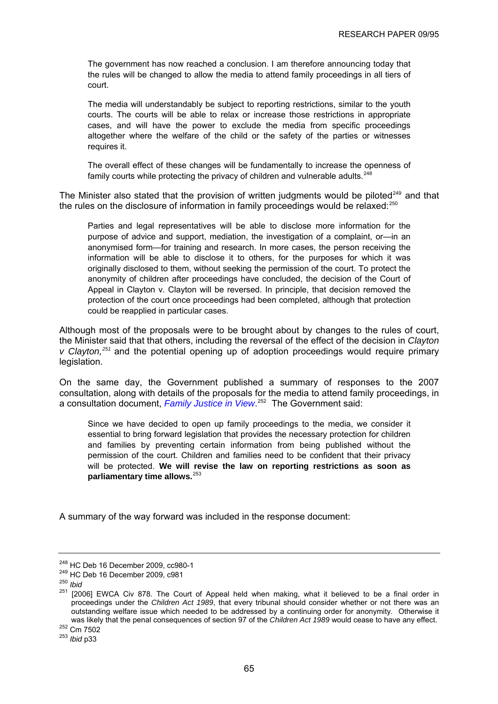<span id="page-68-0"></span>The government has now reached a conclusion. I am therefore announcing today that the rules will be changed to allow the media to attend family proceedings in all tiers of court.

The media will understandably be subject to reporting restrictions, similar to the youth courts. The courts will be able to relax or increase those restrictions in appropriate altogether where the welfare of the child or the safety of the parties or witnesses requires it. cases, and will have the power to exclude the media from specific proceedings

The overall effect of these changes will be fundamentally to increase the openness of  $f_{\text{c}}$  for its analyzed to principle and vulnerable adults  $^{248}$ family courts while protecting the privacy of children and vulnerable adults.<sup>248</sup>

The Minister also stated that the provision of written judgments would be piloted<sup>249</sup> and that the rules on the disclosure of information in family proceedings would be relaxed:<sup>250</sup>

originally disclosed to them, without seeking the permission of the court. To protect the anonymity of children after proceedings have concluded, the decision of the Court of Parties and legal representatives will be able to disclose more information for the purpose of advice and support, mediation, the investigation of a complaint, or—in an anonymised form—for training and research. In more cases, the person receiving the information will be able to disclose it to others, for the purposes for which it was Appeal in Clayton v. Clayton will be reversed. In principle, that decision removed the protection of the court once proceedings had been completed, although that protection could be reapplied in particular cases.

Although most of the proposals were to be brought about by changes to the rules of court, the Minister said that that others, including the reversal of the effect of the decision in *Clayton v Clayton,[251](#page-68-0)* and the potential opening up of adoption proceedings would require primary legislation.

On the same day, the Government published a summary of responses to the 2007 consultation, along with details of the proposals for the media to attend family proceedings, in a cons ultation document, *[Family Justice in View](#page-68-0)*. 252 The Government said:

essential to bring forward legislation that provides the necessary protection for children and families by preventing certain information from being published without the permission of the court. Children and families need to be confident that their privacy will be protected. **We will revise the law on reporting restrictions as soon as**  Since we have decided to open up family proceedings to the media, we consider it **parliamentary time allows.**<sup>253</sup>

A summary of the way forward was included in the response document:

<sup>248</sup> HC Deb 16 December 2009, cc980-1 249 HC Deb 16 December 2009, c981 250 *Ibid*

<sup>251 [2006]</sup> EWCA Civ 878. The Court of Appeal held when making, what it believed to be a final order in proceedings under the *Children Act 1989*, that every tribunal should consider whether or not there was an outstanding welfare issue which needed to be addressed by a continuing order for anonymity. Otherwise it was likely that the penal consequences of section 97 of the *Children Act 1989* would cease to have any effect.<br><sup>252</sup> Cm 7502<br><sup>253</sup> *Ibid* n33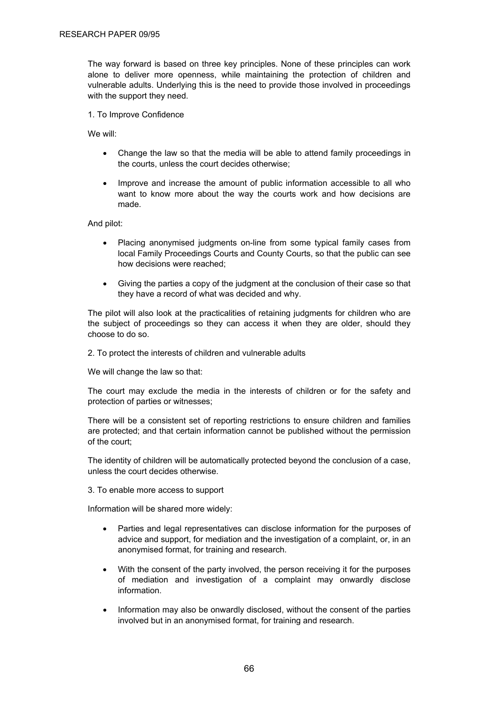The way forward is based on three key principles. None of these principles can work alone to deliver more openness, while maintaining the protection of children and vulnerable adults. Underlying this is the need to provide those involved in proceedings with the support they need.

1. To Improve Confidence

We will:

- Change the law so that the media will be able to attend family proceedings in the courts, unless the court decides otherwise;
- Improve and increase the amount of public information accessible to all who want to know more about the way the courts work and how decisions are made.

And pilot:

- Placing anonymised judgments on-line from some typical family cases from local Family Proceedings Courts and County Courts, so that the public can see how decisions were reached;
- Giving the parties a copy of the judgment at the conclusion of their case so that they have a record of what was decided and why.

The pilot will also look at the practicalities of retaining judgments for children who are the subject of proceedings so they can access it when they are older, should they choose to do so.

2. To protect the interests of children and vulnerable adults

We will change the law so that:

The court may exclude the media in the interests of children or for the safety and protection of parties or witnesses;

There will be a consistent set of reporting restrictions to ensure children and families are protected; and that certain information cannot be published without the permission of the court;

The identity of children will be automatically protected beyond the conclusion of a case, unless the court decides otherwise.

3. To enable more access to support

Information will be shared more widely:

- Parties and legal representatives can disclose information for the purposes of advice and support, for mediation and the investigation of a complaint, or, in an anonymised format, for training and research.
- With the consent of the party involved, the person receiving it for the purposes of mediation and investigation of a complaint may onwardly disclose information.
- Information may also be onwardly disclosed, without the consent of the parties involved but in an anonymised format, for training and research.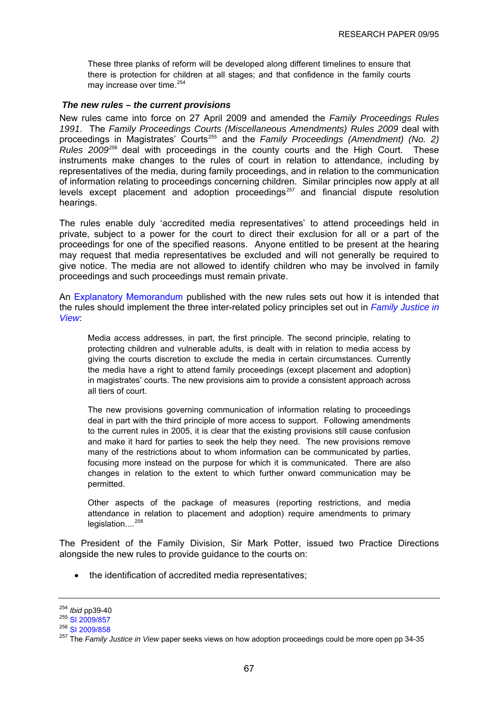<span id="page-70-0"></span>These three planks of reform will be developed along different timelines to ensure that there is protection for children at all stages; and that confidence in the family courts may increase over time.<sup>[254](#page-70-0)</sup>

#### *The new rules – the current provisions*

New rules came into force on 27 April 2009 and amended the *Family Proceedings Rules 1991*. The *Family Proceedings Courts (Miscellaneous Amendments) Rules 2009* deal with proceedings in Magistrates' Courts<sup>[255](#page-70-0)</sup> and the *Family Proceedings (Amendment) (No. 2) Rules 2009*[256](#page-70-0) deal with proceedings in the county courts and the High Court. These instruments make changes to the rules of court in relation to attendance, including by representatives of the media, during family proceedings, and in relation to the communication of information relating to proceedings concerning children. Similar principles now apply at all levels except placement and adoption proceedings<sup>[257](#page-70-0)</sup> and financial dispute resolution hearings.

The rules enable duly 'accredited media representatives' to attend proceedings held in private, subject to a power for the court to direct their exclusion for all or a part of the proceedings for one of the specified reasons. Anyone entitled to be present at the hearing may request that media representatives be excluded and will not generally be required to give notice. The media are not allowed to identify children who may be involved in family proceedings and such proceedings must remain private.

An [Explanatory Memorandum](http://www.opsi.gov.uk/si/si2009/em/uksiem_20090858_en.pdf) published with the new rules sets out how it is intended that the rules should implement the three inter-related policy principles set out in *[Family Justice in](http://www.justice.gov.uk/consultations/docs/family-justice-in-view.pdf)  [View](http://www.justice.gov.uk/consultations/docs/family-justice-in-view.pdf)*:

Media access addresses, in part, the first principle. The second principle, relating to protecting children and vulnerable adults, is dealt with in relation to media access by giving the courts discretion to exclude the media in certain circumstances. Currently the media have a right to attend family proceedings (except placement and adoption) in magistrates' courts. The new provisions aim to provide a consistent approach across all tiers of court.

The new provisions governing communication of information relating to proceedings deal in part with the third principle of more access to support. Following amendments to the current rules in 2005, it is clear that the existing provisions still cause confusion and make it hard for parties to seek the help they need. The new provisions remove many of the restrictions about to whom information can be communicated by parties, focusing more instead on the purpose for which it is communicated. There are also changes in relation to the extent to which further onward communication may be permitted.

Other aspects of the package of measures (reporting restrictions, and media attendance in relation to placement and adoption) require amendments to primary legislation....<sup>[258](#page-70-0)</sup>

The President of the Family Division, Sir Mark Potter, issued two Practice Directions alongside the new rules to provide guidance to the courts on:

• the identification of accredited media representatives;

<sup>&</sup>lt;sup>254</sup> *Ibid* pp39-40<br><sup>255</sup> [SI 2009/857](http://www.opsi.gov.uk/si/si2009/uksi_20090857_en_1)

<sup>256</sup> [SI 2009/858](http://www.opsi.gov.uk/si/si2009/uksi_20090858_en_1)

<sup>257</sup> The *Family Justice in View* paper seeks views on how adoption proceedings could be more open pp 34-35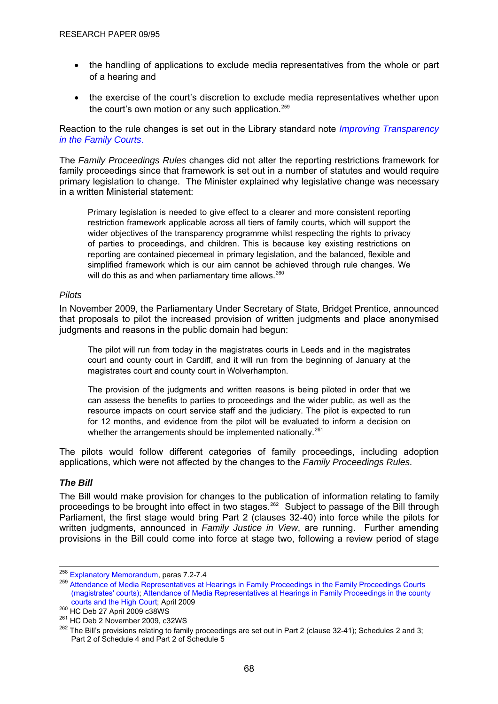- <span id="page-71-0"></span>• the handling of applications to exclude media representatives from the whole or part of a hearing and
- the exercise of the court's discretion to exclude media representatives whether upon the court's own motion or any such application.<sup>[259](#page-71-0)</sup>

Reaction to the rule changes is set out in the Library standard note *[Improving Transparency](http://www.parliament.uk/commons/lib/research/briefings/snha-04844.pdf)  [in the Family Courts](http://www.parliament.uk/commons/lib/research/briefings/snha-04844.pdf)*.

The *Family Proceedings Rules* changes did not alter the reporting restrictions framework for family proceedings since that framework is set out in a number of statutes and would require primary legislation to change. The Minister explained why legislative change was necessary in a written Ministerial statement:

Primary legislation is needed to give effect to a clearer and more consistent reporting restriction framework applicable across all tiers of family courts, which will support the wider objectives of the transparency programme whilst respecting the rights to privacy of parties to proceedings, and children. This is because key existing restrictions on reporting are contained piecemeal in primary legislation, and the balanced, flexible and simplified framework which is our aim cannot be achieved through rule changes. We will do this as and when parliamentary time allows.  $260$ 

## *Pilots*

In November 2009, the Parliamentary Under Secretary of State, Bridget Prentice, announced that proposals to pilot the increased provision of written judgments and place anonymised judgments and reasons in the public domain had begun:

The pilot will run from today in the magistrates courts in Leeds and in the magistrates court and county court in Cardiff, and it will run from the beginning of January at the magistrates court and county court in Wolverhampton.

The provision of the judgments and written reasons is being piloted in order that we can assess the benefits to parties to proceedings and the wider public, as well as the resource impacts on court service staff and the judiciary. The pilot is expected to run for 12 months, and evidence from the pilot will be evaluated to inform a decision on whether the arrangements should be implemented nationally.<sup>[261](#page-71-0)</sup>

The pilots would follow different categories of family proceedings, including adoption applications, which were not affected by the changes to the *Family Proceedings Rules.*

## *The Bill*

The Bill would make provision for changes to the publication of information relating to family proceedings to be brought into effect in two stages.<sup>[262](#page-71-0)</sup> Subject to passage of the Bill through Parliament, the first stage would bring Part 2 (clauses 32-40) into force while the pilots for written judgments, announced in *Family Justice in View*, are running. Further amending provisions in the Bill could come into force at stage two, following a review period of stage

<sup>&</sup>lt;sup>258</sup> Explanatory Memorandum, paras 7.2-7.4

<sup>&</sup>lt;sup>259</sup> Attendance of Media Representatives at Hearings in Family Proceedings in the Family Proceedings Courts [\(magistrates' courts\)](http://www.hmcourts-service.gov.uk/cms/files/PD-MediaAttendanceInFamilyProceedings-MagistratesCourts.doc); [Attendance of Media Representatives at Hearings in Family Proceedings in the county](http://www.hmcourts-service.gov.uk/cms/files/PD-MediaAttendanceInFamilyProceedings-CountyCourtsAndTheHighCourt.doc) 

<sup>&</sup>lt;sup>260</sup> HC Deb 27 April 2009 c38WS<br><sup>261</sup> HC Deb 2 November 2009, c32WS<br><sup>262</sup> The Bill's provisions relating to family proceedings are set out in Part 2 (clause 32-41); Schedules 2 and 3; Part 2 of Schedule 4 and Part 2 of Schedule 5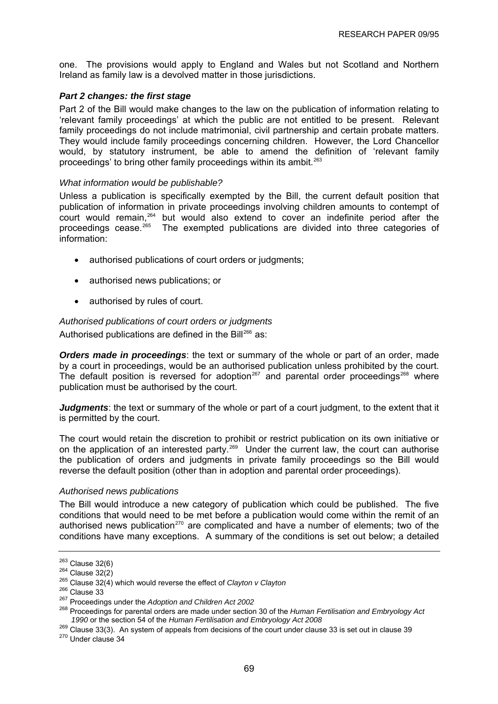<span id="page-72-0"></span>one. The provisions would apply to England and Wales but not Scotland and Northern Ireland as family law is a devolved matter in those jurisdictions.

# *Part 2 changes: the first stage*

Part 2 of the Bill would make changes to the law on the publication of information relating to 'relevant family proceedings' at which the public are not entitled to be present. Relevant family proceedings do not include matrimonial, civil partnership and certain probate matters. They would include family proceedings concerning children. However, the Lord Chancellor would, by statutory instrument, be able to amend the definition of 'relevant family proceedings' to bring other family proceedings within its ambit.<sup>[263](#page-72-0)</sup>

#### *What information would be publishable?*

Unless a publication is specifically exempted by the Bill, the current default position that publication of information in private proceedings involving children amounts to contempt of court would remain,[264](#page-72-0) but would also extend to cover an indefinite period after the proceedings cease.<sup>[265](#page-72-0)</sup> The exempted publications are divided into three categories of information:

- authorised publications of court orders or judgments;
- authorised news publications; or
- authorised by rules of court.

## *Authorised publications of court orders or judgments*

Authorised publications are defined in the Bill<sup>[266](#page-72-0)</sup> as:

*Orders made in proceedings*: the text or summary of the whole or part of an order, made by a court in proceedings, would be an authorised publication unless prohibited by the court. The default position is reversed for adoption<sup>[267](#page-72-0)</sup> and parental order proceedings<sup>268</sup> where publication must be authorised by the court.

*Judgments*: the text or summary of the whole or part of a court judgment, to the extent that it is permitted by the court.

The court would retain the discretion to prohibit or restrict publication on its own initiative or on the application of an interested party.<sup>[269](#page-72-0)</sup> Under the current law, the court can authorise the publication of orders and judgments in private family proceedings so the Bill would reverse the default position (other than in adoption and parental order proceedings).

#### *Authorised news publications*

The Bill would introduce a new category of publication which could be published. The five conditions that would need to be met before a publication would come within the remit of an authorised news publication<sup>[270](#page-72-0)</sup> are complicated and have a number of elements; two of the conditions have many exceptions. A summary of the conditions is set out below; a detailed

<sup>263</sup> Clause 32(6) 264 Clause 32(2) 265 Clause 32(4) which would reverse the effect of *Clayton v Clayton*

<sup>&</sup>lt;sup>267</sup> Proceedings under the *Adoption and Children Act 2002* 

<sup>268</sup> Proceedings for parental orders are made under section 30 of the *Human Fertilisation and Embryology Act 1990* or the section 54 of the *Human Fertilisation and Embryology Act 2008*

 $^{269}$  Clause 33(3). An system of appeals from decisions of the court under clause 33 is set out in clause 39  $^{270}$  Under clause 34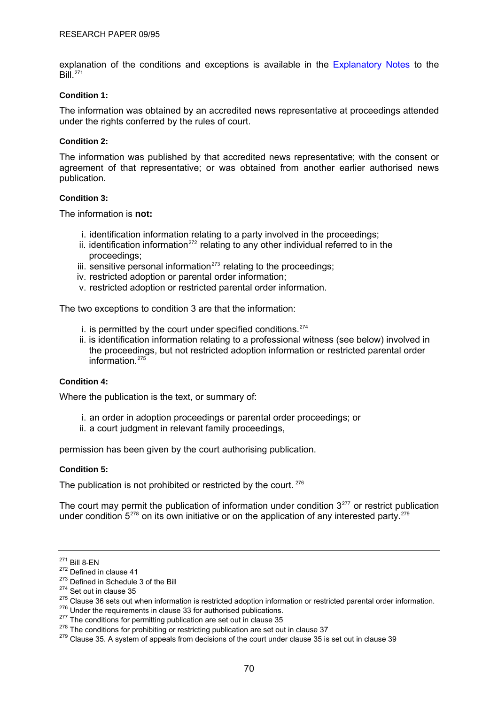<span id="page-73-0"></span>explanation of the conditions and exceptions is available in the [Explanatory Notes](http://www.publications.parliament.uk/pa/cm200910/cmbills/008/10008.i-iii.html) to the  $B<sub>iii</sub>$ <sup>[271](#page-73-0)</sup>

#### **Condition 1:**

The information was obtained by an accredited news representative at proceedings attended under the rights conferred by the rules of court.

#### **Condition 2:**

The information was published by that accredited news representative; with the consent or agreement of that representative; or was obtained from another earlier authorised news publication.

## **Condition 3:**

The information is **not:** 

- i. identification information relating to a party involved in the proceedings;
- ii. identification information<sup>[272](#page-73-0)</sup> relating to any other individual referred to in the proceedings;
- iii. sensitive personal information $273$  relating to the proceedings;
- iv. restricted adoption or parental order information;
- v. restricted adoption or restricted parental order information.

The two exceptions to condition 3 are that the information:

- $i$ . is permitted by the court under specified conditions.<sup>[274](#page-73-0)</sup>
- ii. is identification information relating to a professional witness (see below) involved in the proceedings, but not restricted adoption information or restricted parental order information. $275$

## **Condition 4:**

Where the publication is the text, or summary of:

- i. an order in adoption proceedings or parental order proceedings; or
- ii. a court judgment in relevant family proceedings,

permission has been given by the court authorising publication.

#### **Condition 5:**

The publication is not prohibited or restricted by the court. <sup>[276](#page-73-0)</sup>

The court may permit the publication of information under condition  $3<sup>277</sup>$  $3<sup>277</sup>$  $3<sup>277</sup>$  or restrict publication under condition  $5^{278}$  $5^{278}$  $5^{278}$  on its own initiative or on the application of any interested party.<sup>[279](#page-73-0)</sup>

<sup>&</sup>lt;sup>271</sup> Bill 8-EN<br>
<sup>272</sup> Defined in clause 41<br>
<sup>273</sup> Defined in Schedule 3 of the Bill<br>
<sup>274</sup> Set out in clause 35<br>
<sup>275</sup> Clause 36 sets out when information is restricted adoption information or restricted parental order i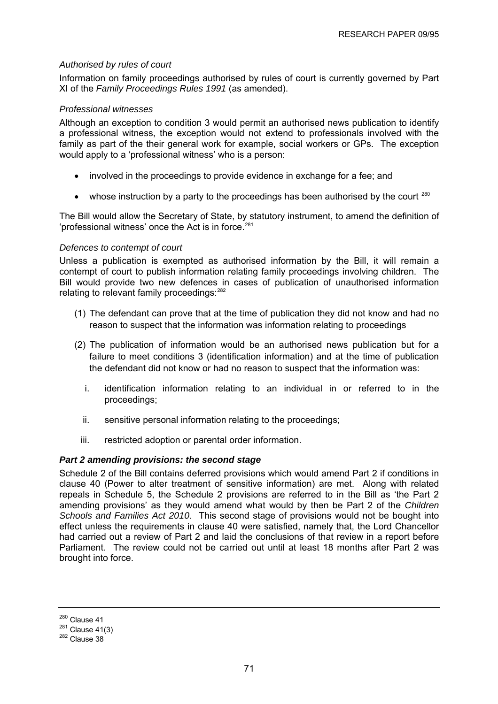# <span id="page-74-0"></span>*Authorised by rules of court*

Information on family proceedings authorised by rules of court is currently governed by Part XI of the *Family Proceedings Rules 1991* (as amended).

# *Professional witnesses*

Although an exception to condition 3 would permit an authorised news publication to identify a professional witness, the exception would not extend to professionals involved with the family as part of the their general work for example, social workers or GPs. The exception would apply to a 'professional witness' who is a person:

- involved in the proceedings to provide evidence in exchange for a fee; and
- whose instruction by a party to the proceedings has been authorised by the court  $^{280}$  $^{280}$  $^{280}$

The Bill would allow the Secretary of State, by statutory instrument, to amend the definition of 'professional witness' once the Act is in force.<sup>[281](#page-74-0)</sup>

## *Defences to contempt of court*

Unless a publication is exempted as authorised information by the Bill, it will remain a contempt of court to publish information relating family proceedings involving children. The Bill would provide two new defences in cases of publication of unauthorised information relating to relevant family proceedings: <sup>[282](#page-74-0)</sup>

- (1) The defendant can prove that at the time of publication they did not know and had no reason to suspect that the information was information relating to proceedings
- (2) The publication of information would be an authorised news publication but for a failure to meet conditions 3 (identification information) and at the time of publication the defendant did not know or had no reason to suspect that the information was:
	- i. identification information relating to an individual in or referred to in the proceedings;
	- ii. sensitive personal information relating to the proceedings;
	- iii. restricted adoption or parental order information.

# *Part 2 amending provisions: the second stage*

Schedule 2 of the Bill contains deferred provisions which would amend Part 2 if conditions in clause 40 (Power to alter treatment of sensitive information) are met. Along with related repeals in Schedule 5, the Schedule 2 provisions are referred to in the Bill as 'the Part 2 amending provisions' as they would amend what would by then be Part 2 of the *Children Schools and Families Act 2010*. This second stage of provisions would not be bought into effect unless the requirements in clause 40 were satisfied, namely that, the Lord Chancellor had carried out a review of Part 2 and laid the conclusions of that review in a report before Parliament. The review could not be carried out until at least 18 months after Part 2 was brought into force.

 $^{280}$  Clause 41<br> $^{281}$  Clause 41(3)<br> $^{282}$  Clause 38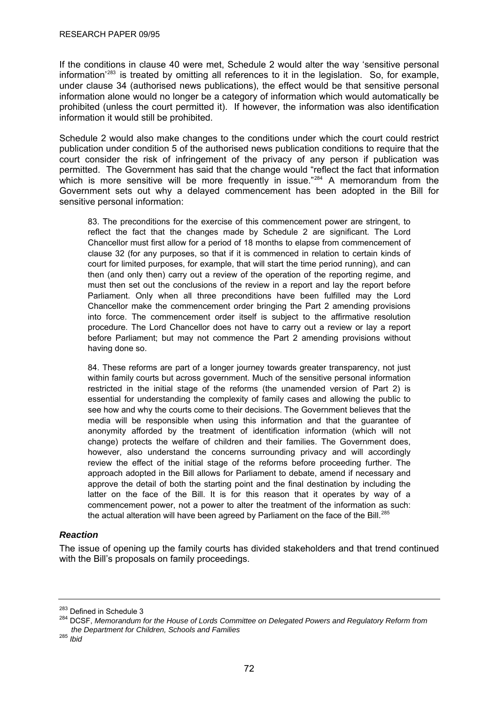<span id="page-75-0"></span>If the conditions in clause 40 were met, Schedule 2 would alter the way 'sensitive personal information'[283](#page-75-0) is treated by omitting all references to it in the legislation. So, for example, under clause 34 (authorised news publications), the effect would be that sensitive personal information alone would no longer be a category of information which would automatically be prohibited (unless the court permitted it). If however, the information was also identification information it would still be prohibited.

Schedule 2 would also make changes to the conditions under which the court could restrict publication under condition 5 of the authorised news publication conditions to require that the court consider the risk of infringement of the privacy of any person if publication was permitted. The Government has said that the change would "reflect the fact that information which is more sensitive will be more frequently in issue."<sup>[284](#page-75-0)</sup> A memorandum from the Government sets out why a delayed commencement has been adopted in the Bill for sensitive personal information:

83. The preconditions for the exercise of this commencement power are stringent, to reflect the fact that the changes made by Schedule 2 are significant. The Lord Chancellor must first allow for a period of 18 months to elapse from commencement of clause 32 (for any purposes, so that if it is commenced in relation to certain kinds of court for limited purposes, for example, that will start the time period running), and can then (and only then) carry out a review of the operation of the reporting regime, and must then set out the conclusions of the review in a report and lay the report before Parliament. Only when all three preconditions have been fulfilled may the Lord Chancellor make the commencement order bringing the Part 2 amending provisions into force. The commencement order itself is subject to the affirmative resolution procedure. The Lord Chancellor does not have to carry out a review or lay a report before Parliament; but may not commence the Part 2 amending provisions without having done so.

84. These reforms are part of a longer journey towards greater transparency, not just within family courts but across government. Much of the sensitive personal information restricted in the initial stage of the reforms (the unamended version of Part 2) is essential for understanding the complexity of family cases and allowing the public to see how and why the courts come to their decisions. The Government believes that the media will be responsible when using this information and that the guarantee of anonymity afforded by the treatment of identification information (which will not change) protects the welfare of children and their families. The Government does, however, also understand the concerns surrounding privacy and will accordingly review the effect of the initial stage of the reforms before proceeding further. The approach adopted in the Bill allows for Parliament to debate, amend if necessary and approve the detail of both the starting point and the final destination by including the latter on the face of the Bill. It is for this reason that it operates by way of a commencement power, not a power to alter the treatment of the information as such: the actual alteration will have been agreed by Parliament on the face of the Bill.<sup>[285](#page-75-0)</sup>

# *Reaction*

The issue of opening up the family courts has divided stakeholders and that trend continued with the Bill's proposals on family proceedings.

<sup>&</sup>lt;sup>283</sup> Defined in Schedule 3<br><sup>284</sup> DCSF, *Memorandum for the House of Lords Committee on Delegated Powers and Regulatory Reform from the Department for Children, Schools and Families*

<sup>285</sup> *Ibid*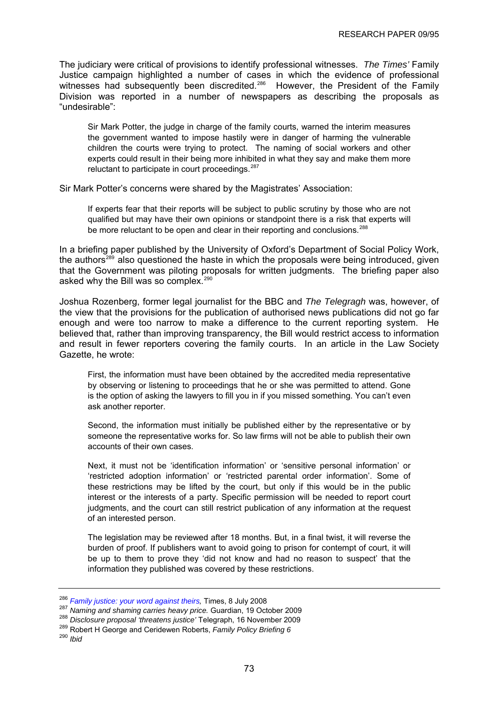<span id="page-76-0"></span>The judiciary were critical of provisions to identify professional witnesses. *The Times'* Family Justice campaign highlighted a number of cases in which the evidence of professional witnesses had subsequently been discredited.<sup>[286](#page-76-0)</sup> However, the President of the Family Division was reported in a number of newspapers as describing the proposals as "undesirable":

Sir Mark Potter, the judge in charge of the family courts, warned the interim measures the government wanted to impose hastily were in danger of harming the vulnerable children the courts were trying to protect. The naming of social workers and other experts could result in their being more inhibited in what they say and make them more reluctant to participate in court proceedings.<sup>[287](#page-76-0)</sup>

Sir Mark Potter's concerns were shared by the Magistrates' Association:

If experts fear that their reports will be subject to public scrutiny by those who are not qualified but may have their own opinions or standpoint there is a risk that experts will be more reluctant to be open and clear in their reporting and conclusions.<sup>[288](#page-76-0)</sup>

In a briefing paper published by the University of Oxford's Department of Social Policy Work, the authors<sup>[289](#page-76-0)</sup> also questioned the haste in which the proposals were being introduced, given that the Government was piloting proposals for written judgments. The briefing paper also asked why the Bill was so complex.<sup>[290](#page-76-0)</sup>

Joshua Rozenberg, former legal journalist for the BBC and *The Telegragh* was, however, of the view that the provisions for the publication of authorised news publications did not go far enough and were too narrow to make a difference to the current reporting system. He believed that, rather than improving transparency, the Bill would restrict access to information and result in fewer reporters covering the family courts. In an article in the Law Society Gazette, he wrote:

First, the information must have been obtained by the accredited media representative by observing or listening to proceedings that he or she was permitted to attend. Gone is the option of asking the lawyers to fill you in if you missed something. You can't even ask another reporter.

Second, the information must initially be published either by the representative or by someone the representative works for. So law firms will not be able to publish their own accounts of their own cases.

Next, it must not be 'identification information' or 'sensitive personal information' or 'restricted adoption information' or 'restricted parental order information'. Some of these restrictions may be lifted by the court, but only if this would be in the public interest or the interests of a party. Specific permission will be needed to report court judgments, and the court can still restrict publication of any information at the request of an interested person.

The legislation may be reviewed after 18 months. But, in a final twist, it will reverse the burden of proof. If publishers want to avoid going to prison for contempt of court, it will be up to them to prove they 'did not know and had no reason to suspect' that the information they published was covered by these restrictions.

<sup>&</sup>lt;sup>286</sup> Family justice: your word against theirs, Times, 8 July 2008<br><sup>287</sup> Naming and shaming carries heavy price. Guardian, 19 October 2009<br><sup>288</sup> Disclosure proposal 'threatens justice' Telegraph, 16 November 2009<br><sup>289</sup> Rob

<sup>290</sup> *Ibid*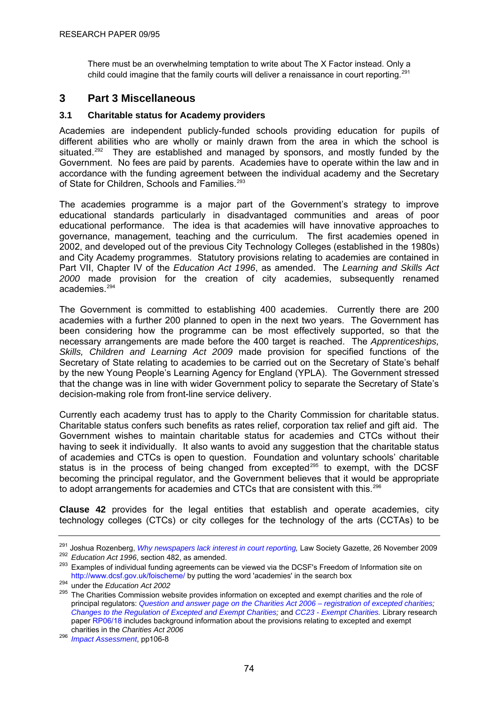<span id="page-77-0"></span>There must be an overwhelming temptation to write about The X Factor instead. Only a child could imagine that the family courts will deliver a renaissance in court reporting.<sup>[291](#page-77-0)</sup>

# **3 Part 3 Miscellaneous**

# **3.1 Charitable status for Academy providers**

Academies are independent publicly-funded schools providing education for pupils of different abilities who are wholly or mainly drawn from the area in which the school is situated.<sup>[292](#page-77-0)</sup> They are established and managed by sponsors, and mostly funded by the Government. No fees are paid by parents. Academies have to operate within the law and in accordance with the funding agreement between the individual academy and the Secretary of State for Children, Schools and Families.<sup>[293](#page-77-0)</sup>

The academies programme is a major part of the Government's strategy to improve educational standards particularly in disadvantaged communities and areas of poor educational performance. The idea is that academies will have innovative approaches to governance, management, teaching and the curriculum. The first academies opened in 2002, and developed out of the previous City Technology Colleges (established in the 1980s) and City Academy programmes. Statutory provisions relating to academies are contained in Part VII, Chapter IV of the *Education Act 1996*, as amended. The *Learning and Skills Act 2000* made provision for the creation of city academies, subsequently renamed academies.<sup>294</sup>

that the change was in line with wider Government policy to separate the Secretary of State's decision-making role from front-line service delivery. The Government is committed to establishing 400 academies. Currently there are 200 academies with a further 200 planned to open in the next two years. The Government has been considering how the programme can be most effectively supported, so that the necessary arrangements are made before the 400 target is reached. The *Apprenticeships, Skills, Children and Learning Act 2009* made provision for specified functions of the Secretary of State relating to academies to be carried out on the Secretary of State's behalf by the new Young People's Learning Agency for England (YPLA). The Government stressed

becoming the principal regulator, and the Government believes that it would be appropriate to adopt arrangements for academies and CTCs that are consistent with this.<sup>296</sup> Currently each academy trust has to apply to the Charity Commission for charitable status. Charitable status confers such benefits as rates relief, corporation tax relief and gift aid. The Government wishes to maintain charitable status for academies and CTCs without their having to seek it individually. It also wants to avoid any suggestion that the charitable status of academies and CTCs is open to question. Foundation and voluntary schools' charitable status is in the process of being changed from excepted<sup>[295](#page-77-0)</sup> to exempt, with the DCSF

**Clause 42** provides for the legal entities that establish and operate academies, city technology colleges (CTCs) or city colleges for the technology of the arts (CCTAs) to be

<sup>&</sup>lt;sup>291</sup> Joshua Rozenberg, *Why newspapers lack interest in court reporting*, Law Society Gazette, 26 November 2009<br><sup>292</sup> *Education Act 1996*, section 482, as amended.<br><sup>293</sup> Examples of individual funding agreements can be

<http://www.dcsf.gov.uk/foischeme/> by putting the word 'academies' in the search box 294 under the *Education Act 2002*

<sup>295</sup> The Charities Commission website provides information on excepted and exempt charities and the role of principal regulators: *[Question and answer page on the Charities Act 2006 – registration of excepted charities;](http://charitycommission.custhelp.com/cgi-bin/charitycommission.cfg/php/enduser/popup_adp.php?p_faqid=739&p_created=1220614896) [Changes to the Regulation of Excepted and Exempt Charities](http://www.charitycommission.gov.uk/registration/regreq.asp);* and *[CC23 - Exempt Charities](http://www.charity-commission.gov.uk/publications/cc23.asp).* Library research paper [RP06/18](http://hcl1.hclibrary.parliament.uk/rp2006/rp06-018.pdf) includes background information about the provisions relating to excepted and exempt charities in the *Charities Act 2006*

<sup>296</sup> *[Impact Assessment](http://publications.dcsf.gov.uk/eOrderingDownload/CSF-Bill_Impact-Assessment.pdf)*, pp106-8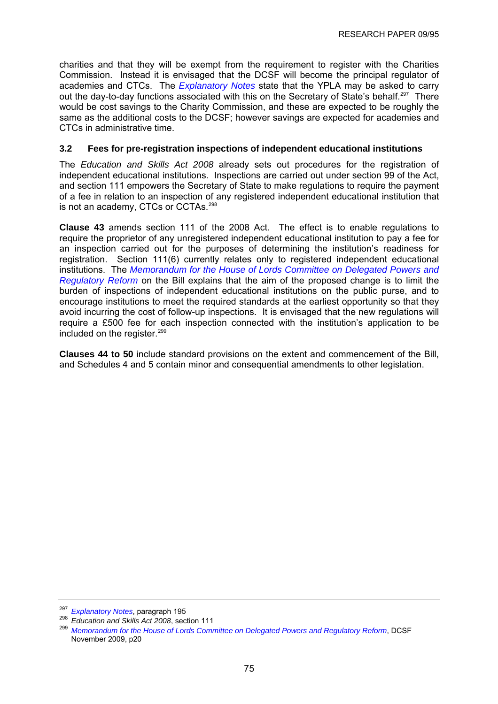<span id="page-78-0"></span>charities and that they will be exempt from the requirement to register with the Charities Commission. Instead it is envisaged that the DCSF will become the principal regulator of academies and CTCs. The *[Explanatory Notes](http://www.publications.parliament.uk/pa/cm200910/cmbills/008/en/10008x--.htm#end)* state that the YPLA may be asked to carry out the day-to-day functions associated with this on the Secretary of State's behalf.<sup>297</sup> There would be cost savings to the Charity Commission, and these are expected to be roughly the same as the additional costs to the DCSF; however savings are expected for academies and CTCs in administrative time.

# **3.2 Fees for pre-registration inspections of independent educational institutions**

of a fee in relation to an inspection of any registered independent educational institution that is not an academy, CTCs or CCTAs.<sup>298</sup> The *Education and Skills Act 2008* already sets out procedures for the registration of independent educational institutions. Inspections are carried out under section 99 of the Act, and section 111 empowers the Secretary of State to make regulations to require the payment

require a £500 fee for each inspection connected with the institution's application to be included on the register.<sup>299</sup> **Clause 43** amends section 111 of the 2008 Act. The effect is to enable regulations to require the proprietor of any unregistered independent educational institution to pay a fee for an inspection carried out for the purposes of determining the institution's readiness for registration. Section 111(6) currently relates only to registered independent educational institutions. The *[Memorandum for the House of Lords Committee on Delegated Powers and](http://publications.dcsf.gov.uk/eOrderingDownload/CSF-Bill_Memorandum.pdf)  [Regulatory Reform](http://publications.dcsf.gov.uk/eOrderingDownload/CSF-Bill_Memorandum.pdf)* on the Bill explains that the aim of the proposed change is to limit the burden of inspections of independent educational institutions on the public purse, and to encourage institutions to meet the required standards at the earliest opportunity so that they avoid incurring the cost of follow-up inspections. It is envisaged that the new regulations will

Clauses 44 to 50 include standard provisions on the extent and commencement of the Bill, and Schedules 4 and 5 contain minor and consequential amendments to other legislation.

<sup>&</sup>lt;sup>297</sup> Explanatory Notes[,](http://www.publications.parliament.uk/pa/cm200910/cmbills/008/en/10008x--.htm#end) paragraph 195<br><sup>298</sup> *Education and Skills Act 2008*, section 111<br><sup>299</sup> [Memorandum for the House of Lords Committee on Delegated Powers and Regulatory Reform](http://publications.dcsf.gov.uk/eOrderingDownload/CSF-Bill_Memorandum.pdf), DCSF November 2009, p20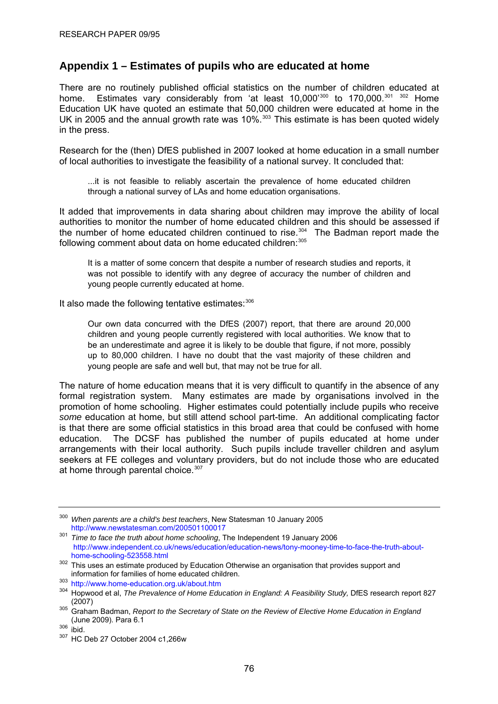# <span id="page-79-0"></span>**Appendix 1 – Estimates of pupils who are educated at home**

There are no routinely published official statistics on the number of children educated at home. Estimates vary considerably from 'at least 10,000'<sup>[300](#page-79-0)</sup> to 170,000.<sup>[301](#page-79-0) [302](#page-79-0)</sup> Home Education UK have quoted an estimate that 50,000 children were educated at home in the UK in 2005 and the annual growth rate was 10%.<sup>[303](#page-79-0)</sup> This estimate is has been quoted widely in the press.

Research for the (then) DfES published in 2007 looked at home education in a small number of local authorities to investigate the feasibility of a national survey. It concluded that:

...it is not feasible to reliably ascertain the prevalence of home educated children through a national survey of LAs and home education organisations.

It added that improvements in data sharing about children may improve the ability of local authorities to monitor the number of home educated children and this should be assessed if the number of home educated children continued to rise.<sup>[304](#page-79-0)</sup> The Badman report made the following comment about data on home educated children: [305](#page-79-0)

It is a matter of some concern that despite a number of research studies and reports, it was not possible to identify with any degree of accuracy the number of children and young people currently educated at home.

It also made the following tentative estimates: [306](#page-79-0)

Our own data concurred with the DfES (2007) report, that there are around 20,000 children and young people currently registered with local authorities. We know that to be an underestimate and agree it is likely to be double that figure, if not more, possibly up to 80,000 children. I have no doubt that the vast majority of these children and young people are safe and well but, that may not be true for all.

The nature of home education means that it is very difficult to quantify in the absence of any formal registration system. Many estimates are made by organisations involved in the promotion of home schooling. Higher estimates could potentially include pupils who receive *some* education at home, but still attend school part-time. An additional complicating factor is that there are some official statistics in this broad area that could be confused with home education. The DCSF has published the number of pupils educated at home under arrangements with their local authority. Such pupils include traveller children and asylum seekers at FE colleges and voluntary providers, but do not include those who are educated at home through parental choice.<sup>[307](#page-79-0)</sup>

<sup>300</sup> *When parents are a child's best teachers*, New Statesman 10 January 2005

<http://www.newstatesman.com/200501100017>301 *Time to face the truth about home schooling*, The Independent 19 January 2006 [http://www.independent.co.uk/news/education/education-news/tony-mooney-time-to-face-the-truth-about](http://www.independent.co.uk/news/education/education-news/tony-mooney-time-to-face-the-truth-about-home-schooling-523558.html)[home-schooling-523558.html](http://www.independent.co.uk/news/education/education-news/tony-mooney-time-to-face-the-truth-about-home-schooling-523558.html)

<sup>&</sup>lt;sup>302</sup> This uses an estimate produced by Education Otherwise an organisation that provides support and information for families of home educated children. 303 <http://www.home-education.org.uk/about.htm>

<sup>304</sup> Hopwood et al, *The Prevalence of Home Education in England: A Feasibility Study, DfES research report 827* 

<sup>(2007) 305</sup> Graham Badman, *Report to the Secretary of State on the Review of Elective Home Education in England*  (June 2009). Para 6.1<br> $\frac{306}{307}$  ibid.<br> $\frac{307}{307}$  HC Deb 27 October 2004 c1,266w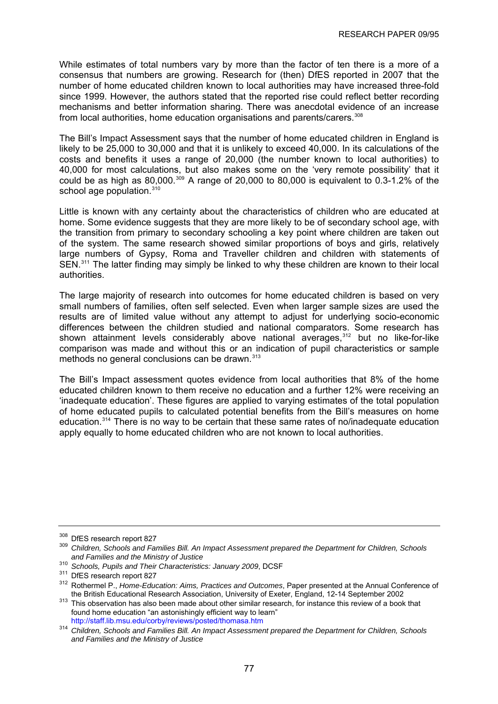<span id="page-80-0"></span>While estimates of total numbers vary by more than the factor of ten there is a more of a consensus that numbers are growing. Research for (then) DfES reported in 2007 that the number of home educated children known to local authorities may have increased three-fold since 1999. However, the authors stated that the reported rise could reflect better recording mechanisms and better information sharing. There was anecdotal evidence of an increase from local authorities, home education organisations and parents/carers.<sup>[308](#page-80-0)</sup>

The Bill's Impact Assessment says that the number of home educated children in England is likely to be 25,000 to 30,000 and that it is unlikely to exceed 40,000. In its calculations of the costs and benefits it uses a range of 20,000 (the number known to local authorities) to 40,000 for most calculations, but also makes some on the 'very remote possibility' that it could be as high as  $80.000^{309}$  $80.000^{309}$  $80.000^{309}$  A range of 20,000 to 80,000 is equivalent to 0.3-1.2% of the school age population.<sup>[310](#page-80-0)</sup>

Little is known with any certainty about the characteristics of children who are educated at home. Some evidence suggests that they are more likely to be of secondary school age, with the transition from primary to secondary schooling a key point where children are taken out of the system. The same research showed similar proportions of boys and girls, relatively large numbers of Gypsy, Roma and Traveller children and children with statements of SEN.<sup>[311](#page-80-0)</sup> The latter finding may simply be linked to why these children are known to their local authorities.

The large majority of research into outcomes for home educated children is based on very small numbers of families, often self selected. Even when larger sample sizes are used the results are of limited value without any attempt to adjust for underlying socio-economic differences between the children studied and national comparators. Some research has shown attainment levels considerably above national averages,<sup>[312](#page-80-0)</sup> but no like-for-like comparison was made and without this or an indication of pupil characteristics or sample methods no general conclusions can be drawn.<sup>[313](#page-80-0)</sup>

The Bill's Impact assessment quotes evidence from local authorities that 8% of the home educated children known to them receive no education and a further 12% were receiving an 'inadequate education'. These figures are applied to varying estimates of the total population of home educated pupils to calculated potential benefits from the Bill's measures on home education.[314](#page-80-0) There is no way to be certain that these same rates of no/inadequate education apply equally to home educated children who are not known to local authorities.

<sup>&</sup>lt;sup>308</sup> DfES research report 827<br><sup>309</sup> *Children, Schools and Families Bill. An Impact Assessment prepared the Department for Children, Schools and Families and the Ministry of Justice*

<sup>&</sup>lt;sup>311</sup> DfES research report 827<br><sup>312</sup> Rothermel P., *Home-Education: Aims, Practices and Outcomes*, Paper presented at the Annual Conference of<br>the British Educational Research Association. University of Exeter. England, 12

<sup>&</sup>lt;sup>313</sup> This observation has also been made about other similar research, for instance this review of a book that found home education "an astonishingly efficient way to learn"

<http://staff.lib.msu.edu/corby/reviews/posted/thomasa.htm>314 *Children, Schools and Families Bill. An Impact Assessment prepared the Department for Children, Schools and Families and the Ministry of Justice*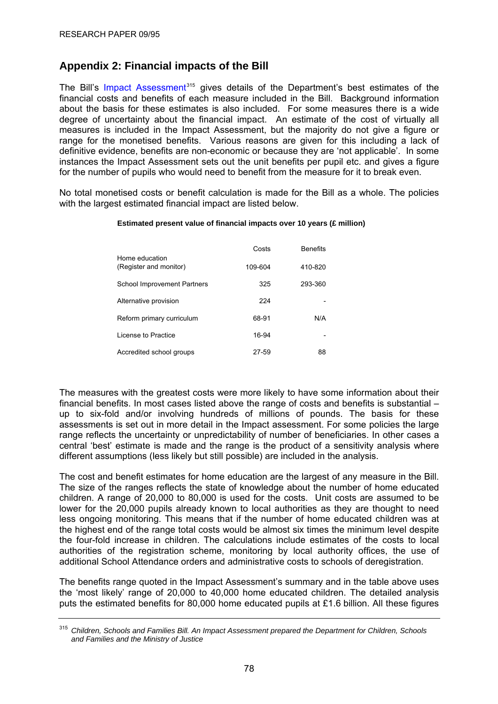# <span id="page-81-0"></span>**Appendix 2: Financial impacts of the Bill**

The Bill's [Impact Assessment](http://publications.dcsf.gov.uk/default.aspx?PageFunction=productdetails&PageMode=publications&ProductId=DCSF-01098-2009)<sup>[315](#page-81-0)</sup> gives details of the Department's best estimates of the financial costs and benefits of each measure included in the Bill. Background information about the basis for these estimates is also included. For some measures there is a wide degree of uncertainty about the financial impact. An estimate of the cost of virtually all measures is included in the Impact Assessment, but the majority do not give a figure or range for the monetised benefits. Various reasons are given for this including a lack of definitive evidence, benefits are non-economic or because they are 'not applicable'. In some instances the Impact Assessment sets out the unit benefits per pupil etc. and gives a figure for the number of pupils who would need to benefit from the measure for it to break even.

No total monetised costs or benefit calculation is made for the Bill as a whole. The policies with the largest estimated financial impact are listed below.

#### **Estimated present value of financial impacts over 10 years (£ million)**

|                                          | Costs   | <b>Benefits</b> |
|------------------------------------------|---------|-----------------|
| Home education<br>(Register and monitor) | 109-604 | 410-820         |
| <b>School Improvement Partners</b>       | 325     | 293-360         |
| Alternative provision                    | 224     |                 |
| Reform primary curriculum                | 68-91   | N/A             |
| License to Practice                      | 16-94   |                 |
| Accredited school groups                 | 27-59   | 88              |

The measures with the greatest costs were more likely to have some information about their financial benefits. In most cases listed above the range of costs and benefits is substantial – up to six-fold and/or involving hundreds of millions of pounds. The basis for these assessments is set out in more detail in the Impact assessment. For some policies the large range reflects the uncertainty or unpredictability of number of beneficiaries. In other cases a central 'best' estimate is made and the range is the product of a sensitivity analysis where different assumptions (less likely but still possible) are included in the analysis.

The cost and benefit estimates for home education are the largest of any measure in the Bill. The size of the ranges reflects the state of knowledge about the number of home educated children. A range of 20,000 to 80,000 is used for the costs. Unit costs are assumed to be lower for the 20,000 pupils already known to local authorities as they are thought to need less ongoing monitoring. This means that if the number of home educated children was at the highest end of the range total costs would be almost six times the minimum level despite the four-fold increase in children. The calculations include estimates of the costs to local authorities of the registration scheme, monitoring by local authority offices, the use of additional School Attendance orders and administrative costs to schools of deregistration.

The benefits range quoted in the Impact Assessment's summary and in the table above uses the 'most likely' range of 20,000 to 40,000 home educated children. The detailed analysis puts the estimated benefits for 80,000 home educated pupils at £1.6 billion. All these figures

<sup>315</sup> *Children, Schools and Families Bill. An Impact Assessment prepared the Department for Children, Schools and Families and the Ministry of Justice*